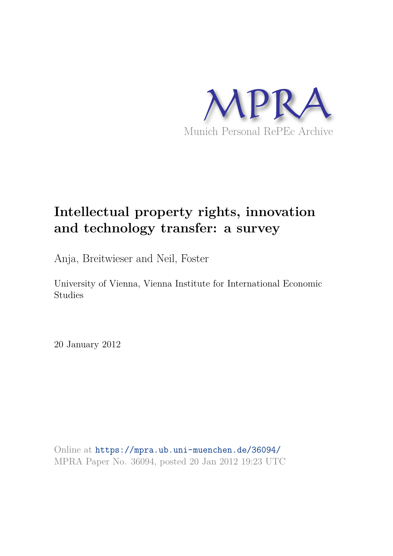

## **Intellectual property rights, innovation and technology transfer: a survey**

Anja, Breitwieser and Neil, Foster

University of Vienna, Vienna Institute for International Economic Studies

20 January 2012

Online at https://mpra.ub.uni-muenchen.de/36094/ MPRA Paper No. 36094, posted 20 Jan 2012 19:23 UTC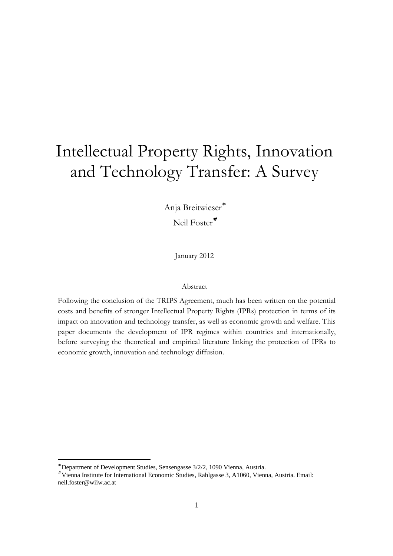# Intellectual Property Rights, Innovation and Technology Transfer: A Survey

Anja Breitwieser\* Neil Foster<sup>#</sup>

January 2012

### Abstract

Following the conclusion of the TRIPS Agreement, much has been written on the potential costs and benefits of stronger Intellectual Property Rights (IPRs) protection in terms of its impact on innovation and technology transfer, as well as economic growth and welfare. This paper documents the development of IPR regimes within countries and internationally, before surveying the theoretical and empirical literature linking the protection of IPRs to economic growth, innovation and technology diffusion.

<sup>\*</sup> Department of Development Studies, Sensengasse 3/2/2, 1090 Vienna, Austria.

<sup>#</sup> Vienna Institute for International Economic Studies, Rahlgasse 3, A1060, Vienna, Austria. Email: neil.foster@wiiw.ac.at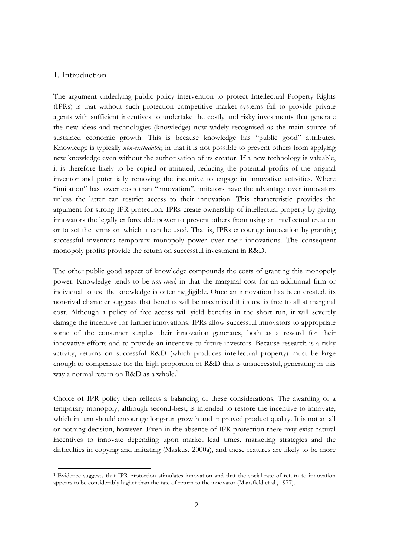## 1. Introduction

The argument underlying public policy intervention to protect Intellectual Property Rights (IPRs) is that without such protection competitive market systems fail to provide private agents with sufficient incentives to undertake the costly and risky investments that generate the new ideas and technologies (knowledge) now widely recognised as the main source of sustained economic growth. This is because knowledge has "public good" attributes. Knowledge is typically *non-excludable*; in that it is not possible to prevent others from applying new knowledge even without the authorisation of its creator. If a new technology is valuable, it is therefore likely to be copied or imitated, reducing the potential profits of the original inventor and potentially removing the incentive to engage in innovative activities. Where "imitation" has lower costs than "innovation", imitators have the advantage over innovators unless the latter can restrict access to their innovation. This characteristic provides the argument for strong IPR protection. IPRs create ownership of intellectual property by giving innovators the legally enforceable power to prevent others from using an intellectual creation or to set the terms on which it can be used. That is, IPRs encourage innovation by granting successful inventors temporary monopoly power over their innovations. The consequent monopoly profits provide the return on successful investment in R&D.

The other public good aspect of knowledge compounds the costs of granting this monopoly power. Knowledge tends to be *non-rival*, in that the marginal cost for an additional firm or individual to use the knowledge is often negligible. Once an innovation has been created, its non-rival character suggests that benefits will be maximised if its use is free to all at marginal cost. Although a policy of free access will yield benefits in the short run, it will severely damage the incentive for further innovations. IPRs allow successful innovators to appropriate some of the consumer surplus their innovation generates, both as a reward for their innovative efforts and to provide an incentive to future investors. Because research is a risky activity, returns on successful R&D (which produces intellectual property) must be large enough to compensate for the high proportion of R&D that is unsuccessful, generating in this way a normal return on R&D as a whole.<sup>1</sup>

Choice of IPR policy then reflects a balancing of these considerations. The awarding of a temporary monopoly, although second-best, is intended to restore the incentive to innovate, which in turn should encourage long-run growth and improved product quality. It is not an all or nothing decision, however. Even in the absence of IPR protection there may exist natural incentives to innovate depending upon market lead times, marketing strategies and the difficulties in copying and imitating (Maskus, 2000a), and these features are likely to be more

<sup>&</sup>lt;sup>1</sup> Evidence suggests that IPR protection stimulates innovation and that the social rate of return to innovation appears to be considerably higher than the rate of return to the innovator (Mansfield et al., 1977).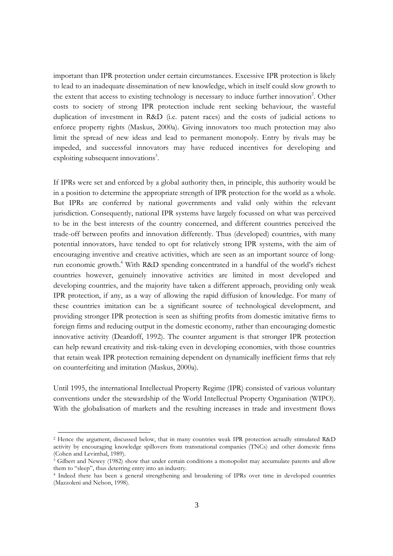important than IPR protection under certain circumstances. Excessive IPR protection is likely to lead to an inadequate dissemination of new knowledge, which in itself could slow growth to the extent that access to existing technology is necessary to induce further innovation<sup>2</sup>. Other costs to society of strong IPR protection include rent seeking behaviour, the wasteful duplication of investment in R&D (i.e. patent races) and the costs of judicial actions to enforce property rights (Maskus, 2000a). Giving innovators too much protection may also limit the spread of new ideas and lead to permanent monopoly. Entry by rivals may be impeded, and successful innovators may have reduced incentives for developing and exploiting subsequent innovations<sup>3</sup>.

If IPRs were set and enforced by a global authority then, in principle, this authority would be in a position to determine the appropriate strength of IPR protection for the world as a whole. But IPRs are conferred by national governments and valid only within the relevant jurisdiction. Consequently, national IPR systems have largely focussed on what was perceived to be in the best interests of the country concerned, and different countries perceived the trade-off between profits and innovation differently. Thus (developed) countries, with many potential innovators, have tended to opt for relatively strong IPR systems, with the aim of encouraging inventive and creative activities, which are seen as an important source of longrun economic growth.<sup>4</sup> With R&D spending concentrated in a handful of the world's richest countries however, genuinely innovative activities are limited in most developed and developing countries, and the majority have taken a different approach, providing only weak IPR protection, if any, as a way of allowing the rapid diffusion of knowledge. For many of these countries imitation can be a significant source of technological development, and providing stronger IPR protection is seen as shifting profits from domestic imitative firms to foreign firms and reducing output in the domestic economy, rather than encouraging domestic innovative activity (Deardoff, 1992). The counter argument is that stronger IPR protection can help reward creativity and risk-taking even in developing economies, with those countries that retain weak IPR protection remaining dependent on dynamically inefficient firms that rely on counterfeiting and imitation (Maskus, 2000a).

Until 1995, the international Intellectual Property Regime (IPR) consisted of various voluntary conventions under the stewardship of the World Intellectual Property Organisation (WIPO). With the globalisation of markets and the resulting increases in trade and investment flows

<sup>&</sup>lt;sup>2</sup> Hence the argument, discussed below, that in many countries weak IPR protection actually stimulated R&D activity by encouraging knowledge spillovers from transnational companies (TNCs) and other domestic firms (Cohen and Levinthal, 1989).

 $\frac{3}{3}$  Gilbert and Newey (1982) show that under certain conditions a monopolist may accumulate patents and allow them to "sleep", thus deterring entry into an industry.

<sup>&</sup>lt;sup>4</sup> Indeed there has been a general strengthening and broadening of IPRs over time in developed countries (Mazzoleni and Nelson, 1998).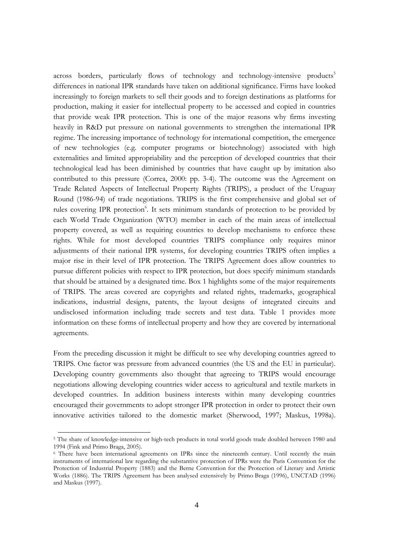across borders, particularly flows of technology and technology-intensive products<sup>5</sup> differences in national IPR standards have taken on additional significance. Firms have looked increasingly to foreign markets to sell their goods and to foreign destinations as platforms for production, making it easier for intellectual property to be accessed and copied in countries that provide weak IPR protection. This is one of the major reasons why firms investing heavily in R&D put pressure on national governments to strengthen the international IPR regime. The increasing importance of technology for international competition, the emergence of new technologies (e.g. computer programs or biotechnology) associated with high externalities and limited appropriability and the perception of developed countries that their technological lead has been diminished by countries that have caught up by imitation also contributed to this pressure (Correa, 2000: pp. 3-4). The outcome was the Agreement on Trade Related Aspects of Intellectual Property Rights (TRIPS), a product of the Uruguay Round (1986-94) of trade negotiations. TRIPS is the first comprehensive and global set of rules covering IPR protection<sup>6</sup>. It sets minimum standards of protection to be provided by each World Trade Organization (WTO) member in each of the main areas of intellectual property covered, as well as requiring countries to develop mechanisms to enforce these rights. While for most developed countries TRIPS compliance only requires minor adjustments of their national IPR systems, for developing countries TRIPS often implies a major rise in their level of IPR protection. The TRIPS Agreement does allow countries to pursue different policies with respect to IPR protection, but does specify minimum standards that should be attained by a designated time. Box 1 highlights some of the major requirements of TRIPS. The areas covered are copyrights and related rights, trademarks, geographical indications, industrial designs, patents, the layout designs of integrated circuits and undisclosed information including trade secrets and test data. Table 1 provides more information on these forms of intellectual property and how they are covered by international agreements.

From the preceding discussion it might be difficult to see why developing countries agreed to TRIPS. One factor was pressure from advanced countries (the US and the EU in particular). Developing country governments also thought that agreeing to TRIPS would encourage negotiations allowing developing countries wider access to agricultural and textile markets in developed countries. In addition business interests within many developing countries encouraged their governments to adopt stronger IPR protection in order to protect their own innovative activities tailored to the domestic market (Sherwood, 1997; Maskus, 1998a).

<sup>&</sup>lt;sup>5</sup> The share of knowledge-intensive or high-tech products in total world goods trade doubled between 1980 and 1994 (Fink and Primo Braga, 2005).

<sup>&</sup>lt;sup>6</sup> There have been international agreements on IPRs since the nineteenth century. Until recently the main instruments of international law regarding the substantive protection of IPRs were the Paris Convention for the Protection of Industrial Property (1883) and the Berne Convention for the Protection of Literary and Artistic Works (1886). The TRIPS Agreement has been analysed extensively by Primo Braga (1996), UNCTAD (1996) and Maskus (1997).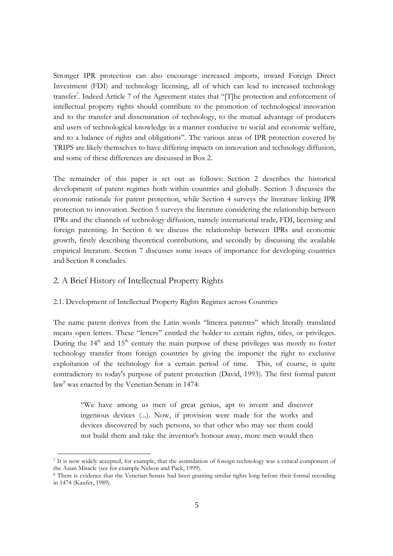Stronger IPR protection can also encourage increased imports, inward Foreign Direct Investment (FDI) and technology licensing, all of which can lead to increased technology transfer<sup>7</sup>. Indeed Article 7 of the Agreement states that "[T]he protection and enforcement of intellectual property rights should contribute to the promotion of technological innovation and to the transfer and dissemination of technology, to the mutual advantage of producers and users of technological knowledge in a manner conducive to social and economic welfare, and to a balance of rights and obligations". The various areas of IPR protection covered by TRIPS are likely themselves to have differing impacts on innovation and technology diffusion, and some of these differences are discussed in Box 2.

The remainder of this paper is set out as follows: Section 2 describes the historical development of patent regimes both within countries and globally. Section 3 discusses the economic rationale for patent protection, while Section 4 surveys the literature linking IPR protection to innovation. Section 5 surveys the literature considering the relationship between IPRs and the channels of technology diffusion, namely international trade, FDI, licensing and foreign patenting. In Section 6 we discuss the relationship between IPRs and economic growth, firstly describing theoretical contributions, and secondly by discussing the available empirical literature. Section 7 discusses some issues of importance for developing countries and Section 8 concludes.

## 2. A Brief History of Intellectual Property Rights

## 2.1. Development of Intellectual Property Rights Regimes across Countries

The name patent derives from the Latin words "litterea patentes" which literally translated means open letters. These "letters" entitled the holder to certain rights, titles, or privileges. During the  $14<sup>th</sup>$  and  $15<sup>th</sup>$  century the main purpose of these privileges was mostly to foster technology transfer from foreign countries by giving the importer the right to exclusive exploitation of the technology for a certain period of time. This, of course, is quite contradictory to today's purpose of patent protection (David, 1993). The first formal patent law<sup>8</sup> was enacted by the Venetian Senate in 1474:

"We have among us men of great genius, apt to invent and discover ingenious devices (...). Now, if provision were made for the works and devices discovered by such persons, so that other who may see them could not build them and take the inventor's honour away, more men would then

<sup>7</sup> It is now widely accepted, for example, that the assimilation of foreign technology was a critical component of the Asian Miracle (see for example Nelson and Pack, 1999).

<sup>&</sup>lt;sup>8</sup> There is evidence that the Venetian Senate had been granting similar rights long before their formal recording in 1474 (Kaufer, 1989).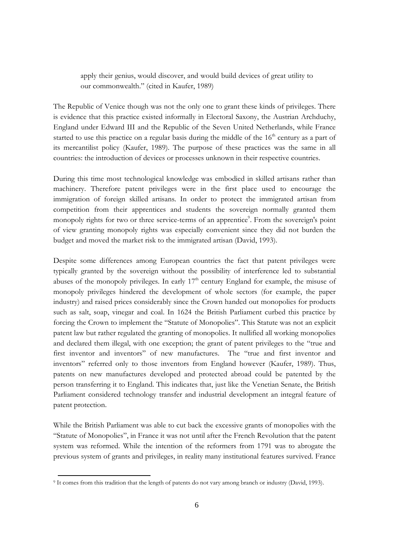apply their genius, would discover, and would build devices of great utility to our commonwealth." (cited in Kaufer, 1989)

The Republic of Venice though was not the only one to grant these kinds of privileges. There is evidence that this practice existed informally in Electoral Saxony, the Austrian Archduchy, England under Edward III and the Republic of the Seven United Netherlands, while France started to use this practice on a regular basis during the middle of the 16<sup>th</sup> century as a part of its mercantilist policy (Kaufer, 1989). The purpose of these practices was the same in all countries: the introduction of devices or processes unknown in their respective countries.

During this time most technological knowledge was embodied in skilled artisans rather than machinery. Therefore patent privileges were in the first place used to encourage the immigration of foreign skilled artisans. In order to protect the immigrated artisan from competition from their apprentices and students the sovereign normally granted them monopoly rights for two or three service-terms of an apprentice<sup>9</sup>. From the sovereign's point of view granting monopoly rights was especially convenient since they did not burden the budget and moved the market risk to the immigrated artisan (David, 1993).

Despite some differences among European countries the fact that patent privileges were typically granted by the sovereign without the possibility of interference led to substantial abuses of the monopoly privileges. In early 17<sup>th</sup> century England for example, the misuse of monopoly privileges hindered the development of whole sectors (for example, the paper industry) and raised prices considerably since the Crown handed out monopolies for products such as salt, soap, vinegar and coal. In 1624 the British Parliament curbed this practice by forcing the Crown to implement the "Statute of Monopolies". This Statute was not an explicit patent law but rather regulated the granting of monopolies. It nullified all working monopolies and declared them illegal, with one exception; the grant of patent privileges to the "true and first inventor and inventors" of new manufactures. The "true and first inventor and inventors" referred only to those inventors from England however (Kaufer, 1989). Thus, patents on new manufactures developed and protected abroad could be patented by the person transferring it to England. This indicates that, just like the Venetian Senate, the British Parliament considered technology transfer and industrial development an integral feature of patent protection.

While the British Parliament was able to cut back the excessive grants of monopolies with the "Statute of Monopolies", in France it was not until after the French Revolution that the patent system was reformed. While the intention of the reformers from 1791 was to abrogate the previous system of grants and privileges, in reality many institutional features survived. France

<sup>&</sup>lt;sup>9</sup> It comes from this tradition that the length of patents do not vary among branch or industry (David, 1993).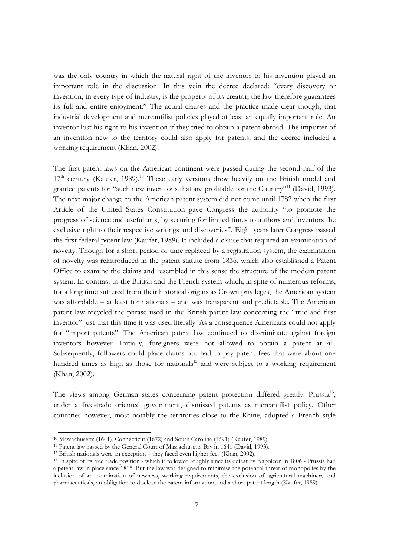was the only country in which the natural right of the inventor to his invention played an important role in the discussion. In this vein the decree declared: "every discovery or invention, in every type of industry, is the property of its creator; the law therefore guarantees its full and entire enjoyment." The actual clauses and the practice made clear though, that industrial development and mercantilist policies played at least an equally important role. An inventor lost his right to his invention if they tried to obtain a patent abroad. The importer of an invention new to the territory could also apply for patents, and the decree included a working requirement (Khan, 2002).

The first patent laws on the American continent were passed during the second half of the 17<sup>th</sup> century (Kaufer, 1989).<sup>10</sup> These early versions drew heavily on the British model and granted patents for "such new inventions that are profitable for the Country"<sup>11</sup> (David, 1993). The next major change to the American patent system did not come until 1782 when the first Article of the United States Constitution gave Congress the authority "to promote the progress of science and useful arts, by securing for limited times to authors and inventors the exclusive right to their respective writings and discoveries". Eight years later Congress passed the first federal patent law (Kaufer, 1989). It included a clause that required an examination of novelty. Though for a short period of time replaced by a registration system, the examination of novelty was reintroduced in the patent statute from 1836, which also established a Patent Office to examine the claims and resembled in this sense the structure of the modern patent system. In contrast to the British and the French system which, in spite of numerous reforms, for a long time suffered from their historical origins as Crown privileges, the American system was affordable – at least for nationals – and was transparent and predictable. The American patent law recycled the phrase used in the British patent law concerning the "true and first inventor" just that this time it was used literally. As a consequence Americans could not apply for "import patents". The American patent law continued to discriminate against foreign inventors however. Initially, foreigners were not allowed to obtain a patent at all. Subsequently, followers could place claims but had to pay patent fees that were about one hundred times as high as those for nationals<sup>12</sup> and were subject to a working requirement (Khan, 2002).

The views among German states concerning patent protection differed greatly. Prussia<sup>13</sup>, under a free-trade oriented government, dismissed patents as mercantilist policy. Other countries however, most notably the territories close to the Rhine, adopted a French style

<sup>&</sup>lt;sup>10</sup> Massachusetts (1641), Connecticut (1672) and South Carolina (1691) (Kaufer, 1989).

<sup>&</sup>lt;sup>11</sup> Patent law passed by the General Court of Massachusetts Bay in 1641 (David, 1993).

 $12$  British nationals were an exception – they faced even higher fees (Khan, 2002).

<sup>&</sup>lt;sup>13</sup> In spite of its free trade position - which it followed roughly since its defeat by Napoleon in 1806 - Prussia had a patent law in place since 1815. But the law was designed to minimise the potential threat of monopolies by the inclusion of an examination of newness, working requirements, the exclusion of agricultural machinery and pharmaceuticals, an obligation to disclose the patent information, and a short patent length (Kaufer, 1989).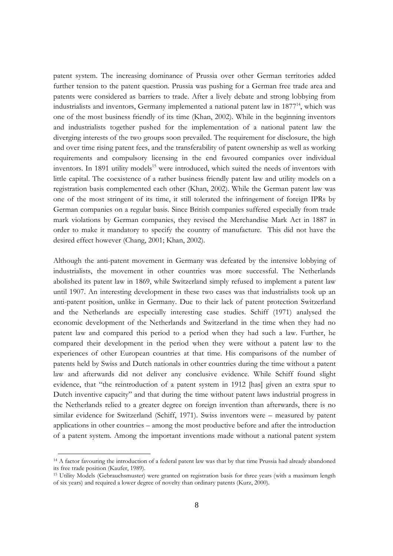patent system. The increasing dominance of Prussia over other German territories added further tension to the patent question. Prussia was pushing for a German free trade area and patents were considered as barriers to trade. After a lively debate and strong lobbying from industrialists and inventors, Germany implemented a national patent law in 1877<sup>14</sup>, which was one of the most business friendly of its time (Khan, 2002). While in the beginning inventors and industrialists together pushed for the implementation of a national patent law the diverging interests of the two groups soon prevailed. The requirement for disclosure, the high and over time rising patent fees, and the transferability of patent ownership as well as working requirements and compulsory licensing in the end favoured companies over individual inventors. In 1891 utility models<sup>15</sup> were introduced, which suited the needs of inventors with little capital. The coexistence of a rather business friendly patent law and utility models on a registration basis complemented each other (Khan, 2002). While the German patent law was one of the most stringent of its time, it still tolerated the infringement of foreign IPRs by German companies on a regular basis. Since British companies suffered especially from trade mark violations by German companies, they revised the Merchandise Mark Act in 1887 in order to make it mandatory to specify the country of manufacture. This did not have the desired effect however (Chang, 2001; Khan, 2002).

Although the anti-patent movement in Germany was defeated by the intensive lobbying of industrialists, the movement in other countries was more successful. The Netherlands abolished its patent law in 1869, while Switzerland simply refused to implement a patent law until 1907. An interesting development in these two cases was that industrialists took up an anti-patent position, unlike in Germany. Due to their lack of patent protection Switzerland and the Netherlands are especially interesting case studies. Schiff (1971) analysed the economic development of the Netherlands and Switzerland in the time when they had no patent law and compared this period to a period when they had such a law. Further, he compared their development in the period when they were without a patent law to the experiences of other European countries at that time. His comparisons of the number of patents held by Swiss and Dutch nationals in other countries during the time without a patent law and afterwards did not deliver any conclusive evidence. While Schiff found slight evidence, that "the reintroduction of a patent system in 1912 [has] given an extra spur to Dutch inventive capacity" and that during the time without patent laws industrial progress in the Netherlands relied to a greater degree on foreign invention than afterwards, there is no similar evidence for Switzerland (Schiff, 1971). Swiss inventors were – measured by patent applications in other countries – among the most productive before and after the introduction of a patent system. Among the important inventions made without a national patent system

<sup>&</sup>lt;sup>14</sup> A factor favouring the introduction of a federal patent law was that by that time Prussia had already abandoned its free trade position (Kaufer, 1989).

<sup>&</sup>lt;sup>15</sup> Utility Models (Gebrauchsmuster) were granted on registration basis for three years (with a maximum length of six years) and required a lower degree of novelty than ordinary patents (Kurz, 2000).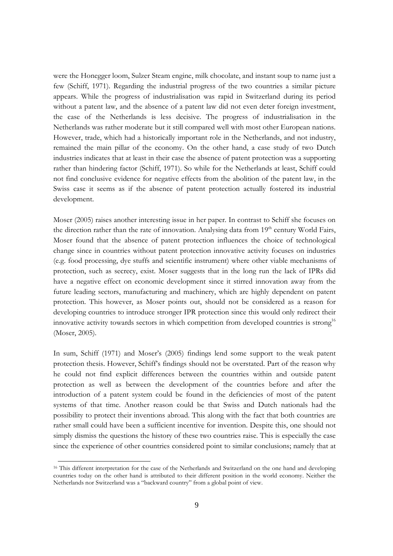were the Honegger loom, Sulzer Steam engine, milk chocolate, and instant soup to name just a few (Schiff, 1971). Regarding the industrial progress of the two countries a similar picture appears. While the progress of industrialisation was rapid in Switzerland during its period without a patent law, and the absence of a patent law did not even deter foreign investment, the case of the Netherlands is less decisive. The progress of industrialisation in the Netherlands was rather moderate but it still compared well with most other European nations. However, trade, which had a historically important role in the Netherlands, and not industry, remained the main pillar of the economy. On the other hand, a case study of two Dutch industries indicates that at least in their case the absence of patent protection was a supporting rather than hindering factor (Schiff, 1971). So while for the Netherlands at least, Schiff could not find conclusive evidence for negative effects from the abolition of the patent law, in the Swiss case it seems as if the absence of patent protection actually fostered its industrial development.

Moser (2005) raises another interesting issue in her paper. In contrast to Schiff she focuses on the direction rather than the rate of innovation. Analysing data from 19<sup>th</sup> century World Fairs, Moser found that the absence of patent protection influences the choice of technological change since in countries without patent protection innovative activity focuses on industries (e.g. food processing, dye stuffs and scientific instrument) where other viable mechanisms of protection, such as secrecy, exist. Moser suggests that in the long run the lack of IPRs did have a negative effect on economic development since it stirred innovation away from the future leading sectors, manufacturing and machinery, which are highly dependent on patent protection. This however, as Moser points out, should not be considered as a reason for developing countries to introduce stronger IPR protection since this would only redirect their innovative activity towards sectors in which competition from developed countries is strong<sup>16</sup> (Moser, 2005).

In sum, Schiff (1971) and Moser's (2005) findings lend some support to the weak patent protection thesis. However, Schiff's findings should not be overstated. Part of the reason why he could not find explicit differences between the countries within and outside patent protection as well as between the development of the countries before and after the introduction of a patent system could be found in the deficiencies of most of the patent systems of that time. Another reason could be that Swiss and Dutch nationals had the possibility to protect their inventions abroad. This along with the fact that both countries are rather small could have been a sufficient incentive for invention. Despite this, one should not simply dismiss the questions the history of these two countries raise. This is especially the case since the experience of other countries considered point to similar conclusions; namely that at

<sup>&</sup>lt;sup>16</sup> This different interpretation for the case of the Netherlands and Switzerland on the one hand and developing countries today on the other hand is attributed to their different position in the world economy. Neither the Netherlands nor Switzerland was a "backward country" from a global point of view.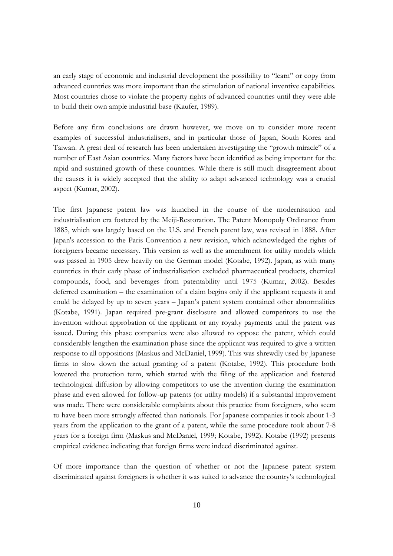an early stage of economic and industrial development the possibility to "learn" or copy from advanced countries was more important than the stimulation of national inventive capabilities. Most countries chose to violate the property rights of advanced countries until they were able to build their own ample industrial base (Kaufer, 1989).

Before any firm conclusions are drawn however, we move on to consider more recent examples of successful industrialisers, and in particular those of Japan, South Korea and Taiwan. A great deal of research has been undertaken investigating the "growth miracle" of a number of East Asian countries. Many factors have been identified as being important for the rapid and sustained growth of these countries. While there is still much disagreement about the causes it is widely accepted that the ability to adapt advanced technology was a crucial aspect (Kumar, 2002).

The first Japanese patent law was launched in the course of the modernisation and industrialisation era fostered by the Meiji-Restoration. The Patent Monopoly Ordinance from 1885, which was largely based on the U.S. and French patent law, was revised in 1888. After Japan's accession to the Paris Convention a new revision, which acknowledged the rights of foreigners became necessary. This version as well as the amendment for utility models which was passed in 1905 drew heavily on the German model (Kotabe, 1992). Japan, as with many countries in their early phase of industrialisation excluded pharmaceutical products, chemical compounds, food, and beverages from patentability until 1975 (Kumar, 2002). Besides deferred examination – the examination of a claim begins only if the applicant requests it and could be delayed by up to seven years – Japan's patent system contained other abnormalities (Kotabe, 1991). Japan required pre-grant disclosure and allowed competitors to use the invention without approbation of the applicant or any royalty payments until the patent was issued. During this phase companies were also allowed to oppose the patent, which could considerably lengthen the examination phase since the applicant was required to give a written response to all oppositions (Maskus and McDaniel, 1999). This was shrewdly used by Japanese firms to slow down the actual granting of a patent (Kotabe, 1992). This procedure both lowered the protection term, which started with the filing of the application and fostered technological diffusion by allowing competitors to use the invention during the examination phase and even allowed for follow-up patents (or utility models) if a substantial improvement was made. There were considerable complaints about this practice from foreigners, who seem to have been more strongly affected than nationals. For Japanese companies it took about 1-3 years from the application to the grant of a patent, while the same procedure took about 7-8 years for a foreign firm (Maskus and McDaniel, 1999; Kotabe, 1992). Kotabe (1992) presents empirical evidence indicating that foreign firms were indeed discriminated against.

Of more importance than the question of whether or not the Japanese patent system discriminated against foreigners is whether it was suited to advance the country's technological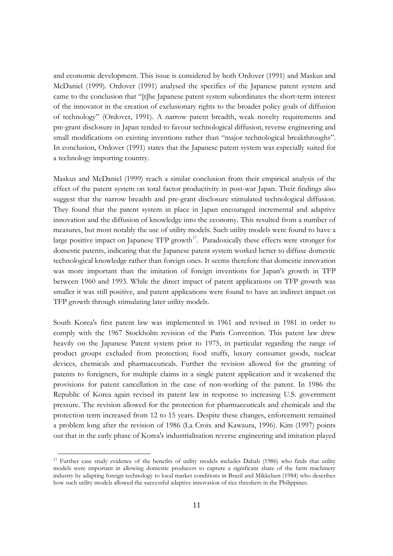and economic development. This issue is considered by both Ordover (1991) and Maskus and McDaniel (1999). Ordover (1991) analysed the specifics of the Japanese patent system and came to the conclusion that "[t]he Japanese patent system subordinates the short-term interest of the innovator in the creation of exclusionary rights to the broader policy goals of diffusion of technology" (Ordover, 1991). A narrow patent breadth, weak novelty requirements and pre-grant disclosure in Japan tended to favour technological diffusion, reverse engineering and small modifications on existing inventions rather than "major technological breakthroughs". In conclusion, Ordover (1991) states that the Japanese patent system was especially suited for a technology importing country.

Maskus and McDaniel (1999) reach a similar conclusion from their empirical analysis of the effect of the patent system on total factor productivity in post-war Japan. Their findings also suggest that the narrow breadth and pre-grant disclosure stimulated technological diffusion. They found that the patent system in place in Japan encouraged incremental and adaptive innovation and the diffusion of knowledge into the economy. This resulted from a number of measures, but most notably the use of utility models. Such utility models were found to have a large positive impact on Japanese TFP growth<sup>17</sup>. Paradoxically these effects were stronger for domestic patents, indicating that the Japanese patent system worked better to diffuse domestic technological knowledge rather than foreign ones. It seems therefore that domestic innovation was more important than the imitation of foreign inventions for Japan's growth in TFP between 1960 and 1993. While the direct impact of patent applications on TFP growth was smaller it was still positive, and patent applications were found to have an indirect impact on TFP growth through stimulating later utility models.

South Korea's first patent law was implemented in 1961 and revised in 1981 in order to comply with the 1967 Stockholm revision of the Paris Convention. This patent law drew heavily on the Japanese Patent system prior to 1975, in particular regarding the range of product groups excluded from protection; food stuffs, luxury consumer goods, nuclear devices, chemicals and pharmaceuticals. Further the revision allowed for the granting of patents to foreigners, for multiple claims in a single patent application and it weakened the provisions for patent cancellation in the case of non-working of the patent. In 1986 the Republic of Korea again revised its patent law in response to increasing U.S. government pressure. The revision allowed for the protection for pharmaceuticals and chemicals and the protection term increased from 12 to 15 years. Despite these changes, enforcement remained a problem long after the revision of 1986 (La Croix and Kawaura, 1996). Kim (1997) points out that in the early phase of Korea's industrialisation reverse engineering and imitation played

<sup>&</sup>lt;sup>17</sup> Further case study evidence of the benefits of utility models includes Dahab (1986) who finds that utility models were important in allowing domestic producers to capture a significant share of the farm machinery industry by adapting foreign technology to local market conditions in Brazil and Mikkelsen (1984) who describes how such utility models allowed the successful adaptive innovation of rice threshers in the Philippines.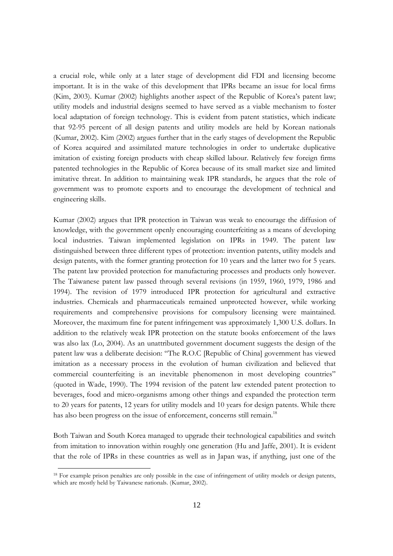a crucial role, while only at a later stage of development did FDI and licensing become important. It is in the wake of this development that IPRs became an issue for local firms (Kim, 2003). Kumar (2002) highlights another aspect of the Republic of Korea's patent law; utility models and industrial designs seemed to have served as a viable mechanism to foster local adaptation of foreign technology. This is evident from patent statistics, which indicate that 92-95 percent of all design patents and utility models are held by Korean nationals (Kumar, 2002). Kim (2002) argues further that in the early stages of development the Republic of Korea acquired and assimilated mature technologies in order to undertake duplicative imitation of existing foreign products with cheap skilled labour. Relatively few foreign firms patented technologies in the Republic of Korea because of its small market size and limited imitative threat. In addition to maintaining weak IPR standards, he argues that the role of government was to promote exports and to encourage the development of technical and engineering skills.

Kumar (2002) argues that IPR protection in Taiwan was weak to encourage the diffusion of knowledge, with the government openly encouraging counterfeiting as a means of developing local industries. Taiwan implemented legislation on IPRs in 1949. The patent law distinguished between three different types of protection: invention patents, utility models and design patents, with the former granting protection for 10 years and the latter two for 5 years. The patent law provided protection for manufacturing processes and products only however. The Taiwanese patent law passed through several revisions (in 1959, 1960, 1979, 1986 and 1994). The revision of 1979 introduced IPR protection for agricultural and extractive industries. Chemicals and pharmaceuticals remained unprotected however, while working requirements and comprehensive provisions for compulsory licensing were maintained. Moreover, the maximum fine for patent infringement was approximately 1,300 U.S. dollars. In addition to the relatively weak IPR protection on the statute books enforcement of the laws was also lax (Lo, 2004). As an unattributed government document suggests the design of the patent law was a deliberate decision: "The R.O.C [Republic of China] government has viewed imitation as a necessary process in the evolution of human civilization and believed that commercial counterfeiting is an inevitable phenomenon in most developing countries" (quoted in Wade, 1990). The 1994 revision of the patent law extended patent protection to beverages, food and micro-organisms among other things and expanded the protection term to 20 years for patents, 12 years for utility models and 10 years for design patents. While there has also been progress on the issue of enforcement, concerns still remain.<sup>18</sup>

Both Taiwan and South Korea managed to upgrade their technological capabilities and switch from imitation to innovation within roughly one generation (Hu and Jaffe, 2001). It is evident that the role of IPRs in these countries as well as in Japan was, if anything, just one of the

<sup>&</sup>lt;sup>18</sup> For example prison penalties are only possible in the case of infringement of utility models or design patents, which are mostly held by Taiwanese nationals. (Kumar, 2002).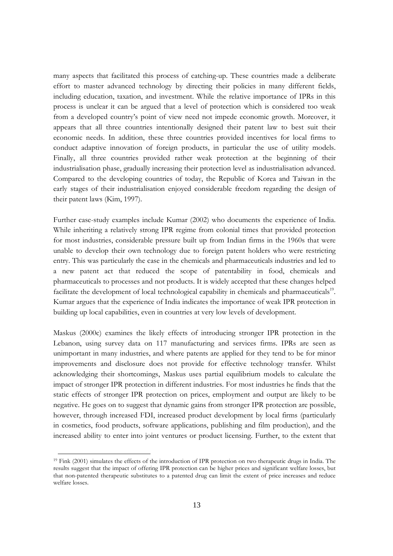many aspects that facilitated this process of catching-up. These countries made a deliberate effort to master advanced technology by directing their policies in many different fields, including education, taxation, and investment. While the relative importance of IPRs in this process is unclear it can be argued that a level of protection which is considered too weak from a developed country's point of view need not impede economic growth. Moreover, it appears that all three countries intentionally designed their patent law to best suit their economic needs. In addition, these three countries provided incentives for local firms to conduct adaptive innovation of foreign products, in particular the use of utility models. Finally, all three countries provided rather weak protection at the beginning of their industrialisation phase, gradually increasing their protection level as industrialisation advanced. Compared to the developing countries of today, the Republic of Korea and Taiwan in the early stages of their industrialisation enjoyed considerable freedom regarding the design of their patent laws (Kim, 1997).

Further case-study examples include Kumar (2002) who documents the experience of India. While inheriting a relatively strong IPR regime from colonial times that provided protection for most industries, considerable pressure built up from Indian firms in the 1960s that were unable to develop their own technology due to foreign patent holders who were restricting entry. This was particularly the case in the chemicals and pharmaceuticals industries and led to a new patent act that reduced the scope of patentability in food, chemicals and pharmaceuticals to processes and not products. It is widely accepted that these changes helped facilitate the development of local technological capability in chemicals and pharmaceuticals<sup>19</sup>. Kumar argues that the experience of India indicates the importance of weak IPR protection in building up local capabilities, even in countries at very low levels of development.

Maskus (2000c) examines the likely effects of introducing stronger IPR protection in the Lebanon, using survey data on 117 manufacturing and services firms. IPRs are seen as unimportant in many industries, and where patents are applied for they tend to be for minor improvements and disclosure does not provide for effective technology transfer. Whilst acknowledging their shortcomings, Maskus uses partial equilibrium models to calculate the impact of stronger IPR protection in different industries. For most industries he finds that the static effects of stronger IPR protection on prices, employment and output are likely to be negative. He goes on to suggest that dynamic gains from stronger IPR protection are possible, however, through increased FDI, increased product development by local firms (particularly in cosmetics, food products, software applications, publishing and film production), and the increased ability to enter into joint ventures or product licensing. Further, to the extent that

<sup>&</sup>lt;sup>19</sup> Fink (2001) simulates the effects of the introduction of IPR protection on two therapeutic drugs in India. The results suggest that the impact of offering IPR protection can be higher prices and significant welfare losses, but that non-patented therapeutic substitutes to a patented drug can limit the extent of price increases and reduce welfare losses.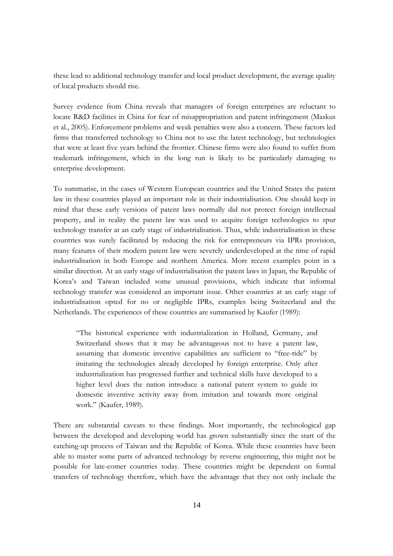these lead to additional technology transfer and local product development, the average quality of local products should rise.

Survey evidence from China reveals that managers of foreign enterprises are reluctant to locate R&D facilities in China for fear of misappropriation and patent infringement (Maskus et al., 2005). Enforcement problems and weak penalties were also a concern. These factors led firms that transferred technology to China not to use the latest technology, but technologies that were at least five years behind the frontier. Chinese firms were also found to suffer from trademark infringement, which in the long run is likely to be particularly damaging to enterprise development.

To summarise, in the cases of Western European countries and the United States the patent law in these countries played an important role in their industrialisation. One should keep in mind that these early versions of patent laws normally did not protect foreign intellectual property, and in reality the patent law was used to acquire foreign technologies to spur technology transfer at an early stage of industrialisation. Thus, while industrialisation in these countries was surely facilitated by reducing the risk for entrepreneurs via IPRs provision, many features of their modern patent law were severely underdeveloped at the time of rapid industrialisation in both Europe and northern America. More recent examples point in a similar direction. At an early stage of industrialisation the patent laws in Japan, the Republic of Korea's and Taiwan included some unusual provisions, which indicate that informal technology transfer was considered an important issue. Other countries at an early stage of industrialisation opted for no or negligible IPRs, examples being Switzerland and the Netherlands. The experiences of these countries are summarised by Kaufer (1989):

"The historical experience with industrialization in Holland, Germany, and Switzerland shows that it may be advantageous not to have a patent law, assuming that domestic inventive capabilities are sufficient to "free-ride" by imitating the technologies already developed by foreign enterprise. Only after industrialization has progressed further and technical skills have developed to a higher level does the nation introduce a national patent system to guide its domestic inventive activity away from imitation and towards more original work." (Kaufer, 1989).

There are substantial caveats to these findings. Most importantly, the technological gap between the developed and developing world has grown substantially since the start of the catching-up process of Taiwan and the Republic of Korea. While these countries have been able to master some parts of advanced technology by reverse engineering, this might not be possible for late-comer countries today. These countries might be dependent on formal transfers of technology therefore, which have the advantage that they not only include the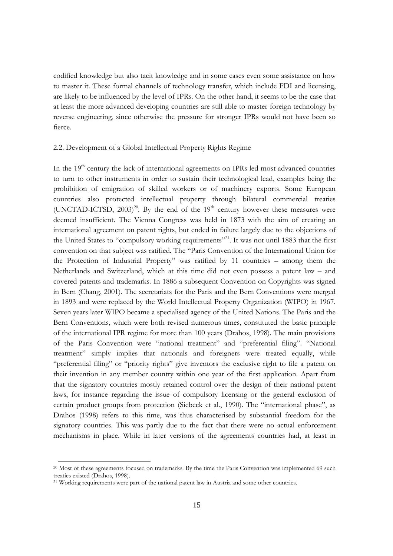codified knowledge but also tacit knowledge and in some cases even some assistance on how to master it. These formal channels of technology transfer, which include FDI and licensing, are likely to be influenced by the level of IPRs. On the other hand, it seems to be the case that at least the more advanced developing countries are still able to master foreign technology by reverse engineering, since otherwise the pressure for stronger IPRs would not have been so fierce.

## 2.2. Development of a Global Intellectual Property Rights Regime

In the 19<sup>th</sup> century the lack of international agreements on IPRs led most advanced countries to turn to other instruments in order to sustain their technological lead, examples being the prohibition of emigration of skilled workers or of machinery exports. Some European countries also protected intellectual property through bilateral commercial treaties (UNCTAD-ICTSD,  $2003)^{20}$ . By the end of the 19<sup>th</sup> century however these measures were deemed insufficient. The Vienna Congress was held in 1873 with the aim of creating an international agreement on patent rights, but ended in failure largely due to the objections of the United States to "compulsory working requirements"<sup>21</sup>. It was not until 1883 that the first convention on that subject was ratified. The "Paris Convention of the International Union for the Protection of Industrial Property" was ratified by 11 countries – among them the Netherlands and Switzerland, which at this time did not even possess a patent law – and covered patents and trademarks. In 1886 a subsequent Convention on Copyrights was signed in Bern (Chang, 2001). The secretariats for the Paris and the Bern Conventions were merged in 1893 and were replaced by the World Intellectual Property Organization (WIPO) in 1967. Seven years later WIPO became a specialised agency of the United Nations. The Paris and the Bern Conventions, which were both revised numerous times, constituted the basic principle of the international IPR regime for more than 100 years (Drahos, 1998). The main provisions of the Paris Convention were "national treatment" and "preferential filing". "National treatment" simply implies that nationals and foreigners were treated equally, while "preferential filing" or "priority rights" give inventors the exclusive right to file a patent on their invention in any member country within one year of the first application. Apart from that the signatory countries mostly retained control over the design of their national patent laws, for instance regarding the issue of compulsory licensing or the general exclusion of certain product groups from protection (Siebeck et al., 1990). The "international phase", as Drahos (1998) refers to this time, was thus characterised by substantial freedom for the signatory countries. This was partly due to the fact that there were no actual enforcement mechanisms in place. While in later versions of the agreements countries had, at least in

<sup>&</sup>lt;sup>20</sup> Most of these agreements focused on trademarks. By the time the Paris Convention was implemented 69 such treaties existed (Drahos, 1998).

<sup>&</sup>lt;sup>21</sup> Working requirements were part of the national patent law in Austria and some other countries.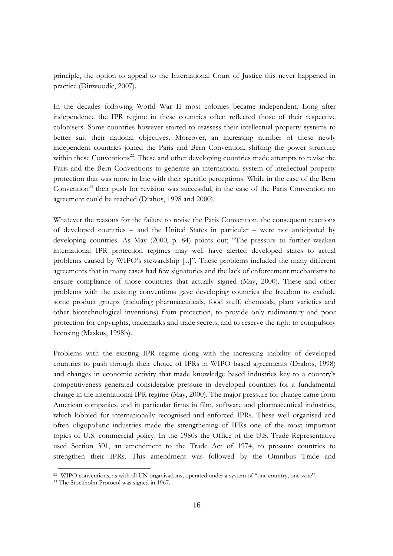principle, the option to appeal to the International Court of Justice this never happened in practice (Dinwoodie, 2007).

In the decades following World War II most colonies became independent. Long after independence the IPR regime in these countries often reflected those of their respective colonisers. Some countries however started to reassess their intellectual property systems to better suit their national objectives. Moreover, an increasing number of these newly independent countries joined the Paris and Bern Convention, shifting the power structure within these Conventions<sup>22</sup>. These and other developing countries made attempts to revise the Paris and the Bern Conventions to generate an international system of intellectual property protection that was more in line with their specific perceptions. While in the case of the Bern Convention<sup>23</sup> their push for revision was successful, in the case of the Paris Convention no agreement could be reached (Drahos, 1998 and 2000).

Whatever the reasons for the failure to revise the Paris Convention, the consequent reactions of developed countries – and the United States in particular – were not anticipated by developing countries. As May (2000, p. 84) points out; "The pressure to further weaken international IPR protection regimes may well have alerted developed states to actual problems caused by WIPO's stewardship [...]". These problems included the many different agreements that in many cases had few signatories and the lack of enforcement mechanisms to ensure compliance of those countries that actually signed (May, 2000). These and other problems with the existing conventions gave developing countries the freedom to exclude some product groups (including pharmaceuticals, food stuff, chemicals, plant varieties and other biotechnological inventions) from protection, to provide only rudimentary and poor protection for copyrights, trademarks and trade secrets, and to reserve the right to compulsory licensing (Maskus, 1998b).

Problems with the existing IPR regime along with the increasing inability of developed countries to push through their choice of IPRs in WIPO based agreements (Drahos, 1998) and changes in economic activity that made knowledge based industries key to a country's competitiveness generated considerable pressure in developed countries for a fundamental change in the international IPR regime (May, 2000). The major pressure for change came from American companies, and in particular firms in film, software and pharmaceutical industries, which lobbied for internationally recognised and enforced IPRs. These well organised and often oligopolistic industries made the strengthening of IPRs one of the most important topics of U.S. commercial policy. In the 1980s the Office of the U.S. Trade Representative used Section 301, an amendment to the Trade Act of 1974, to pressure countries to strengthen their IPRs. This amendment was followed by the Omnibus Trade and

<sup>&</sup>lt;sup>22</sup> WIPO conventions, as with all UN organisations, operated under a system of "one country, one vote".

<sup>&</sup>lt;sup>23</sup> The Stockholm Protocol was signed in 1967.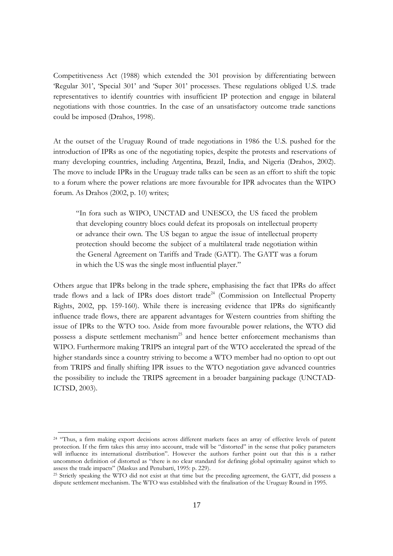Competitiveness Act (1988) which extended the 301 provision by differentiating between 'Regular 301', 'Special 301' and 'Super 301' processes. These regulations obliged U.S. trade representatives to identify countries with insufficient IP protection and engage in bilateral negotiations with those countries. In the case of an unsatisfactory outcome trade sanctions could be imposed (Drahos, 1998).

At the outset of the Uruguay Round of trade negotiations in 1986 the U.S. pushed for the introduction of IPRs as one of the negotiating topics, despite the protests and reservations of many developing countries, including Argentina, Brazil, India, and Nigeria (Drahos, 2002). The move to include IPRs in the Uruguay trade talks can be seen as an effort to shift the topic to a forum where the power relations are more favourable for IPR advocates than the WIPO forum. As Drahos (2002, p. 10) writes;

"In fora such as WIPO, UNCTAD and UNESCO, the US faced the problem that developing country blocs could defeat its proposals on intellectual property or advance their own. The US began to argue the issue of intellectual property protection should become the subject of a multilateral trade negotiation within the General Agreement on Tariffs and Trade (GATT). The GATT was a forum in which the US was the single most influential player."

Others argue that IPRs belong in the trade sphere, emphasising the fact that IPRs do affect trade flows and a lack of IPRs does distort trade<sup>24</sup> (Commission on Intellectual Property Rights, 2002, pp. 159-160). While there is increasing evidence that IPRs do significantly influence trade flows, there are apparent advantages for Western countries from shifting the issue of IPRs to the WTO too. Aside from more favourable power relations, the WTO did possess a dispute settlement mechanism<sup>25</sup> and hence better enforcement mechanisms than WIPO. Furthermore making TRIPS an integral part of the WTO accelerated the spread of the higher standards since a country striving to become a WTO member had no option to opt out from TRIPS and finally shifting IPR issues to the WTO negotiation gave advanced countries the possibility to include the TRIPS agreement in a broader bargaining package (UNCTAD-ICTSD, 2003).

<sup>&</sup>lt;sup>24</sup> "Thus, a firm making export decisions across different markets faces an array of effective levels of patent protection. If the firm takes this array into account, trade will be "distorted" in the sense that policy parameters will influence its international distribution". However the authors further point out that this is a rather uncommon definition of distorted as "there is no clear standard for defining global optimality against which to assess the trade impacts" (Maskus and Penubarti, 1995: p. 229).

<sup>&</sup>lt;sup>25</sup> Strictly speaking the WTO did not exist at that time but the preceding agreement, the GATT, did possess a dispute settlement mechanism. The WTO was established with the finalisation of the Uruguay Round in 1995.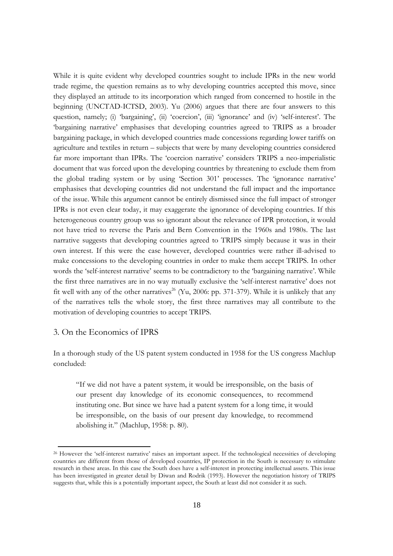While it is quite evident why developed countries sought to include IPRs in the new world trade regime, the question remains as to why developing countries accepted this move, since they displayed an attitude to its incorporation which ranged from concerned to hostile in the beginning (UNCTAD-ICTSD, 2003). Yu (2006) argues that there are four answers to this question, namely; (i) 'bargaining', (ii) 'coercion', (iii) 'ignorance' and (iv) 'self-interest'. The 'bargaining narrative' emphasises that developing countries agreed to TRIPS as a broader bargaining package, in which developed countries made concessions regarding lower tariffs on agriculture and textiles in return – subjects that were by many developing countries considered far more important than IPRs. The 'coercion narrative' considers TRIPS a neo-imperialistic document that was forced upon the developing countries by threatening to exclude them from the global trading system or by using 'Section 301' processes. The 'ignorance narrative' emphasises that developing countries did not understand the full impact and the importance of the issue. While this argument cannot be entirely dismissed since the full impact of stronger IPRs is not even clear today, it may exaggerate the ignorance of developing countries. If this heterogeneous country group was so ignorant about the relevance of IPR protection, it would not have tried to reverse the Paris and Bern Convention in the 1960s and 1980s. The last narrative suggests that developing countries agreed to TRIPS simply because it was in their own interest. If this were the case however, developed countries were rather ill-advised to make concessions to the developing countries in order to make them accept TRIPS. In other words the 'self-interest narrative' seems to be contradictory to the 'bargaining narrative'. While the first three narratives are in no way mutually exclusive the 'self-interest narrative' does not fit well with any of the other narratives<sup>26</sup> (Yu, 2006: pp. 371-379). While it is unlikely that any of the narratives tells the whole story, the first three narratives may all contribute to the motivation of developing countries to accept TRIPS.

## 3. On the Economics of IPRS

In a thorough study of the US patent system conducted in 1958 for the US congress Machlup concluded:

"If we did not have a patent system, it would be irresponsible, on the basis of our present day knowledge of its economic consequences, to recommend instituting one. But since we have had a patent system for a long time, it would be irresponsible, on the basis of our present day knowledge, to recommend abolishing it." (Machlup, 1958: p. 80).

<sup>&</sup>lt;sup>26</sup> However the 'self-interest narrative' raises an important aspect. If the technological necessities of developing countries are different from those of developed countries, IP protection in the South is necessary to stimulate research in these areas. In this case the South does have a self-interest in protecting intellectual assets. This issue has been investigated in greater detail by Diwan and Rodrik (1993). However the negotiation history of TRIPS suggests that, while this is a potentially important aspect, the South at least did not consider it as such.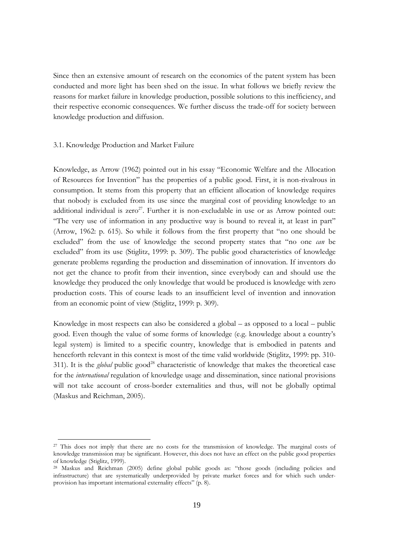Since then an extensive amount of research on the economics of the patent system has been conducted and more light has been shed on the issue. In what follows we briefly review the reasons for market failure in knowledge production, possible solutions to this inefficiency, and their respective economic consequences. We further discuss the trade-off for society between knowledge production and diffusion.

## 3.1. Knowledge Production and Market Failure

Knowledge, as Arrow (1962) pointed out in his essay "Economic Welfare and the Allocation of Resources for Invention" has the properties of a public good. First, it is non-rival rous in consumption. It stems from this property that an efficient allocation of knowledge requires that nobody is excluded from its use since the marginal cost of providing knowledge to an additional individual is zero<sup>27</sup>. Further it is non-excludable in use or as Arrow pointed out: "The very use of information in any productive way is bound to reveal it, at least in part" (Arrow, 1962: p. 615). So while it follows from the first property that "no one should be excluded" from the use of knowledge the second property states that "no one can be excluded" from its use (Stiglitz, 1999: p. 309). The public good characteristics of knowledge generate problems regarding the production and dissemination of innovation. If inventors do not get the chance to profit from their invention, since everybody can and should use the knowledge they produced the only knowledge that would be produced is knowledge with zero production costs. This of course leads to an insufficient level of invention and innovation from an economic point of view (Stiglitz, 1999: p. 309).

Knowledge in most respects can also be considered a global – as opposed to a local – public good. Even though the value of some forms of knowledge (e.g. knowledge about a country's legal system) is limited to a specific country, knowledge that is embodied in patents and henceforth relevant in this context is most of the time valid worldwide (Stiglitz, 1999: pp. 310-311). It is the *global* public good<sup>28</sup> characteristic of knowledge that makes the theoretical case for the *international* regulation of knowledge usage and dissemination, since national provisions will not take account of cross-border externalities and thus, will not be globally optimal (Maskus and Reichman, 2005).

<sup>&</sup>lt;sup>27</sup> This does not imply that there are no costs for the transmission of knowledge. The marginal costs of knowledge transmission may be significant. However, this does not have an effect on the public good properties of knowledge (Stiglitz, 1999).

<sup>&</sup>lt;sup>28</sup> Maskus and Reichman (2005) define global public goods as: "those goods (including policies and infrastructure) that are systematically underprovided by private market forces and for which such underprovision has important international externality effects" (p. 8).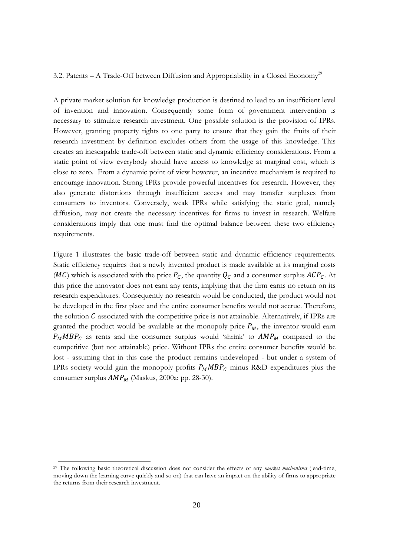## 3.2. Patents - A Trade-Off between Diffusion and Appropriability in a Closed Economy<sup>29</sup>

A private market solution for knowledge production is destined to lead to an insufficient level of invention and innovation. Consequently some form of government intervention is necessary to stimulate research investment. One possible solution is the provision of IPRs. However, granting property rights to one party to ensure that they gain the fruits of their research investment by definition excludes others from the usage of this knowledge. This creates an inescapable trade-off between static and dynamic efficiency considerations. From a static point of view everybody should have access to knowledge at marginal cost, which is close to zero. From a dynamic point of view however, an incentive mechanism is required to encourage innovation. Strong IPRs provide powerful incentives for research. However, they also generate distortions through insufficient access and may transfer surpluses from consumers to inventors. Conversely, weak IPRs while satisfying the static goal, namely diffusion, may not create the necessary incentives for firms to invest in research. Welfare considerations imply that one must find the optimal balance between these two efficiency requirements.

Figure 1 illustrates the basic trade-off between static and dynamic efficiency requirements. Static efficiency requires that a newly invented product is made available at its marginal costs (MC) which is associated with the price  $P_c$ , the quantity  $Q_c$  and a consumer surplus  $ACP_c$ . At this price the innovator does not earn any rents, implying that the firm earns no return on its research expenditures. Consequently no research would be conducted, the product would not be developed in the first place and the entire consumer benefits would not accrue. Therefore, the solution  $C$  associated with the competitive price is not attainable. Alternatively, if IPRs are granted the product would be available at the monopoly price  $P_M$ , the inventor would earn  $P_M M B P_C$  as rents and the consumer surplus would 'shrink' to  $A M P_M$  compared to the competitive (but not attainable) price. Without IPRs the entire consumer benefits would be lost - assuming that in this case the product remains undeveloped - but under a system of IPRs society would gain the monopoly profits  $P_M M B P_C$  minus R&D expenditures plus the consumer surplus  $AMP_M$  (Maskus, 2000a: pp. 28-30).

<sup>&</sup>lt;sup>29</sup> The following basic theoretical discussion does not consider the effects of any *market mechanisms* (lead-time, moving down the learning curve quickly and so on) that can have an impact on the ability of firms to appropriate the returns from their research investment.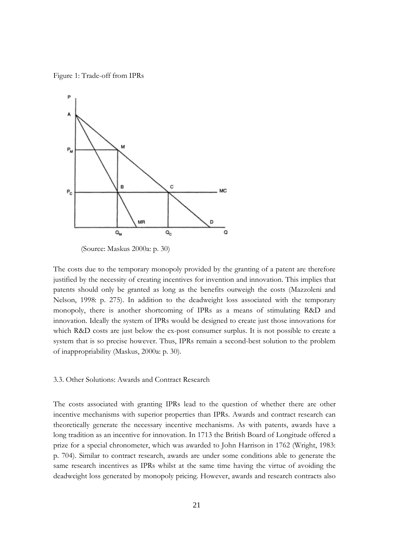Figure 1: Trade-off from IPRs



(Source: Maskus 2000a: p. 30)

The costs due to the temporary monopoly provided by the granting of a patent are therefore justified by the necessity of creating incentives for invention and innovation. This implies that patents should only be granted as long as the benefits outweigh the costs (Mazzoleni and Nelson, 1998: p. 275). In addition to the deadweight loss associated with the temporary monopoly, there is another shortcoming of IPRs as a means of stimulating R&D and innovation. Ideally the system of IPRs would be designed to create just those innovations for which R&D costs are just below the ex-post consumer surplus. It is not possible to create a system that is so precise however. Thus, IPRs remain a second-best solution to the problem of inappropriability (Maskus, 2000a: p. 30).

## 3.3. Other Solutions: Awards and Contract Research

The costs associated with granting IPRs lead to the question of whether there are other incentive mechanisms with superior properties than IPRs. Awards and contract research can theoretically generate the necessary incentive mechanisms. As with patents, awards have a long tradition as an incentive for innovation. In 1713 the British Board of Longitude offered a prize for a special chronometer, which was awarded to John Harrison in 1762 (Wright, 1983: p. 704). Similar to contract research, awards are under some conditions able to generate the same research incentives as IPRs whilst at the same time having the virtue of avoiding the deadweight loss generated by monopoly pricing. However, awards and research contracts also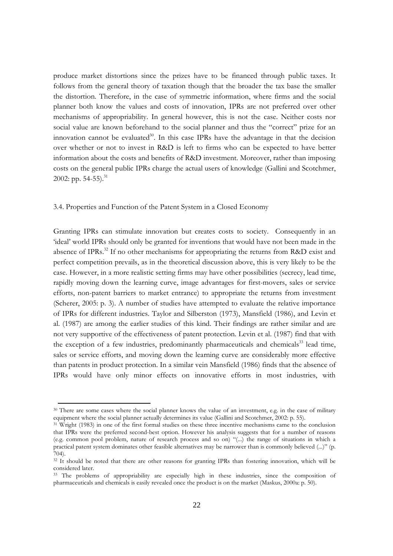produce market distortions since the prizes have to be financed through public taxes. It follows from the general theory of taxation though that the broader the tax base the smaller the distortion. Therefore, in the case of symmetric information, where firms and the social planner both know the values and costs of innovation, IPRs are not preferred over other mechanisms of appropriability. In general however, this is not the case. Neither costs nor social value are known beforehand to the social planner and thus the "correct" prize for an innovation cannot be evaluated<sup>30</sup>. In this case IPRs have the advantage in that the decision over whether or not to invest in R&D is left to firms who can be expected to have better information about the costs and benefits of R&D investment. Moreover, rather than imposing costs on the general public IPRs charge the actual users of knowledge (Gallini and Scotchmer, 2002: pp.  $54-55$ ).<sup>31</sup>

## 3.4. Properties and Function of the Patent System in a Closed Economy

Granting IPRs can stimulate innovation but creates costs to society. Consequently in an 'ideal' world IPRs should only be granted for inventions that would have not been made in the absence of IPRs.<sup>32</sup> If no other mechanisms for appropriating the returns from R&D exist and perfect competition prevails, as in the theoretical discussion above, this is very likely to be the case. However, in a more realistic setting firms may have other possibilities (secrecy, lead time, rapidly moving down the learning curve, image advantages for first-movers, sales or service efforts, non-patent barriers to market entrance) to appropriate the returns from investment (Scherer, 2005: p. 3). A number of studies have attempted to evaluate the relative importance of IPRs for different industries. Taylor and Silberston (1973), Mansfield (1986), and Levin et al. (1987) are among the earlier studies of this kind. Their findings are rather similar and are not very supportive of the effectiveness of patent protection. Levin et al. (1987) find that with the exception of a few industries, predominantly pharmaceuticals and chemicals<sup>33</sup> lead time, sales or service efforts, and moving down the learning curve are considerably more effective than patents in product protection. In a similar vein Mansfield (1986) finds that the absence of IPRs would have only minor effects on innovative efforts in most industries, with

<sup>30</sup> There are some cases where the social planner knows the value of an investment, e.g. in the case of military equipment where the social planner actually determines its value (Gallini and Scotchmer, 2002: p. 55).

<sup>&</sup>lt;sup>31</sup> Wright (1983) in one of the first formal studies on these three incentive mechanisms came to the conclusion that IPRs were the preferred second-best option. However his analysis suggests that for a number of reasons (e.g. common pool problem, nature of research process and so on) "(...) the range of situations in which a practical patent system dominates other feasible alternatives may be narrower than is commonly believed (...)" (p.  $704$ .

<sup>&</sup>lt;sup>32</sup> It should be noted that there are other reasons for granting IPRs than fostering innovation, which will be considered later.

<sup>33</sup> The problems of appropriability are especially high in these industries, since the composition of pharmaceuticals and chemicals is easily revealed once the product is on the market (Maskus, 2000a: p. 50).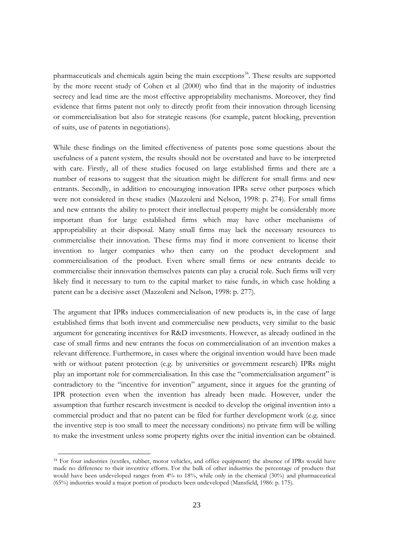pharmaceuticals and chemicals again being the main exceptions<sup>34</sup>. These results are supported by the more recent study of Cohen et al (2000) who find that in the majority of industries secrecy and lead time are the most effective appropriability mechanisms. Moreover, they find evidence that firms patent not only to directly profit from their innovation through licensing or commercialisation but also for strategic reasons (for example, patent blocking, prevention of suits, use of patents in negotiations).

While these findings on the limited effectiveness of patents pose some questions about the usefulness of a patent system, the results should not be overstated and have to be interpreted with care. Firstly, all of these studies focused on large established firms and there are a number of reasons to suggest that the situation might be different for small firms and new entrants. Secondly, in addition to encouraging innovation IPRs serve other purposes which were not considered in these studies (Mazzoleni and Nelson, 1998: p. 274). For small firms and new entrants the ability to protect their intellectual property might be considerably more important than for large established firms which may have other mechanisms of appropriability at their disposal. Many small firms may lack the necessary resources to commercialise their innovation. These firms may find it more convenient to license their invention to larger companies who then carry on the product development and commercialisation of the product. Even where small firms or new entrants decide to commercialise their innovation themselves patents can play a crucial role. Such firms will very likely find it necessary to turn to the capital market to raise funds, in which case holding a patent can be a decisive asset (Mazzoleni and Nelson, 1998: p. 277).

The argument that IPRs induces commercialisation of new products is, in the case of large established firms that both invent and commercialise new products, very similar to the basic argument for generating incentives for R&D investments. However, as already outlined in the case of small firms and new entrants the focus on commercialisation of an invention makes a relevant difference. Furthermore, in cases where the original invention would have been made with or without patent protection (e.g. by universities or government research) IPRs might play an important role for commercialisation. In this case the "commercialisation argument" is contradictory to the "incentive for invention" argument, since it argues for the granting of IPR protection even when the invention has already been made. However, under the assumption that further research investment is needed to develop the original invention into a commercial product and that no patent can be filed for further development work (e.g. since the inventive step is too small to meet the necessary conditions) no private firm will be willing to make the investment unless some property rights over the initial invention can be obtained.

<sup>&</sup>lt;sup>34</sup> For four industries (textiles, rubber, motor vehicles, and office equipment) the absence of IPRs would have made no difference to their inventive efforts. For the bulk of other industries the percentage of products that would have been undeveloped ranges from 4% to 18%, while only in the chemical (30%) and pharmaceutical (65%) industries would a major portion of products been undeveloped (Mansfield, 1986: p. 175).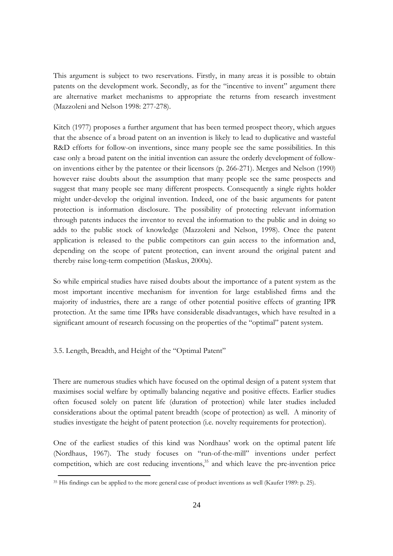This argument is subject to two reservations. Firstly, in many areas it is possible to obtain patents on the development work. Secondly, as for the "incentive to invent" argument there are alternative market mechanisms to appropriate the returns from research investment (Mazzoleni and Nelson 1998: 277-278).

Kitch (1977) proposes a further argument that has been termed prospect theory, which argues that the absence of a broad patent on an invention is likely to lead to duplicative and wasteful R&D efforts for follow-on inventions, since many people see the same possibilities. In this case only a broad patent on the initial invention can assure the orderly development of followon inventions either by the patentee or their licensors (p. 266-271). Merges and Nelson (1990) however raise doubts about the assumption that many people see the same prospects and suggest that many people see many different prospects. Consequently a single rights holder might under-develop the original invention. Indeed, one of the basic arguments for patent protection is information disclosure. The possibility of protecting relevant information through patents induces the inventor to reveal the information to the public and in doing so adds to the public stock of knowledge (Mazzoleni and Nelson, 1998). Once the patent application is released to the public competitors can gain access to the information and, depending on the scope of patent protection, can invent around the original patent and thereby raise long-term competition (Maskus, 2000a).

So while empirical studies have raised doubts about the importance of a patent system as the most important incentive mechanism for invention for large established firms and the majority of industries, there are a range of other potential positive effects of granting IPR protection. At the same time IPRs have considerable disadvantages, which have resulted in a significant amount of research focussing on the properties of the "optimal" patent system.

3.5. Length, Breadth, and Height of the "Optimal Patent"

There are numerous studies which have focused on the optimal design of a patent system that maximises social welfare by optimally balancing negative and positive effects. Earlier studies often focused solely on patent life (duration of protection) while later studies included considerations about the optimal patent breadth (scope of protection) as well. A minority of studies investigate the height of patent protection (i.e. novelty requirements for protection).

One of the earliest studies of this kind was Nordhaus' work on the optimal patent life (Nordhaus, 1967). The study focuses on "run-of-the-mill" inventions under perfect competition, which are cost reducing inventions,<sup>35</sup> and which leave the pre-invention price

<sup>&</sup>lt;sup>35</sup> His findings can be applied to the more general case of product inventions as well (Kaufer 1989: p. 25).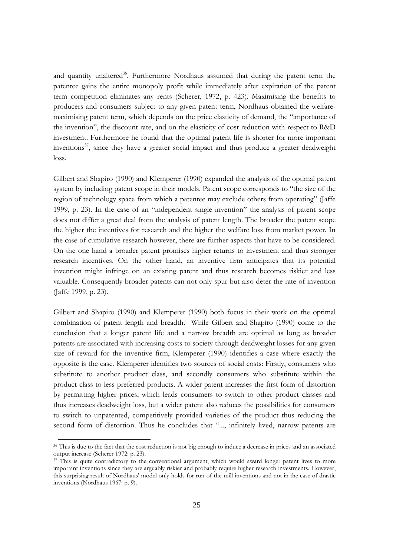and quantity unaltered<sup>36</sup>. Furthermore Nordhaus assumed that during the patent term the patentee gains the entire monopoly profit while immediately after expiration of the patent term competition eliminates any rents (Scherer, 1972, p. 423). Maximising the benefits to producers and consumers subject to any given patent term, Nordhaus obtained the welfaremaximising patent term, which depends on the price elasticity of demand, the "importance of the invention", the discount rate, and on the elasticity of cost reduction with respect to R&D investment. Furthermore he found that the optimal patent life is shorter for more important inventions<sup>37</sup>, since they have a greater social impact and thus produce a greater deadweight  $loss.$ 

Gilbert and Shapiro (1990) and Klemperer (1990) expanded the analysis of the optimal patent system by including patent scope in their models. Patent scope corresponds to "the size of the region of technology space from which a patentee may exclude others from operating" (Jaffe 1999, p. 23). In the case of an "independent single invention" the analysis of patent scope does not differ a great deal from the analysis of patent length. The broader the patent scope the higher the incentives for research and the higher the welfare loss from market power. In the case of cumulative research however, there are further aspects that have to be considered. On the one hand a broader patent promises higher returns to investment and thus stronger research incentives. On the other hand, an inventive firm anticipates that its potential invention might infringe on an existing patent and thus research becomes riskier and less valuable. Consequently broader patents can not only spur but also deter the rate of invention (Jaffe 1999, p. 23).

Gilbert and Shapiro (1990) and Klemperer (1990) both focus in their work on the optimal combination of patent length and breadth. While Gilbert and Shapiro (1990) come to the conclusion that a longer patent life and a narrow breadth are optimal as long as broader patents are associated with increasing costs to society through deadweight losses for any given size of reward for the inventive firm, Klemperer (1990) identifies a case where exactly the opposite is the case. Klemperer identifies two sources of social costs: Firstly, consumers who substitute to another product class, and secondly consumers who substitute within the product class to less preferred products. A wider patent increases the first form of distortion by permitting higher prices, which leads consumers to switch to other product classes and thus increases deadweight loss, but a wider patent also reduces the possibilities for consumers to switch to unpatented, competitively provided varieties of the product thus reducing the second form of distortion. Thus he concludes that "..., infinitely lived, narrow patents are

<sup>&</sup>lt;sup>36</sup> This is due to the fact that the cost reduction is not big enough to induce a decrease in prices and an associated output increase (Scherer 1972: p. 23).

<sup>37</sup> This is quite contradictory to the conventional argument, which would award longer patent lives to more important inventions since they are arguably riskier and probably require higher research investments. However, this surprising result of Nordhaus' model only holds for run-of-the-mill inventions and not in the case of drastic inventions (Nordhaus 1967: p. 9).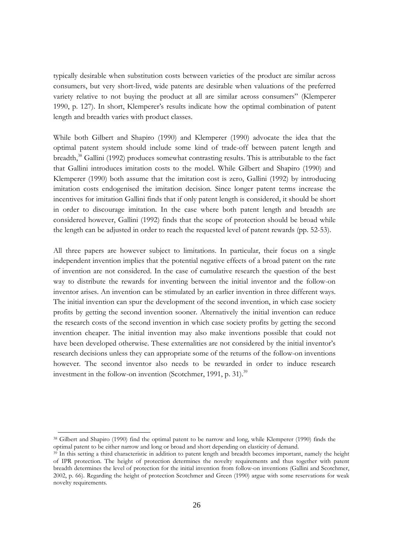typically desirable when substitution costs between varieties of the product are similar across consumers, but very short-lived, wide patents are desirable when valuations of the preferred variety relative to not buying the product at all are similar across consumers" (Klemperer 1990, p. 127). In short, Klemperer's results indicate how the optimal combination of patent length and breadth varies with product classes.

While both Gilbert and Shapiro (1990) and Klemperer (1990) advocate the idea that the optimal patent system should include some kind of trade-off between patent length and breadth,<sup>38</sup> Gallini (1992) produces somewhat contrasting results. This is attributable to the fact that Gallini introduces imitation costs to the model. While Gilbert and Shapiro (1990) and Klemperer (1990) both assume that the imitation cost is zero, Gallini (1992) by introducing imitation costs endogenised the imitation decision. Since longer patent terms increase the incentives for imitation Gallini finds that if only patent length is considered, it should be short in order to discourage imitation. In the case where both patent length and breadth are considered however, Gallini (1992) finds that the scope of protection should be broad while the length can be adjusted in order to reach the requested level of patent rewards (pp. 52-53).

All three papers are however subject to limitations. In particular, their focus on a single independent invention implies that the potential negative effects of a broad patent on the rate of invention are not considered. In the case of cumulative research the question of the best way to distribute the rewards for inventing between the initial inventor and the follow-on inventor arises. An invention can be stimulated by an earlier invention in three different ways. The initial invention can spur the development of the second invention, in which case society profits by getting the second invention sooner. Alternatively the initial invention can reduce the research costs of the second invention in which case society profits by getting the second invention cheaper. The initial invention may also make inventions possible that could not have been developed otherwise. These externalities are not considered by the initial inventor's research decisions unless they can appropriate some of the returns of the follow-on inventions however. The second inventor also needs to be rewarded in order to induce research investment in the follow-on invention (Scotchmer, 1991, p. 31).<sup>39</sup>

<sup>&</sup>lt;sup>38</sup> Gilbert and Shapiro (1990) find the optimal patent to be narrow and long, while Klemperer (1990) finds the optimal patent to be either narrow and long or broad and short depending on elasticity of demand.

<sup>&</sup>lt;sup>39</sup> In this setting a third characteristic in addition to patent length and breadth becomes important, namely the height of IPR protection. The height of protection determines the novelty requirements and thus together with patent breadth determines the level of protection for the initial invention from follow-on inventions (Gallini and Scotchmer, 2002, p. 66). Regarding the height of protection Scotchmer and Green (1990) argue with some reservations for weak novelty requirements.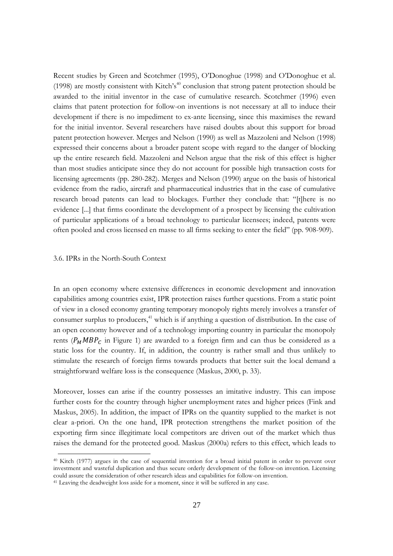Recent studies by Green and Scotchmer (1995), O'Donoghue (1998) and O'Donoghue et al. (1998) are mostly consistent with Kitch's<sup>40</sup> conclusion that strong patent protection should be awarded to the initial inventor in the case of cumulative research. Scotchmer (1996) even claims that patent protection for follow-on inventions is not necessary at all to induce their development if there is no impediment to ex-ante licensing, since this maximises the reward for the initial inventor. Several researchers have raised doubts about this support for broad patent protection however. Merges and Nelson (1990) as well as Mazzoleni and Nelson (1998) expressed their concerns about a broader patent scope with regard to the danger of blocking up the entire research field. Mazzoleni and Nelson argue that the risk of this effect is higher than most studies anticipate since they do not account for possible high transaction costs for licensing agreements (pp. 280-282). Merges and Nelson (1990) argue on the basis of historical evidence from the radio, aircraft and pharmaceutical industries that in the case of cumulative research broad patents can lead to blockages. Further they conclude that: "[t]here is no evidence [...] that firms coordinate the development of a prospect by licensing the cultivation of particular applications of a broad technology to particular licensees; indeed, patents were often pooled and cross licensed en masse to all firms seeking to enter the field" (pp. 908-909).

## 3.6. IPRs in the North-South Context

In an open economy where extensive differences in economic development and innovation capabilities among countries exist, IPR protection raises further questions. From a static point of view in a closed economy granting temporary monopoly rights merely involves a transfer of consumer surplus to producers,<sup>41</sup> which is if anything a question of distribution. In the case of an open economy however and of a technology importing country in particular the monopoly rents ( $P_M M B P_C$  in Figure 1) are awarded to a foreign firm and can thus be considered as a static loss for the country. If, in addition, the country is rather small and thus unlikely to stimulate the research of foreign firms towards products that better suit the local demand a straightforward welfare loss is the consequence (Maskus, 2000, p. 33).

Moreover, losses can arise if the country possesses an imitative industry. This can impose further costs for the country through higher unemployment rates and higher prices (Fink and Maskus, 2005). In addition, the impact of IPRs on the quantity supplied to the market is not clear a-priori. On the one hand, IPR protection strengthens the market position of the exporting firm since illegitimate local competitors are driven out of the market which thus raises the demand for the protected good. Maskus (2000a) refers to this effect, which leads to

<sup>&</sup>lt;sup>40</sup> Kitch (1977) argues in the case of sequential invention for a broad initial patent in order to prevent over investment and wasteful duplication and thus secure orderly development of the follow-on invention. Licensing could assure the consideration of other research ideas and capabilities for follow-on invention. <sup>41</sup> Leaving the deadweight loss aside for a moment, since it will be suffered in any case.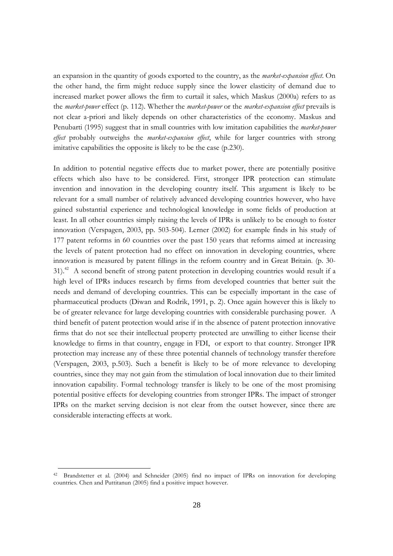an expansion in the quantity of goods exported to the country, as the *market-expansion effect*. On the other hand, the firm might reduce supply since the lower elasticity of demand due to increased market power allows the firm to curtail it sales, which Maskus (2000a) refers to as the market-power effect (p. 112). Whether the market-power or the market-expansion effect prevails is not clear a-priori and likely depends on other characteristics of the economy. Maskus and Penubarti (1995) suggest that in small countries with low imitation capabilities the *market-power* effect probably outweighs the market-expansion effect, while for larger countries with strong imitative capabilities the opposite is likely to be the case (p.230).

In addition to potential negative effects due to market power, there are potentially positive effects which also have to be considered. First, stronger IPR protection can stimulate invention and innovation in the developing country itself. This argument is likely to be relevant for a small number of relatively advanced developing countries however, who have gained substantial experience and technological knowledge in some fields of production at least. In all other countries simply raising the levels of IPRs is unlikely to be enough to foster innovation (Verspagen, 2003, pp. 503-504). Lerner (2002) for example finds in his study of 177 patent reforms in 60 countries over the past 150 years that reforms aimed at increasing the levels of patent protection had no effect on innovation in developing countries, where innovation is measured by patent fillings in the reform country and in Great Britain. (p. 30-31).<sup>42</sup> A second benefit of strong patent protection in developing countries would result if a high level of IPRs induces research by firms from developed countries that better suit the needs and demand of developing countries. This can be especially important in the case of pharmaceutical products (Diwan and Rodrik, 1991, p. 2). Once again however this is likely to be of greater relevance for large developing countries with considerable purchasing power. A third benefit of patent protection would arise if in the absence of patent protection innovative firms that do not see their intellectual property protected are unwilling to either license their knowledge to firms in that country, engage in FDI, or export to that country. Stronger IPR protection may increase any of these three potential channels of technology transfer therefore (Verspagen, 2003, p.503). Such a benefit is likely to be of more relevance to developing countries, since they may not gain from the stimulation of local innovation due to their limited innovation capability. Formal technology transfer is likely to be one of the most promising potential positive effects for developing countries from stronger IPRs. The impact of stronger IPRs on the market serving decision is not clear from the outset however, since there are considerable interacting effects at work.

<sup>&</sup>lt;sup>42</sup> Brandstetter et al. (2004) and Schneider (2005) find no impact of IPRs on innovation for developing countries. Chen and Puttitanun (2005) find a positive impact however.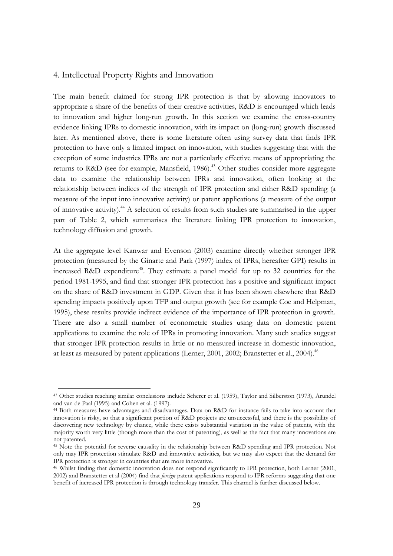## 4. Intellectual Property Rights and Innovation

The main benefit claimed for strong IPR protection is that by allowing innovators to appropriate a share of the benefits of their creative activities, R&D is encouraged which leads to innovation and higher long-run growth. In this section we examine the cross-country evidence linking IPRs to domestic innovation, with its impact on (long-run) growth discussed later. As mentioned above, there is some literature often using survey data that finds IPR protection to have only a limited impact on innovation, with studies suggesting that with the exception of some industries IPRs are not a particularly effective means of appropriating the returns to R&D (see for example, Mansfield, 1986).<sup>43</sup> Other studies consider more aggregate data to examine the relationship between IPRs and innovation, often looking at the relationship between indices of the strength of IPR protection and either R&D spending (a measure of the input into innovative activity) or patent applications (a measure of the output of innovative activity).<sup>44</sup> A selection of results from such studies are summarised in the upper part of Table 2, which summarises the literature linking IPR protection to innovation, technology diffusion and growth.

At the aggregate level Kanwar and Evenson (2003) examine directly whether stronger IPR protection (measured by the Ginarte and Park (1997) index of IPRs, hereafter GPI) results in increased R&D expenditure<sup>45</sup>. They estimate a panel model for up to 32 countries for the period 1981-1995, and find that stronger IPR protection has a positive and significant impact on the share of R&D investment in GDP. Given that it has been shown elsewhere that R&D spending impacts positively upon TFP and output growth (see for example Coe and Helpman, 1995), these results provide indirect evidence of the importance of IPR protection in growth. There are also a small number of econometric studies using data on domestic patent applications to examine the role of IPRs in promoting innovation. Many such studies suggest that stronger IPR protection results in little or no measured increase in domestic innovation, at least as measured by patent applications (Lerner, 2001, 2002; Branstetter et al., 2004).<sup>46</sup>

<sup>&</sup>lt;sup>43</sup> Other studies reaching similar conclusions include Scherer et al. (1959), Taylor and Silberston (1973), Arundel and van de Paal (1995) and Cohen et al. (1997).

<sup>&</sup>lt;sup>44</sup> Both measures have advantages and disadvantages. Data on R&D for instance fails to take into account that innovation is risky, so that a significant portion of R&D projects are unsuccessful, and there is the possibility of discovering new technology by chance, while there exists substantial variation in the value of patents, with the majority worth very little (though more than the cost of patenting), as well as the fact that many innovations are not patented.

<sup>&</sup>lt;sup>45</sup> Note the potential for reverse causality in the relationship between R&D spending and IPR protection. Not only may IPR protection stimulate R&D and innovative activities, but we may also expect that the demand for IPR protection is stronger in countries that are more innovative.

<sup>&</sup>lt;sup>46</sup> Whilst finding that domestic innovation does not respond significantly to IPR protection, both Lerner (2001, 2002) and Branstetter et al (2004) find that *foreign* patent applications respond to IPR reforms suggesting that one benefit of increased IPR protection is through technology transfer. This channel is further discussed below.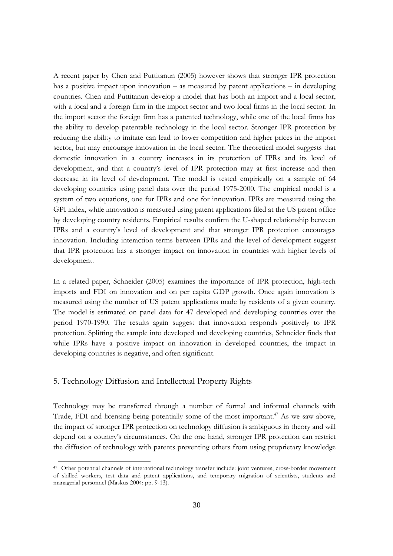A recent paper by Chen and Puttitanun (2005) however shows that stronger IPR protection has a positive impact upon innovation  $-$  as measured by patent applications  $-$  in developing countries. Chen and Puttitanun develop a model that has both an import and a local sector, with a local and a foreign firm in the import sector and two local firms in the local sector. In the import sector the foreign firm has a patented technology, while one of the local firms has the ability to develop patentable technology in the local sector. Stronger IPR protection by reducing the ability to imitate can lead to lower competition and higher prices in the import sector, but may encourage innovation in the local sector. The theoretical model suggests that domestic innovation in a country increases in its protection of IPRs and its level of development, and that a country's level of IPR protection may at first increase and then decrease in its level of development. The model is tested empirically on a sample of 64 developing countries using panel data over the period 1975-2000. The empirical model is a system of two equations, one for IPRs and one for innovation. IPRs are measured using the GPI index, while innovation is measured using patent applications filed at the US patent office by developing country residents. Empirical results confirm the U-shaped relationship between IPRs and a country's level of development and that stronger IPR protection encourages innovation. Including interaction terms between IPRs and the level of development suggest that IPR protection has a stronger impact on innovation in countries with higher levels of development.

In a related paper, Schneider (2005) examines the importance of IPR protection, high-tech imports and FDI on innovation and on per capita GDP growth. Once again innovation is measured using the number of US patent applications made by residents of a given country. The model is estimated on panel data for 47 developed and developing countries over the period 1970-1990. The results again suggest that innovation responds positively to IPR protection. Splitting the sample into developed and developing countries, Schneider finds that while IPRs have a positive impact on innovation in developed countries, the impact in developing countries is negative, and often significant.

## 5. Technology Diffusion and Intellectual Property Rights

Technology may be transferred through a number of formal and informal channels with Trade, FDI and licensing being potentially some of the most important.<sup>47</sup> As we saw above, the impact of stronger IPR protection on technology diffusion is ambiguous in theory and will depend on a country's circumstances. On the one hand, stronger IPR protection can restrict the diffusion of technology with patents preventing others from using proprietary knowledge

<sup>&</sup>lt;sup>47</sup> Other potential channels of international technology transfer include: joint ventures, cross-border movement of skilled workers, test data and patent applications, and temporary migration of scientists, students and managerial personnel (Maskus 2004: pp. 9-13).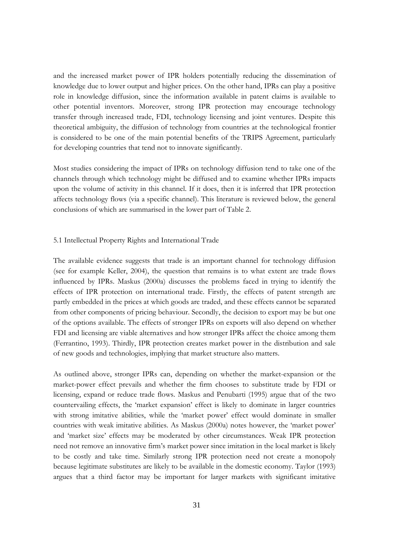and the increased market power of IPR holders potentially reducing the dissemination of knowledge due to lower output and higher prices. On the other hand, IPRs can play a positive role in knowledge diffusion, since the information available in patent claims is available to other potential inventors. Moreover, strong IPR protection may encourage technology transfer through increased trade, FDI, technology licensing and joint ventures. Despite this theoretical ambiguity, the diffusion of technology from countries at the technological frontier is considered to be one of the main potential benefits of the TRIPS Agreement, particularly for developing countries that tend not to innovate significantly.

Most studies considering the impact of IPRs on technology diffusion tend to take one of the channels through which technology might be diffused and to examine whether IPRs impacts upon the volume of activity in this channel. If it does, then it is inferred that IPR protection affects technology flows (via a specific channel). This literature is reviewed below, the general conclusions of which are summarised in the lower part of Table 2.

### 5.1 Intellectual Property Rights and International Trade

The available evidence suggests that trade is an important channel for technology diffusion (see for example Keller, 2004), the question that remains is to what extent are trade flows influenced by IPRs. Maskus (2000a) discusses the problems faced in trying to identify the effects of IPR protection on international trade. Firstly, the effects of patent strength are partly embedded in the prices at which goods are traded, and these effects cannot be separated from other components of pricing behaviour. Secondly, the decision to export may be but one of the options available. The effects of stronger IPRs on exports will also depend on whether FDI and licensing are viable alternatives and how stronger IPRs affect the choice among them (Ferrantino, 1993). Thirdly, IPR protection creates market power in the distribution and sale of new goods and technologies, implying that market structure also matters.

As outlined above, stronger IPRs can, depending on whether the market-expansion or the market-power effect prevails and whether the firm chooses to substitute trade by FDI or licensing, expand or reduce trade flows. Maskus and Penubarti (1995) argue that of the two countervailing effects, the 'market expansion' effect is likely to dominate in larger countries with strong imitative abilities, while the 'market power' effect would dominate in smaller countries with weak imitative abilities. As Maskus (2000a) notes however, the 'market power' and 'market size' effects may be moderated by other circumstances. Weak IPR protection need not remove an innovative firm's market power since imitation in the local market is likely to be costly and take time. Similarly strong IPR protection need not create a monopoly because legitimate substitutes are likely to be available in the domestic economy. Taylor (1993) argues that a third factor may be important for larger markets with significant imitative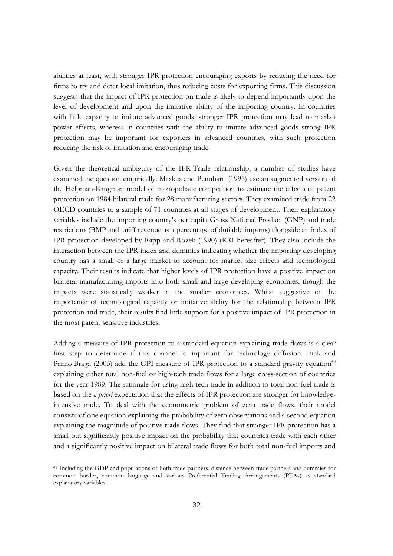abilities at least, with stronger IPR protection encouraging exports by reducing the need for firms to try and deter local imitation, thus reducing costs for exporting firms. This discussion suggests that the impact of IPR protection on trade is likely to depend importantly upon the level of development and upon the imitative ability of the importing country. In countries with little capacity to imitate advanced goods, stronger IPR protection may lead to market power effects, whereas in countries with the ability to imitate advanced goods strong IPR protection may be important for exporters in advanced countries, with such protection reducing the risk of imitation and encouraging trade.

Given the theoretical ambiguity of the IPR-Trade relationship, a number of studies have examined the question empirically. Maskus and Penubarti (1995) use an augmented version of the Helpman-Krugman model of monopolistic competition to estimate the effects of patent protection on 1984 bilateral trade for 28 manufacturing sectors. They examined trade from 22 OECD countries to a sample of 71 countries at all stages of development. Their explanatory variables include the importing country's per capita Gross National Product (GNP) and trade restrictions (BMP and tariff revenue as a percentage of dutiable imports) alongside an index of IPR protection developed by Rapp and Rozek (1990) (RRI hereafter). They also include the interaction between the IPR index and dummies indicating whether the importing developing country has a small or a large market to account for market size effects and technological capacity. Their results indicate that higher levels of IPR protection have a positive impact on bilateral manufacturing imports into both small and large developing economies, though the impacts were statistically weaker in the smaller economies. Whilst suggestive of the importance of technological capacity or imitative ability for the relationship between IPR protection and trade, their results find little support for a positive impact of IPR protection in the most patent sensitive industries.

Adding a measure of IPR protection to a standard equation explaining trade flows is a clear first step to determine if this channel is important for technology diffusion. Fink and Primo Braga (2005) add the GPI measure of IPR protection to a standard gravity equation<sup>48</sup> explaining either total non-fuel or high-tech trade flows for a large cross-section of countries for the year 1989. The rationale for using high-tech trade in addition to total non-fuel trade is based on the *a priori* expectation that the effects of IPR protection are stronger for knowledgeintensive trade. To deal with the econometric problem of zero trade flows, their model consists of one equation explaining the probability of zero observations and a second equation explaining the magnitude of positive trade flows. They find that stronger IPR protection has a small but significantly positive impact on the probability that countries trade with each other and a significantly positive impact on bilateral trade flows for both total non-fuel imports and

<sup>&</sup>lt;sup>48</sup> Including the GDP and populations of both trade partners, distance between trade partners and dummies for common border, common language and various Preferential Trading Arrangements (PTAs) as standard explanatory variables.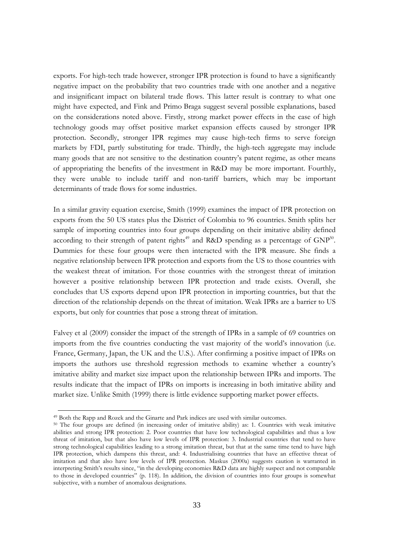exports. For high-tech trade however, stronger IPR protection is found to have a significantly negative impact on the probability that two countries trade with one another and a negative and insignificant impact on bilateral trade flows. This latter result is contrary to what one might have expected, and Fink and Primo Braga suggest several possible explanations, based on the considerations noted above. Firstly, strong market power effects in the case of high technology goods may offset positive market expansion effects caused by stronger IPR protection. Secondly, stronger IPR regimes may cause high-tech firms to serve foreign markets by FDI, partly substituting for trade. Thirdly, the high-tech aggregate may include many goods that are not sensitive to the destination country's patent regime, as other means of appropriating the benefits of the investment in R&D may be more important. Fourthly, they were unable to include tariff and non-tariff barriers, which may be important determinants of trade flows for some industries.

In a similar gravity equation exercise, Smith (1999) examines the impact of IPR protection on exports from the 50 US states plus the District of Colombia to 96 countries. Smith splits her sample of importing countries into four groups depending on their imitative ability defined according to their strength of patent rights<sup>49</sup> and R&D spending as a percentage of  $GNP<sup>50</sup>$ . Dummies for these four groups were then interacted with the IPR measure. She finds a negative relationship between IPR protection and exports from the US to those countries with the weakest threat of imitation. For those countries with the strongest threat of imitation however a positive relationship between IPR protection and trade exists. Overall, she concludes that US exports depend upon IPR protection in importing countries, but that the direction of the relationship depends on the threat of imitation. Weak IPRs are a barrier to US exports, but only for countries that pose a strong threat of imitation.

Falvey et al (2009) consider the impact of the strength of IPRs in a sample of 69 countries on imports from the five countries conducting the vast majority of the world's innovation (i.e. France, Germany, Japan, the UK and the U.S.). After confirming a positive impact of IPRs on imports the authors use threshold regression methods to examine whether a country's imitative ability and market size impact upon the relationship between IPRs and imports. The results indicate that the impact of IPRs on imports is increasing in both imitative ability and market size. Unlike Smith (1999) there is little evidence supporting market power effects.

<sup>&</sup>lt;sup>49</sup> Both the Rapp and Rozek and the Ginarte and Park indices are used with similar outcomes.

<sup>&</sup>lt;sup>50</sup> The four groups are defined (in increasing order of imitative ability) as: 1. Countries with weak imitative abilities and strong IPR protection: 2. Poor countries that have low technological capabilities and thus a low threat of imitation, but that also have low levels of IPR protection: 3. Industrial countries that tend to have strong technological capabilities leading to a strong imitation threat, but that at the same time tend to have high IPR protection, which dampens this threat, and: 4. Industrialising countries that have an effective threat of imitation and that also have low levels of IPR protection. Maskus (2000a) suggests caution is warranted in interpreting Smith's results since, "in the developing economies R&D data are highly suspect and not comparable to those in developed countries" (p. 118). In addition, the division of countries into four groups is somewhat subjective, with a number of anomalous designations.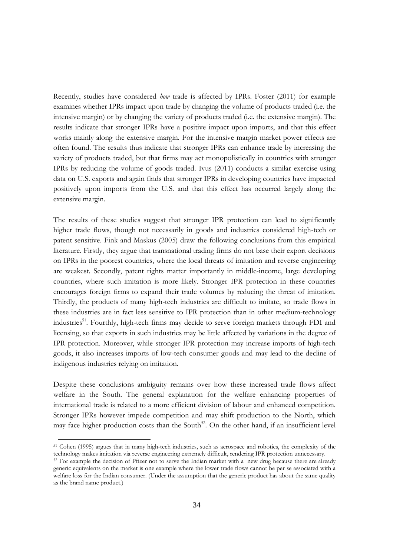Recently, studies have considered *how* trade is affected by IPRs. Foster (2011) for example examines whether IPRs impact upon trade by changing the volume of products traded (i.e. the intensive margin) or by changing the variety of products traded (i.e. the extensive margin). The results indicate that stronger IPRs have a positive impact upon imports, and that this effect works mainly along the extensive margin. For the intensive margin market power effects are often found. The results thus indicate that stronger IPRs can enhance trade by increasing the variety of products traded, but that firms may act monopolistically in countries with stronger IPRs by reducing the volume of goods traded. Ivus (2011) conducts a similar exercise using data on U.S. exports and again finds that stronger IPRs in developing countries have impacted positively upon imports from the U.S. and that this effect has occurred largely along the extensive margin.

The results of these studies suggest that stronger IPR protection can lead to significantly higher trade flows, though not necessarily in goods and industries considered high-tech or patent sensitive. Fink and Maskus (2005) draw the following conclusions from this empirical literature. Firstly, they argue that transnational trading firms do not base their export decisions on IPRs in the poorest countries, where the local threats of imitation and reverse engineering are weakest. Secondly, patent rights matter importantly in middle-income, large developing countries, where such imitation is more likely. Stronger IPR protection in these countries encourages foreign firms to expand their trade volumes by reducing the threat of imitation. Thirdly, the products of many high-tech industries are difficult to imitate, so trade flows in these industries are in fact less sensitive to IPR protection than in other medium-technology industries<sup>51</sup>. Fourthly, high-tech firms may decide to serve foreign markets through FDI and licensing, so that exports in such industries may be little affected by variations in the degree of IPR protection. Moreover, while stronger IPR protection may increase imports of high-tech goods, it also increases imports of low-tech consumer goods and may lead to the decline of indigenous industries relying on imitation.

Despite these conclusions ambiguity remains over how these increased trade flows affect welfare in the South. The general explanation for the welfare enhancing properties of international trade is related to a more efficient division of labour and enhanced competition. Stronger IPRs however impede competition and may shift production to the North, which may face higher production costs than the South<sup>52</sup>. On the other hand, if an insufficient level

<sup>&</sup>lt;sup>51</sup> Cohen (1995) argues that in many high-tech industries, such as aerospace and robotics, the complexity of the technology makes imitation via reverse engineering extremely difficult, rendering IPR protection unnecessary.

<sup>&</sup>lt;sup>52</sup> For example the decision of Pfizer not to serve the Indian market with a new drug because there are already generic equivalents on the market is one example where the lower trade flows cannot be per se associated with a welfare loss for the Indian consumer. (Under the assumption that the generic product has about the same quality as the brand name product.)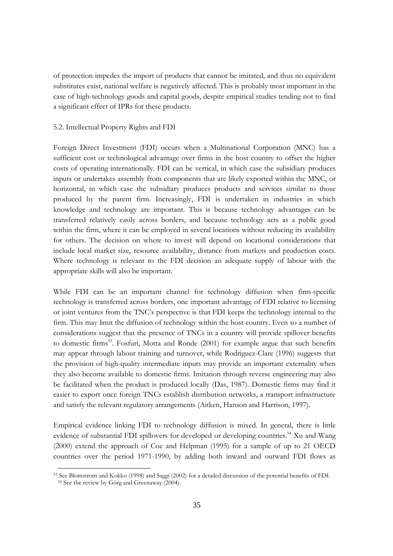of protection impedes the import of products that cannot be imitated, and thus no equivalent substitutes exist, national welfare is negatively affected. This is probably most important in the case of high-technology goods and capital goods, despite empirical studies tending not to find a significant effect of IPRs for these products.

## 5.2. Intellectual Property Rights and FDI

Foreign Direct Investment (FDI) occurs when a Multinational Corporation (MNC) has a sufficient cost or technological advantage over firms in the host country to offset the higher costs of operating internationally. FDI can be vertical, in which case the subsidiary produces inputs or undertakes assembly from components that are likely exported within the MNC, or horizontal, in which case the subsidiary produces products and services similar to those produced by the parent firm. Increasingly, FDI is undertaken in industries in which knowledge and technology are important. This is because technology advantages can be transferred relatively easily across borders, and because technology acts as a public good within the firm, where it can be employed in several locations without reducing its availability for others. The decision on where to invest will depend on locational considerations that include local market size, resource availability, distance from markets and production costs. Where technology is relevant to the FDI decision an adequate supply of labour with the appropriate skills will also be important.

While FDI can be an important channel for technology diffusion when firm-specific technology is transferred across borders, one important advantage of FDI relative to licensing or joint ventures from the TNC's perspective is that FDI keeps the technology internal to the firm. This may limit the diffusion of technology within the host country. Even so a number of considerations suggest that the presence of TNCs in a country will provide spillover benefits to domestic firms<sup>53</sup>. Fosfuri, Motta and Ronde (2001) for example argue that such benefits may appear through labour training and turnover, while Rodriguez-Clare (1996) suggests that the provision of high-quality intermediate inputs may provide an important externality when they also become available to domestic firms. Imitation through reverse engineering may also be facilitated when the product is produced locally (Das, 1987). Domestic firms may find it easier to export once foreign TNCs establish distribution networks, a transport infrastructure and satisfy the relevant regulatory arrangements (Aitken, Hanson and Harrison, 1997).

Empirical evidence linking FDI to technology diffusion is mixed. In general, there is little evidence of substantial FDI spillovers for developed or developing countries.<sup>54</sup> Xu and Wang (2000) extend the approach of Coe and Helpman (1995) for a sample of up to 21 OECD countries over the period 1971-1990, by adding both inward and outward FDI flows as

<sup>&</sup>lt;sup>53</sup> See Blomstrom and Kokko (1998) and Saggi (2002) for a detailed discussion of the potential benefits of FDI. <sup>54</sup> See the review by Görg and Greenaway (2004).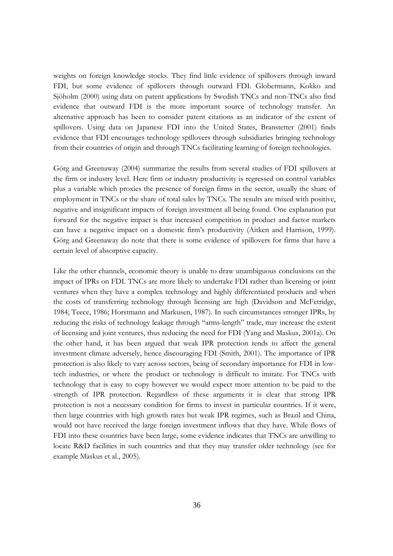weights on foreign knowledge stocks. They find little evidence of spillovers through inward FDI, but some evidence of spillovers through outward FDI. Globermann, Kokko and Sjöholm (2000) using data on patent applications by Swedish TNCs and non-TNCs also find evidence that outward FDI is the more important source of technology transfer. An alternative approach has been to consider patent citations as an indicator of the extent of spillovers. Using data on Japanese FDI into the United States, Branstetter (2001) finds evidence that FDI encourages technology spillovers through subsidiaries bringing technology from their countries of origin and through TNCs facilitating learning of foreign technologies.

Görg and Greenaway (2004) summarize the results from several studies of FDI spillovers at the firm or industry level. Here firm or industry productivity is regressed on control variables plus a variable which proxies the presence of foreign firms in the sector, usually the share of employment in TNCs or the share of total sales by TNCs. The results are mixed with positive, negative and insignificant impacts of foreign investment all being found. One explanation put forward for the negative impact is that increased competition in product and factor markets can have a negative impact on a domestic firm's productivity (Aitken and Harrison, 1999). Görg and Greenaway do note that there is some evidence of spillovers for firms that have a certain level of absorptive capacity.

Like the other channels, economic theory is unable to draw unambiguous conclusions on the impact of IPRs on FDI. TNCs are more likely to undertake FDI rather than licensing or joint ventures when they have a complex technology and highly differentiated products and when the costs of transferring technology through licensing are high (Davidson and McFetridge, 1984; Teece, 1986; Horstmann and Markusen, 1987). In such circumstances stronger IPRs, by reducing the risks of technology leakage through "arms-length" trade, may increase the extent of licensing and joint ventures, thus reducing the need for FDI (Yang and Maskus, 2001a). On the other hand, it has been argued that weak IPR protection tends to affect the general investment climate adversely, hence discouraging FDI (Smith, 2001). The importance of IPR protection is also likely to vary across sectors, being of secondary importance for FDI in lowtech industries, or where the product or technology is difficult to imitate. For TNCs with technology that is easy to copy however we would expect more attention to be paid to the strength of IPR protection. Regardless of these arguments it is clear that strong IPR protection is not a necessary condition for firms to invest in particular countries. If it were, then large countries with high growth rates but weak IPR regimes, such as Brazil and China, would not have received the large foreign investment inflows that they have. While flows of FDI into these countries have been large, some evidence indicates that TNCs are unwilling to locate R&D facilities in such countries and that they may transfer older technology (see for example Maskus et al., 2005).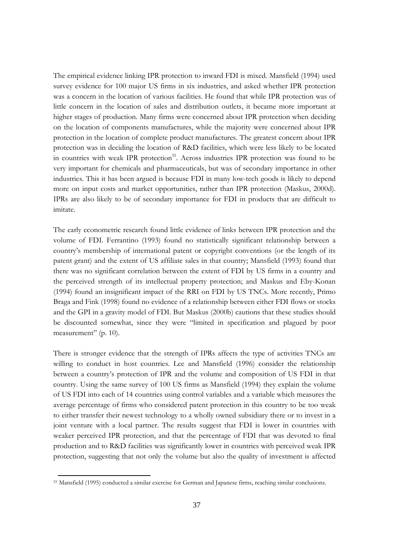The empirical evidence linking IPR protection to inward FDI is mixed. Mansfield (1994) used survey evidence for 100 major US firms in six industries, and asked whether IPR protection was a concern in the location of various facilities. He found that while IPR protection was of little concern in the location of sales and distribution outlets, it became more important at higher stages of production. Many firms were concerned about IPR protection when deciding on the location of components manufactures, while the majority were concerned about IPR protection in the location of complete product manufactures. The greatest concern about IPR protection was in deciding the location of R&D facilities, which were less likely to be located in countries with weak IPR protection<sup>55</sup>. Across industries IPR protection was found to be very important for chemicals and pharmaceuticals, but was of secondary importance in other industries. This it has been argued is because FDI in many low-tech goods is likely to depend more on input costs and market opportunities, rather than IPR protection (Maskus, 2000d). IPRs are also likely to be of secondary importance for FDI in products that are difficult to imitate.

The early econometric research found little evidence of links between IPR protection and the volume of FDI. Ferrantino (1993) found no statistically significant relationship between a country's membership of international patent or copyright conventions (or the length of its patent grant) and the extent of US affiliate sales in that country; Mansfield (1993) found that there was no significant correlation between the extent of FDI by US firms in a country and the perceived strength of its intellectual property protection; and Maskus and Eby-Konan (1994) found an insignificant impact of the RRI on FDI by US TNCs. More recently, Primo Braga and Fink (1998) found no evidence of a relationship between either FDI flows or stocks and the GPI in a gravity model of FDI. But Maskus (2000b) cautions that these studies should be discounted somewhat, since they were "limited in specification and plagued by poor measurement" (p. 10).

There is stronger evidence that the strength of IPRs affects the type of activities TNCs are willing to conduct in host countries. Lee and Mansfield (1996) consider the relationship between a country's protection of IPR and the volume and composition of US FDI in that country. Using the same survey of 100 US firms as Mansfield (1994) they explain the volume of US FDI into each of 14 countries using control variables and a variable which measures the average percentage of firms who considered patent protection in this country to be too weak to either transfer their newest technology to a wholly owned subsidiary there or to invest in a joint venture with a local partner. The results suggest that FDI is lower in countries with weaker perceived IPR protection, and that the percentage of FDI that was devoted to final production and to R&D facilities was significantly lower in countries with perceived weak IPR protection, suggesting that not only the volume but also the quality of investment is affected

<sup>&</sup>lt;sup>55</sup> Mansfield (1995) conducted a similar exercise for German and Japanese firms, reaching similar conclusions.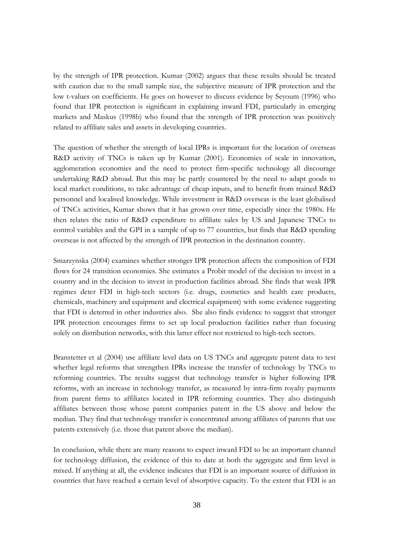by the strength of IPR protection. Kumar (2002) argues that these results should be treated with caution due to the small sample size, the subjective measure of IPR protection and the low t-values on coefficients. He goes on however to discuss evidence by Seyoum (1996) who found that IPR protection is significant in explaining inward FDI, particularly in emerging markets and Maskus (1998b) who found that the strength of IPR protection was positively related to affiliate sales and assets in developing countries.

The question of whether the strength of local IPRs is important for the location of overseas R&D activity of TNCs is taken up by Kumar (2001). Economies of scale in innovation, agglomeration economies and the need to protect firm-specific technology all discourage undertaking R&D abroad. But this may be partly countered by the need to adapt goods to local market conditions, to take advantage of cheap inputs, and to benefit from trained R&D personnel and localised knowledge. While investment in R&D overseas is the least globalised of TNCs activities, Kumar shows that it has grown over time, especially since the 1980s. He then relates the ratio of R&D expenditure to affiliate sales by US and Japanese TNCs to control variables and the GPI in a sample of up to 77 countries, but finds that R&D spending overseas is not affected by the strength of IPR protection in the destination country.

Smarzynska (2004) examines whether stronger IPR protection affects the composition of FDI flows for 24 transition economies. She estimates a Probit model of the decision to invest in a country and in the decision to invest in production facilities abroad. She finds that weak IPR regimes deter FDI in high-tech sectors (i.e. drugs, cosmetics and health care products, chemicals, machinery and equipment and electrical equipment) with some evidence suggesting that FDI is deterred in other industries also. She also finds evidence to suggest that stronger IPR protection encourages firms to set up local production facilities rather than focusing solely on distribution networks, with this latter effect not restricted to high-tech sectors.

Branstetter et al (2004) use affiliate level data on US TNCs and aggregate patent data to test whether legal reforms that strengthen IPRs increase the transfer of technology by TNCs to reforming countries. The results suggest that technology transfer is higher following IPR reforms, with an increase in technology transfer, as measured by intra-firm royalty payments from parent firms to affiliates located in IPR reforming countries. They also distinguish affiliates between those whose parent companies patent in the US above and below the median. They find that technology transfer is concentrated among affiliates of parents that use patents extensively (i.e. those that patent above the median).

In conclusion, while there are many reasons to expect inward FDI to be an important channel for technology diffusion, the evidence of this to date at both the aggregate and firm level is mixed. If anything at all, the evidence indicates that FDI is an important source of diffusion in countries that have reached a certain level of absorptive capacity. To the extent that FDI is an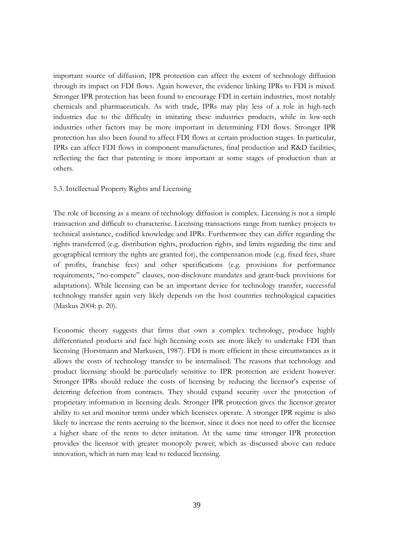important source of diffusion, IPR protection can affect the extent of technology diffusion through its impact on FDI flows. Again however, the evidence linking IPRs to FDI is mixed. Stronger IPR protection has been found to encourage FDI in certain industries, most notably chemicals and pharmaceuticals. As with trade, IPRs may play less of a role in high-tech industries due to the difficulty in imitating these industries products, while in low-tech industries other factors may be more important in determining FDI flows. Stronger IPR protection has also been found to affect FDI flows at certain production stages. In particular, IPRs can affect FDI flows in component manufactures, final production and R&D facilities, reflecting the fact that patenting is more important at some stages of production than at others.

## 5.3. Intellectual Property Rights and Licensing

The role of licensing as a means of technology diffusion is complex. Licensing is not a simple transaction and difficult to characterise. Licensing transactions range from turnkey projects to technical assistance, codified knowledge and IPRs. Furthermore they can differ regarding the rights transferred (e.g. distribution rights, production rights, and limits regarding the time and geographical territory the rights are granted for), the compensation mode (e.g. fixed fees, share of profits, franchise fees) and other specifications (e.g. provisions for performance requirements, "no-compete" clauses, non-disclosure mandates and grant-back provisions for adaptations). While licensing can be an important device for technology transfer, successful technology transfer again very likely depends on the host countries technological capacities (Maskus 2004: p. 20).

Economic theory suggests that firms that own a complex technology, produce highly differentiated products and face high licensing costs are more likely to undertake FDI than licensing (Horstmann and Markusen, 1987). FDI is more efficient in these circumstances as it allows the costs of technology transfer to be internalised. The reasons that technology and product licensing should be particularly sensitive to IPR protection are evident however. Stronger IPRs should reduce the costs of licensing by reducing the licensor's expense of deterring defection from contracts. They should expand security over the protection of proprietary information in licensing deals. Stronger IPR protection gives the licensor greater ability to set and monitor terms under which licensees operate. A stronger IPR regime is also likely to increase the rents accruing to the licensor, since it does not need to offer the licensee a higher share of the rents to deter imitation. At the same time stronger IPR protection provides the licensor with greater monopoly power, which as discussed above can reduce innovation, which in turn may lead to reduced licensing.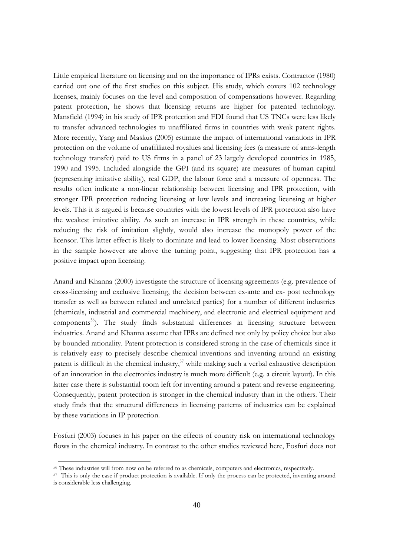Little empirical literature on licensing and on the importance of IPRs exists. Contractor (1980) carried out one of the first studies on this subject. His study, which covers 102 technology licenses, mainly focuses on the level and composition of compensations however. Regarding patent protection, he shows that licensing returns are higher for patented technology. Mansfield (1994) in his study of IPR protection and FDI found that US TNCs were less likely to transfer advanced technologies to unaffiliated firms in countries with weak patent rights. More recently, Yang and Maskus (2005) estimate the impact of international variations in IPR protection on the volume of unaffiliated royalties and licensing fees (a measure of arms-length technology transfer) paid to US firms in a panel of 23 largely developed countries in 1985, 1990 and 1995. Included alongside the GPI (and its square) are measures of human capital (representing imitative ability), real GDP, the labour force and a measure of openness. The results often indicate a non-linear relationship between licensing and IPR protection, with stronger IPR protection reducing licensing at low levels and increasing licensing at higher levels. This it is argued is because countries with the lowest levels of IPR protection also have the weakest imitative ability. As such an increase in IPR strength in these countries, while reducing the risk of imitation slightly, would also increase the monopoly power of the licensor. This latter effect is likely to dominate and lead to lower licensing. Most observations in the sample however are above the turning point, suggesting that IPR protection has a positive impact upon licensing.

Anand and Khanna (2000) investigate the structure of licensing agreements (e.g. prevalence of cross-licensing and exclusive licensing, the decision between ex-ante and ex- post technology transfer as well as between related and unrelated parties) for a number of different industries (chemicals, industrial and commercial machinery, and electronic and electrical equipment and components<sup>56</sup>). The study finds substantial differences in licensing structure between industries. Anand and Khanna assume that IPRs are defined not only by policy choice but also by bounded rationality. Patent protection is considered strong in the case of chemicals since it is relatively easy to precisely describe chemical inventions and inventing around an existing patent is difficult in the chemical industry,  $57$  while making such a verbal exhaustive description of an innovation in the electronics industry is much more difficult (e.g. a circuit layout). In this latter case there is substantial room left for inventing around a patent and reverse engineering. Consequently, patent protection is stronger in the chemical industry than in the others. Their study finds that the structural differences in licensing patterns of industries can be explained by these variations in IP protection.

Fosfuri (2003) focuses in his paper on the effects of country risk on international technology flows in the chemical industry. In contrast to the other studies reviewed here, Fosfuri does not

<sup>&</sup>lt;sup>56</sup> These industries will from now on be referred to as chemicals, computers and electronics, respectively.

<sup>&</sup>lt;sup>57</sup> This is only the case if product protection is available. If only the process can be protected, inventing around is considerable less challenging.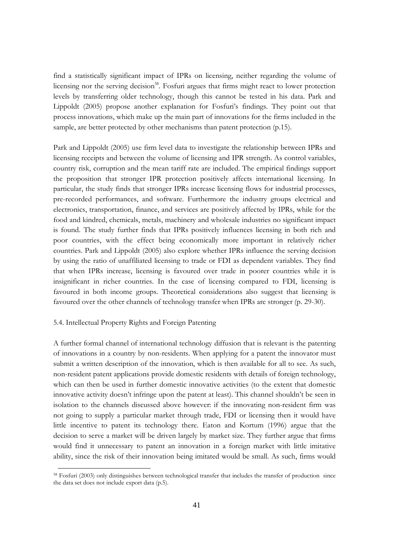find a statistically significant impact of IPRs on licensing, neither regarding the volume of licensing nor the serving decision<sup>58</sup>. Fosfuri argues that firms might react to lower protection levels by transferring older technology, though this cannot be tested in his data. Park and Lippoldt (2005) propose another explanation for Fosfuri's findings. They point out that process innovations, which make up the main part of innovations for the firms included in the sample, are better protected by other mechanisms than patent protection (p.15).

Park and Lippoldt (2005) use firm level data to investigate the relationship between IPRs and licensing receipts and between the volume of licensing and IPR strength. As control variables, country risk, corruption and the mean tariff rate are included. The empirical findings support the proposition that stronger IPR protection positively affects international licensing. In particular, the study finds that stronger IPRs increase licensing flows for industrial processes, pre-recorded performances, and software. Furthermore the industry groups electrical and electronics, transportation, finance, and services are positively affected by IPRs, while for the food and kindred, chemicals, metals, machinery and wholesale industries no significant impact is found. The study further finds that IPRs positively influences licensing in both rich and poor countries, with the effect being economically more important in relatively richer countries. Park and Lippoldt (2005) also explore whether IPRs influence the serving decision by using the ratio of unaffiliated licensing to trade or FDI as dependent variables. They find that when IPRs increase, licensing is favoured over trade in poorer countries while it is insignificant in richer countries. In the case of licensing compared to FDI, licensing is favoured in both income groups. Theoretical considerations also suggest that licensing is favoured over the other channels of technology transfer when IPRs are stronger (p. 29-30).

### 5.4. Intellectual Property Rights and Foreign Patenting

A further formal channel of international technology diffusion that is relevant is the patenting of innovations in a country by non-residents. When applying for a patent the innovator must submit a written description of the innovation, which is then available for all to see. As such, non-resident patent applications provide domestic residents with details of foreign technology, which can then be used in further domestic innovative activities (to the extent that domestic innovative activity doesn't infringe upon the patent at least). This channel shouldn't be seen in isolation to the channels discussed above however: if the innovating non-resident firm was not going to supply a particular market through trade, FDI or licensing then it would have little incentive to patent its technology there. Eaton and Kortum (1996) argue that the decision to serve a market will be driven largely by market size. They further argue that firms would find it unnecessary to patent an innovation in a foreign market with little imitative ability, since the risk of their innovation being imitated would be small. As such, firms would

<sup>&</sup>lt;sup>58</sup> Fosfuri (2003) only distinguishes between technological transfer that includes the transfer of production since the data set does not include export data (p.5).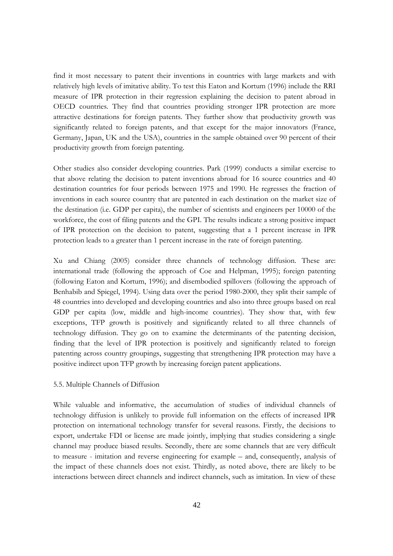find it most necessary to patent their inventions in countries with large markets and with relatively high levels of imitative ability. To test this Eaton and Kortum (1996) include the RRI measure of IPR protection in their regression explaining the decision to patent abroad in OECD countries. They find that countries providing stronger IPR protection are more attractive destinations for foreign patents. They further show that productivity growth was significantly related to foreign patents, and that except for the major innovators (France, Germany, Japan, UK and the USA), countries in the sample obtained over 90 percent of their productivity growth from foreign patenting.

Other studies also consider developing countries. Park (1999) conducts a similar exercise to that above relating the decision to patent inventions abroad for 16 source countries and 40 destination countries for four periods between 1975 and 1990. He regresses the fraction of inventions in each source country that are patented in each destination on the market size of the destination (i.e. GDP per capita), the number of scientists and engineers per 10000 of the workforce, the cost of filing patents and the GPI. The results indicate a strong positive impact of IPR protection on the decision to patent, suggesting that a 1 percent increase in IPR protection leads to a greater than 1 percent increase in the rate of foreign patenting.

Xu and Chiang (2005) consider three channels of technology diffusion. These are: international trade (following the approach of Coe and Helpman, 1995); foreign patenting (following Eaton and Kortum, 1996); and disembodied spillovers (following the approach of Benhabib and Spiegel, 1994). Using data over the period 1980-2000, they split their sample of 48 countries into developed and developing countries and also into three groups based on real GDP per capita (low, middle and high-income countries). They show that, with few exceptions, TFP growth is positively and significantly related to all three channels of technology diffusion. They go on to examine the determinants of the patenting decision, finding that the level of IPR protection is positively and significantly related to foreign patenting across country groupings, suggesting that strengthening IPR protection may have a positive indirect upon TFP growth by increasing foreign patent applications.

### 5.5. Multiple Channels of Diffusion

While valuable and informative, the accumulation of studies of individual channels of technology diffusion is unlikely to provide full information on the effects of increased IPR protection on international technology transfer for several reasons. Firstly, the decisions to export, undertake FDI or license are made jointly, implying that studies considering a single channel may produce biased results. Secondly, there are some channels that are very difficult to measure - imitation and reverse engineering for example – and, consequently, analysis of the impact of these channels does not exist. Thirdly, as noted above, there are likely to be interactions between direct channels and indirect channels, such as imitation. In view of these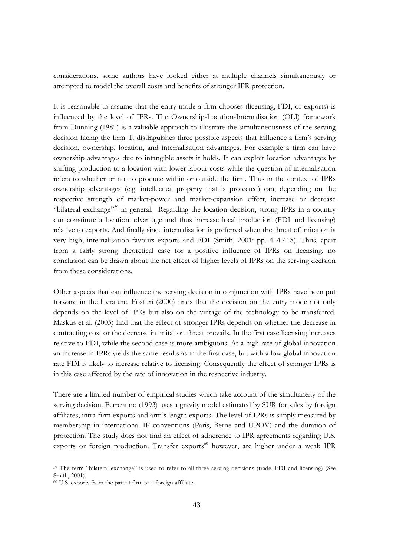considerations, some authors have looked either at multiple channels simultaneously or attempted to model the overall costs and benefits of stronger IPR protection.

It is reasonable to assume that the entry mode a firm chooses (licensing, FDI, or exports) is influenced by the level of IPRs. The Ownership-Location-Internalisation (OLI) framework from Dunning (1981) is a valuable approach to illustrate the simultaneousness of the serving decision facing the firm. It distinguishes three possible aspects that influence a firm's serving decision, ownership, location, and internalisation advantages. For example a firm can have ownership advantages due to intangible assets it holds. It can exploit location advantages by shifting production to a location with lower labour costs while the question of internalisation refers to whether or not to produce within or outside the firm. Thus in the context of IPRs ownership advantages (e.g. intellectual property that is protected) can, depending on the respective strength of market-power and market-expansion effect, increase or decrease "bilateral exchange"<sup>59</sup> in general. Regarding the location decision, strong IPRs in a country can constitute a location advantage and thus increase local production (FDI and licensing) relative to exports. And finally since internalisation is preferred when the threat of imitation is very high, internalisation favours exports and FDI (Smith, 2001: pp. 414-418). Thus, apart from a fairly strong theoretical case for a positive influence of IPRs on licensing, no conclusion can be drawn about the net effect of higher levels of IPRs on the serving decision from these considerations.

Other aspects that can influence the serving decision in conjunction with IPRs have been put forward in the literature. Fosfuri (2000) finds that the decision on the entry mode not only depends on the level of IPRs but also on the vintage of the technology to be transferred. Maskus et al. (2005) find that the effect of stronger IPRs depends on whether the decrease in contracting cost or the decrease in imitation threat prevails. In the first case licensing increases relative to FDI, while the second case is more ambiguous. At a high rate of global innovation an increase in IPRs vields the same results as in the first case, but with a low global innovation rate FDI is likely to increase relative to licensing. Consequently the effect of stronger IPRs is in this case affected by the rate of innovation in the respective industry.

There are a limited number of empirical studies which take account of the simultaneity of the serving decision. Ferrentino (1993) uses a gravity model estimated by SUR for sales by foreign affiliates, intra-firm exports and arm's length exports. The level of IPRs is simply measured by membership in international IP conventions (Paris, Berne and UPOV) and the duration of protection. The study does not find an effect of adherence to IPR agreements regarding U.S. exports or foreign production. Transfer exports<sup>60</sup> however, are higher under a weak IPR

<sup>&</sup>lt;sup>59</sup> The term "bilateral exchange" is used to refer to all three serving decisions (trade, FDI and licensing) (See Smith, 2001).

<sup>&</sup>lt;sup>60</sup> U.S. exports from the parent firm to a foreign affiliate.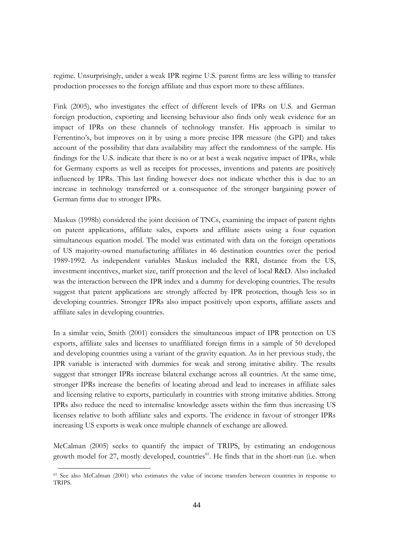regime. Unsurprisingly, under a weak IPR regime U.S. parent firms are less willing to transfer production processes to the foreign affiliate and thus export more to these affiliates.

Fink (2005), who investigates the effect of different levels of IPRs on U.S. and German foreign production, exporting and licensing behaviour also finds only weak evidence for an impact of IPRs on these channels of technology transfer. His approach is similar to Ferrentino's, but improves on it by using a more precise IPR measure (the GPI) and takes account of the possibility that data availability may affect the randomness of the sample. His findings for the U.S. indicate that there is no or at best a weak negative impact of IPRs, while for Germany exports as well as receipts for processes, inventions and patents are positively influenced by IPRs. This last finding however does not indicate whether this is due to an increase in technology transferred or a consequence of the stronger bargaining power of German firms due to stronger IPRs.

Maskus (1998b) considered the joint decision of TNCs, examining the impact of patent rights on patent applications, affiliate sales, exports and affiliate assets using a four equation simultaneous equation model. The model was estimated with data on the foreign operations of US majority-owned manufacturing affiliates in 46 destination countries over the period 1989-1992. As independent variables Maskus included the RRI, distance from the US, investment incentives, market size, tariff protection and the level of local R&D. Also included was the interaction between the IPR index and a dummy for developing countries. The results suggest that patent applications are strongly affected by IPR protection, though less so in developing countries. Stronger IPRs also impact positively upon exports, affiliate assets and affiliate sales in developing countries.

In a similar vein, Smith (2001) considers the simultaneous impact of IPR protection on US exports, affiliate sales and licenses to unaffiliated foreign firms in a sample of 50 developed and developing countries using a variant of the gravity equation. As in her previous study, the IPR variable is interacted with dummies for weak and strong imitative ability. The results suggest that stronger IPRs increase bilateral exchange across all countries. At the same time, stronger IPRs increase the benefits of locating abroad and lead to increases in affiliate sales and licensing relative to exports, particularly in countries with strong imitative abilities. Strong IPRs also reduce the need to internalise knowledge assets within the firm thus increasing US licenses relative to both affiliate sales and exports. The evidence in favour of stronger IPRs increasing US exports is weak once multiple channels of exchange are allowed.

McCalman (2005) seeks to quantify the impact of TRIPS, by estimating an endogenous growth model for 27, mostly developed, countries<sup>61</sup>. He finds that in the short-run (i.e. when

<sup>&</sup>lt;sup>61</sup> See also McCalman (2001) who estimates the value of income transfers between countries in response to TRIPS.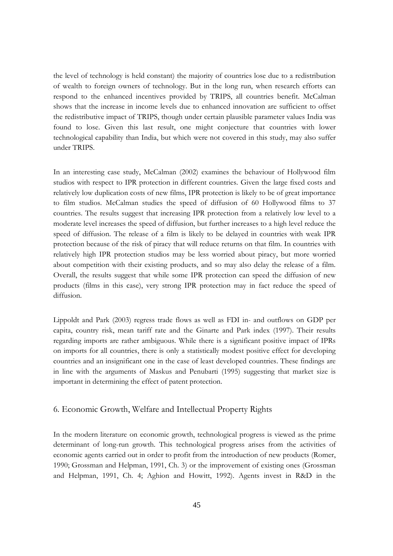the level of technology is held constant) the majority of countries lose due to a redistribution of wealth to foreign owners of technology. But in the long run, when research efforts can respond to the enhanced incentives provided by TRIPS, all countries benefit. McCalman shows that the increase in income levels due to enhanced innovation are sufficient to offset the redistributive impact of TRIPS, though under certain plausible parameter values India was found to lose. Given this last result, one might conjecture that countries with lower technological capability than India, but which were not covered in this study, may also suffer under TRIPS.

In an interesting case study, McCalman (2002) examines the behaviour of Hollywood film studios with respect to IPR protection in different countries. Given the large fixed costs and relatively low duplication costs of new films, IPR protection is likely to be of great importance to film studios. McCalman studies the speed of diffusion of 60 Hollywood films to 37 countries. The results suggest that increasing IPR protection from a relatively low level to a moderate level increases the speed of diffusion, but further increases to a high level reduce the speed of diffusion. The release of a film is likely to be delayed in countries with weak IPR protection because of the risk of piracy that will reduce returns on that film. In countries with relatively high IPR protection studios may be less worried about piracy, but more worried about competition with their existing products, and so may also delay the release of a film. Overall, the results suggest that while some IPR protection can speed the diffusion of new products (films in this case), very strong IPR protection may in fact reduce the speed of diffusion.

Lippoldt and Park (2003) regress trade flows as well as FDI in- and outflows on GDP per capita, country risk, mean tariff rate and the Ginarte and Park index (1997). Their results regarding imports are rather ambiguous. While there is a significant positive impact of IPRs on imports for all countries, there is only a statistically modest positive effect for developing countries and an insignificant one in the case of least developed countries. These findings are in line with the arguments of Maskus and Penubarti (1995) suggesting that market size is important in determining the effect of patent protection.

# 6. Economic Growth, Welfare and Intellectual Property Rights

In the modern literature on economic growth, technological progress is viewed as the prime determinant of long-run growth. This technological progress arises from the activities of economic agents carried out in order to profit from the introduction of new products (Romer, 1990; Grossman and Helpman, 1991, Ch. 3) or the improvement of existing ones (Grossman and Helpman, 1991, Ch. 4; Aghion and Howitt, 1992). Agents invest in R&D in the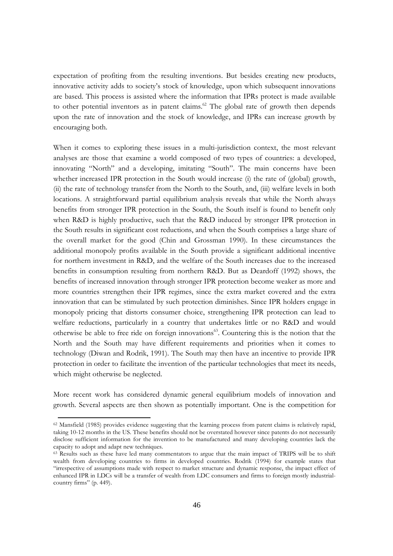expectation of profiting from the resulting inventions. But besides creating new products, innovative activity adds to society's stock of knowledge, upon which subsequent innovations are based. This process is assisted where the information that IPRs protect is made available to other potential inventors as in patent claims.<sup>62</sup> The global rate of growth then depends upon the rate of innovation and the stock of knowledge, and IPRs can increase growth by encouraging both.

When it comes to exploring these issues in a multi-jurisdiction context, the most relevant analyses are those that examine a world composed of two types of countries: a developed, innovating "North" and a developing, imitating "South". The main concerns have been whether increased IPR protection in the South would increase (i) the rate of (global) growth, (ii) the rate of technology transfer from the North to the South, and, (iii) welfare levels in both locations. A straightforward partial equilibrium analysis reveals that while the North always benefits from stronger IPR protection in the South, the South itself is found to benefit only when R&D is highly productive, such that the R&D induced by stronger IPR protection in the South results in significant cost reductions, and when the South comprises a large share of the overall market for the good (Chin and Grossman 1990). In these circumstances the additional monopoly profits available in the South provide a significant additional incentive for northern investment in R&D, and the welfare of the South increases due to the increased benefits in consumption resulting from northern R&D. But as Deardoff (1992) shows, the benefits of increased innovation through stronger IPR protection become weaker as more and more countries strengthen their IPR regimes, since the extra market covered and the extra innovation that can be stimulated by such protection diminishes. Since IPR holders engage in monopoly pricing that distorts consumer choice, strengthening IPR protection can lead to welfare reductions, particularly in a country that undertakes little or no R&D and would otherwise be able to free ride on foreign innovations<sup>63</sup>. Countering this is the notion that the North and the South may have different requirements and priorities when it comes to technology (Diwan and Rodrik, 1991). The South may then have an incentive to provide IPR protection in order to facilitate the invention of the particular technologies that meet its needs, which might otherwise be neglected.

More recent work has considered dynamic general equilibrium models of innovation and growth. Several aspects are then shown as potentially important. One is the competition for

<sup>&</sup>lt;sup>62</sup> Mansfield (1985) provides evidence suggesting that the learning process from patent claims is relatively rapid, taking 10-12 months in the US. These benefits should not be overstated however since patents do not necessarily disclose sufficient information for the invention to be manufactured and many developing countries lack the capacity to adopt and adapt new techniques.

<sup>&</sup>lt;sup>63</sup> Results such as these have led many commentators to argue that the main impact of TRIPS will be to shift wealth from developing countries to firms in developed countries. Rodrik (1994) for example states that "irrespective of assumptions made with respect to market structure and dynamic response, the impact effect of enhanced IPR in LDCs will be a transfer of wealth from LDC consumers and firms to foreign mostly industrialcountry firms" (p. 449).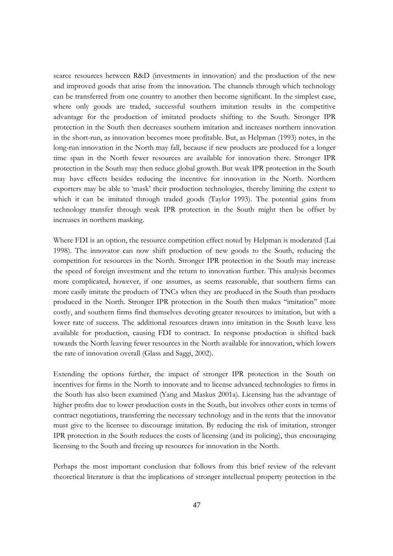scarce resources between R&D (investments in innovation) and the production of the new and improved goods that arise from the innovation. The channels through which technology can be transferred from one country to another then become significant. In the simplest case, where only goods are traded, successful southern imitation results in the competitive advantage for the production of imitated products shifting to the South. Stronger IPR protection in the South then decreases southern imitation and increases northern innovation in the short-run, as innovation becomes more profitable. But, as Helpman (1993) notes, in the long-run innovation in the North may fall, because if new products are produced for a longer time span in the North fewer resources are available for innovation there. Stronger IPR protection in the South may then reduce global growth. But weak IPR protection in the South may have effects besides reducing the incentive for innovation in the North. Northern exporters may be able to 'mask' their production technologies, thereby limiting the extent to which it can be imitated through traded goods (Taylor 1993). The potential gains from technology transfer through weak IPR protection in the South might then be offset by increases in northern masking.

Where FDI is an option, the resource competition effect noted by Helpman is moderated (Lai 1998). The innovator can now shift production of new goods to the South, reducing the competition for resources in the North. Stronger IPR protection in the South may increase the speed of foreign investment and the return to innovation further. This analysis becomes more complicated, however, if one assumes, as seems reasonable, that southern firms can more easily imitate the products of TNCs when they are produced in the South than products produced in the North. Stronger IPR protection in the South then makes "imitation" more costly, and southern firms find themselves devoting greater resources to imitation, but with a lower rate of success. The additional resources drawn into imitation in the South leave less available for production, causing FDI to contract. In response production is shifted back towards the North leaving fewer resources in the North available for innovation, which lowers the rate of innovation overall (Glass and Saggi, 2002).

Extending the options further, the impact of stronger IPR protection in the South on incentives for firms in the North to innovate and to license advanced technologies to firms in the South has also been examined (Yang and Maskus 2001a). Licensing has the advantage of higher profits due to lower production costs in the South, but involves other costs in terms of contract negotiations, transferring the necessary technology and in the rents that the innovator must give to the licensee to discourage imitation. By reducing the risk of imitation, stronger IPR protection in the South reduces the costs of licensing (and its policing), thus encouraging licensing to the South and freeing up resources for innovation in the North.

Perhaps the most important conclusion that follows from this brief review of the relevant theoretical literature is that the implications of stronger intellectual property protection in the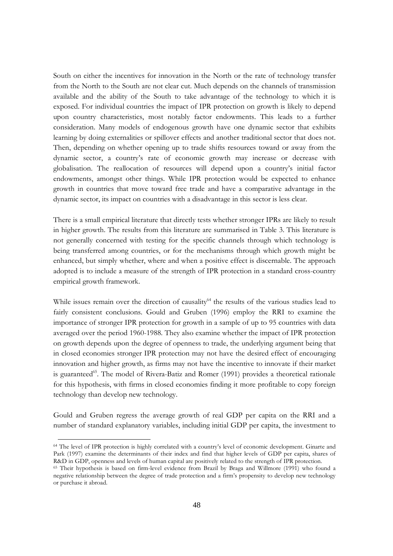South on either the incentives for innovation in the North or the rate of technology transfer from the North to the South are not clear cut. Much depends on the channels of transmission available and the ability of the South to take advantage of the technology to which it is exposed. For individual countries the impact of IPR protection on growth is likely to depend upon country characteristics, most notably factor endowments. This leads to a further consideration. Many models of endogenous growth have one dynamic sector that exhibits learning by doing externalities or spillover effects and another traditional sector that does not. Then, depending on whether opening up to trade shifts resources toward or away from the dynamic sector, a country's rate of economic growth may increase or decrease with globalisation. The reallocation of resources will depend upon a country's initial factor endowments, amongst other things. While IPR protection would be expected to enhance growth in countries that move toward free trade and have a comparative advantage in the dynamic sector, its impact on countries with a disadvantage in this sector is less clear.

There is a small empirical literature that directly tests whether stronger IPRs are likely to result in higher growth. The results from this literature are summarised in Table 3. This literature is not generally concerned with testing for the specific channels through which technology is being transferred among countries, or for the mechanisms through which growth might be enhanced, but simply whether, where and when a positive effect is discernable. The approach adopted is to include a measure of the strength of IPR protection in a standard cross-country empirical growth framework.

While issues remain over the direction of causality<sup>64</sup> the results of the various studies lead to fairly consistent conclusions. Gould and Gruben (1996) employ the RRI to examine the importance of stronger IPR protection for growth in a sample of up to 95 countries with data averaged over the period 1960-1988. They also examine whether the impact of IPR protection on growth depends upon the degree of openness to trade, the underlying argument being that in closed economies stronger IPR protection may not have the desired effect of encouraging innovation and higher growth, as firms may not have the incentive to innovate if their market is guaranteed<sup>65</sup>. The model of Rivera-Batiz and Romer (1991) provides a theoretical rationale for this hypothesis, with firms in closed economies finding it more profitable to copy foreign technology than develop new technology.

Gould and Gruben regress the average growth of real GDP per capita on the RRI and a number of standard explanatory variables, including initial GDP per capita, the investment to

<sup>&</sup>lt;sup>64</sup> The level of IPR protection is highly correlated with a country's level of economic development. Ginarte and Park (1997) examine the determinants of their index and find that higher levels of GDP per capita, shares of R&D in GDP, openness and levels of human capital are positively related to the strength of IPR protection.

<sup>&</sup>lt;sup>65</sup> Their hypothesis is based on firm-level evidence from Brazil by Braga and Willmore (1991) who found a negative relationship between the degree of trade protection and a firm's propensity to develop new technology or purchase it abroad.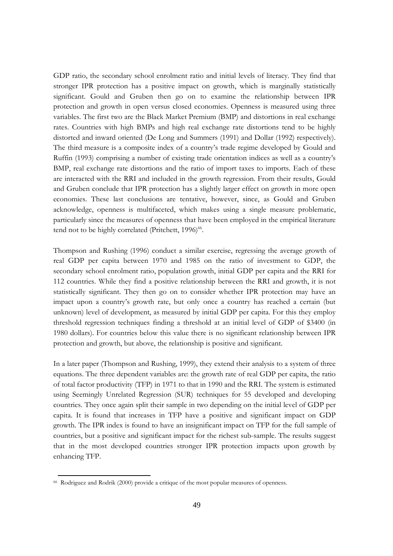GDP ratio, the secondary school enrolment ratio and initial levels of literacy. They find that stronger IPR protection has a positive impact on growth, which is marginally statistically significant. Gould and Gruben then go on to examine the relationship between IPR protection and growth in open versus closed economies. Openness is measured using three variables. The first two are the Black Market Premium (BMP) and distortions in real exchange rates. Countries with high BMPs and high real exchange rate distortions tend to be highly distorted and inward oriented (De Long and Summers (1991) and Dollar (1992) respectively). The third measure is a composite index of a country's trade regime developed by Gould and Ruffin (1993) comprising a number of existing trade orientation indices as well as a country's BMP, real exchange rate distortions and the ratio of import taxes to imports. Each of these are interacted with the RRI and included in the growth regression. From their results, Gould and Gruben conclude that IPR protection has a slightly larger effect on growth in more open economies. These last conclusions are tentative, however, since, as Gould and Gruben acknowledge, openness is multifaceted, which makes using a single measure problematic, particularly since the measures of openness that have been employed in the empirical literature tend not to be highly correlated (Pritchett, 1996)<sup>66</sup>.

Thompson and Rushing (1996) conduct a similar exercise, regressing the average growth of real GDP per capita between 1970 and 1985 on the ratio of investment to GDP, the secondary school enrolment ratio, population growth, initial GDP per capita and the RRI for 112 countries. While they find a positive relationship between the RRI and growth, it is not statistically significant. They then go on to consider whether IPR protection may have an impact upon a country's growth rate, but only once a country has reached a certain (but unknown) level of development, as measured by initial GDP per capita. For this they employ threshold regression techniques finding a threshold at an initial level of GDP of \$3400 (in 1980 dollars). For countries below this value there is no significant relationship between IPR protection and growth, but above, the relationship is positive and significant.

In a later paper (Thompson and Rushing, 1999), they extend their analysis to a system of three equations. The three dependent variables are: the growth rate of real GDP per capita, the ratio of total factor productivity (TFP) in 1971 to that in 1990 and the RRI. The system is estimated using Seemingly Unrelated Regression (SUR) techniques for 55 developed and developing countries. They once again split their sample in two depending on the initial level of GDP per capita. It is found that increases in TFP have a positive and significant impact on GDP growth. The IPR index is found to have an insignificant impact on TFP for the full sample of countries, but a positive and significant impact for the richest sub-sample. The results suggest that in the most developed countries stronger IPR protection impacts upon growth by enhancing TFP.

<sup>&</sup>lt;sup>66</sup> Rodriguez and Rodrik (2000) provide a critique of the most popular measures of openness.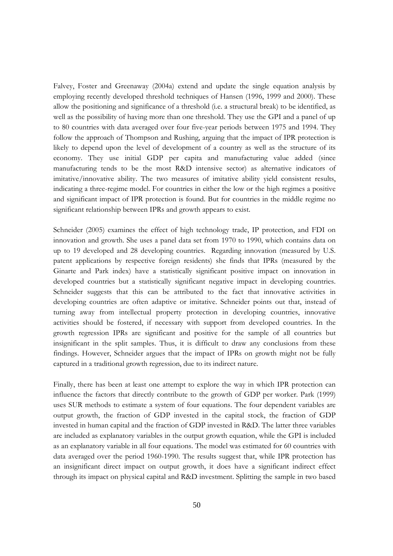Falvey, Foster and Greenaway (2004a) extend and update the single equation analysis by employing recently developed threshold techniques of Hansen (1996, 1999 and 2000). These allow the positioning and significance of a threshold (i.e. a structural break) to be identified, as well as the possibility of having more than one threshold. They use the GPI and a panel of up to 80 countries with data averaged over four five-year periods between 1975 and 1994. They follow the approach of Thompson and Rushing, arguing that the impact of IPR protection is likely to depend upon the level of development of a country as well as the structure of its economy. They use initial GDP per capita and manufacturing value added (since manufacturing tends to be the most R&D intensive sector) as alternative indicators of imitative/innovative ability. The two measures of imitative ability yield consistent results, indicating a three-regime model. For countries in either the low or the high regimes a positive and significant impact of IPR protection is found. But for countries in the middle regime no significant relationship between IPRs and growth appears to exist.

Schneider (2005) examines the effect of high technology trade, IP protection, and FDI on innovation and growth. She uses a panel data set from 1970 to 1990, which contains data on up to 19 developed and 28 developing countries. Regarding innovation (measured by U.S. patent applications by respective foreign residents) she finds that IPRs (measured by the Ginarte and Park index) have a statistically significant positive impact on innovation in developed countries but a statistically significant negative impact in developing countries. Schneider suggests that this can be attributed to the fact that innovative activities in developing countries are often adaptive or imitative. Schneider points out that, instead of turning away from intellectual property protection in developing countries, innovative activities should be fostered, if necessary with support from developed countries. In the growth regression IPRs are significant and positive for the sample of all countries but insignificant in the split samples. Thus, it is difficult to draw any conclusions from these findings. However, Schneider argues that the impact of IPRs on growth might not be fully captured in a traditional growth regression, due to its indirect nature.

Finally, there has been at least one attempt to explore the way in which IPR protection can influence the factors that directly contribute to the growth of GDP per worker. Park (1999) uses SUR methods to estimate a system of four equations. The four dependent variables are output growth, the fraction of GDP invested in the capital stock, the fraction of GDP invested in human capital and the fraction of GDP invested in R&D. The latter three variables are included as explanatory variables in the output growth equation, while the GPI is included as an explanatory variable in all four equations. The model was estimated for 60 countries with data averaged over the period 1960-1990. The results suggest that, while IPR protection has an insignificant direct impact on output growth, it does have a significant indirect effect through its impact on physical capital and R&D investment. Splitting the sample in two based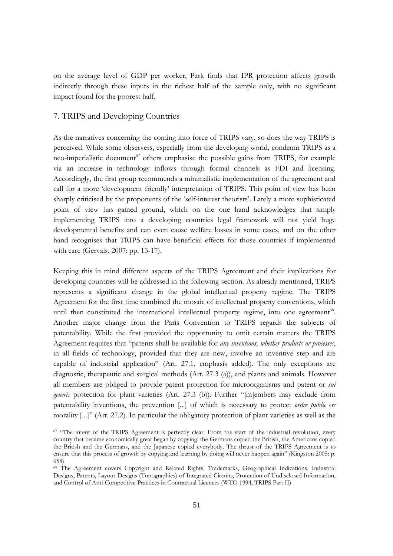on the average level of GDP per worker, Park finds that IPR protection affects growth indirectly through these inputs in the richest half of the sample only, with no significant impact found for the poorest half.

# 7. TRIPS and Developing Countries

As the narratives concerning the coming into force of TRIPS vary, so does the way TRIPS is perceived. While some observers, especially from the developing world, condemn TRIPS as a neo-imperialistic document<sup>67</sup> others emphasise the possible gains from TRIPS, for example via an increase in technology inflows through formal channels as FDI and licensing. Accordingly, the first group recommends a minimalistic implementation of the agreement and call for a more 'development friendly' interpretation of TRIPS. This point of view has been sharply criticised by the proponents of the 'self-interest theorists'. Lately a more sophisticated point of view has gained ground, which on the one hand acknowledges that simply implementing TRIPS into a developing countries legal framework will not yield huge developmental benefits and can even cause welfare losses in some cases, and on the other hand recognises that TRIPS can have beneficial effects for those countries if implemented with care (Gervais, 2007: pp. 13-17).

Keeping this in mind different aspects of the TRIPS Agreement and their implications for developing countries will be addressed in the following section. As already mentioned, TRIPS represents a significant change in the global intellectual property regime. The TRIPS Agreement for the first time combined the mosaic of intellectual property conventions, which until then constituted the international intellectual property regime, into one agreement<sup>68</sup>. Another major change from the Paris Convention to TRIPS regards the subjects of patentability. While the first provided the opportunity to omit certain matters the TRIPS Agreement requires that "patents shall be available for any inventions, whether products or processes, in all fields of technology, provided that they are new, involve an inventive step and are capable of industrial application" (Art. 27.1, emphasis added). The only exceptions are diagnostic, therapeutic and surgical methods (Art. 27.3 (a)), and plants and animals. However all members are obliged to provide patent protection for microorganisms and patent or *sui generis* protection for plant varieties (Art. 27.3 (b)). Further "[m]embers may exclude from patentability inventions, the prevention [...] of which is necessary to protect *ordre public* or morality [...]" (Art. 27.2). In particular the obligatory protection of plant varieties as well as the

<sup>&</sup>lt;sup>67</sup> "The intent of the TRIPS Agreement is perfectly clear. From the start of the industrial revolution, every country that became economically great began by copying: the Germans copied the British, the Americans copied the British and the Germans, and the Japanese copied everybody. The thrust of the TRIPS Agreement is to ensure that this process of growth by copying and learning by doing will never happen again" (Kingston 2005: p. 658)

<sup>&</sup>lt;sup>68</sup> The Agreement covers Copyright and Related Rights, Trademarks, Geographical Indications, Industrial Designs, Patents, Layout-Designs (Topographies) of Integrated Circuits, Protection of Undisclosed Information, and Control of Anti-Competitive Practices in Contractual Licences (WTO 1994, TRIPS Part II)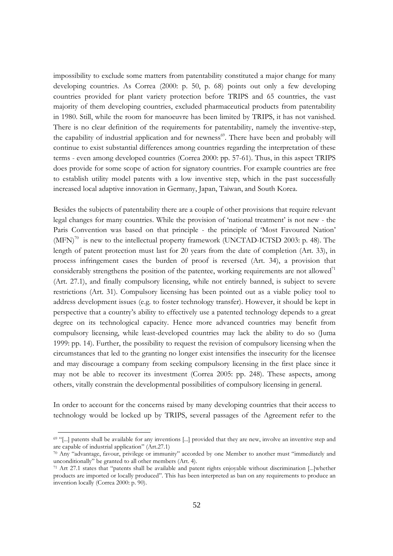impossibility to exclude some matters from patentability constituted a major change for many developing countries. As Correa (2000: p. 50, p. 68) points out only a few developing countries provided for plant variety protection before TRIPS and 65 countries, the vast majority of them developing countries, excluded pharmaceutical products from patentability in 1980. Still, while the room for manoeuvre has been limited by TRIPS, it has not vanished. There is no clear definition of the requirements for patentability, namely the inventive-step, the capability of industrial application and for newness<sup>69</sup>. There have been and probably will continue to exist substantial differences among countries regarding the interpretation of these terms - even among developed countries (Correa 2000: pp. 57-61). Thus, in this aspect TRIPS does provide for some scope of action for signatory countries. For example countries are free to establish utility model patents with a low inventive step, which in the past successfully increased local adaptive innovation in Germany, Japan, Taiwan, and South Korea.

Besides the subjects of patentability there are a couple of other provisions that require relevant legal changes for many countries. While the provision of 'national treatment' is not new - the Paris Convention was based on that principle - the principle of 'Most Favoured Nation'  $(MFN)^{70}$  is new to the intellectual property framework (UNCTAD-ICTSD 2003: p. 48). The length of patent protection must last for 20 years from the date of completion (Art. 33), in process infringement cases the burden of proof is reversed (Art. 34), a provision that considerably strengthens the position of the patentee, working requirements are not allowed<sup>71</sup> (Art. 27.1), and finally compulsory licensing, while not entirely banned, is subject to severe restrictions (Art. 31). Compulsory licensing has been pointed out as a viable policy tool to address development issues (e.g. to foster technology transfer). However, it should be kept in perspective that a country's ability to effectively use a patented technology depends to a great degree on its technological capacity. Hence more advanced countries may benefit from compulsory licensing, while least-developed countries may lack the ability to do so (Juma 1999: pp. 14). Further, the possibility to request the revision of compulsory licensing when the circumstances that led to the granting no longer exist intensifies the insecurity for the licensee and may discourage a company from seeking compulsory licensing in the first place since it may not be able to recover its investment (Correa 2005: pp. 248). These aspects, among others, vitally constrain the developmental possibilities of compulsory licensing in general.

In order to account for the concerns raised by many developing countries that their access to technology would be locked up by TRIPS, several passages of the Agreement refer to the

<sup>&</sup>lt;sup>69</sup> "[...] patents shall be available for any inventions [...] provided that they are new, involve an inventive step and are capable of industrial application" (Art.27.1)

 $\frac{70}{10}$  Any "advantage, favour, privilege or immunity" accorded by one Member to another must "immediately and unconditionally" be granted to all other members (Art. 4).

 $71$  Art 27.1 states that "patents shall be available and patent rights enjoyable without discrimination [...] whether products are imported or locally produced". This has been interpreted as ban on any requirements to produce an invention locally (Correa 2000: p. 90).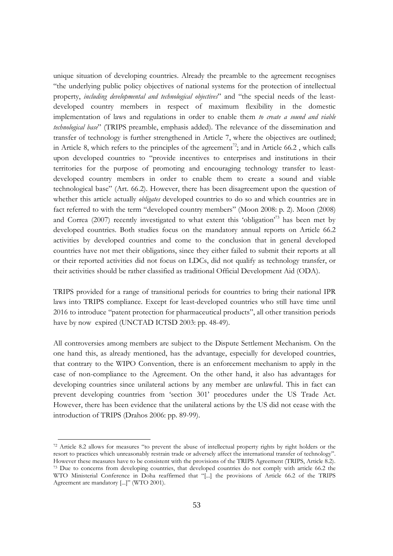unique situation of developing countries. Already the preamble to the agreement recognises "the underlying public policy objectives of national systems for the protection of intellectual property, including developmental and technological objectives" and "the special needs of the leastdeveloped country members in respect of maximum flexibility in the domestic implementation of laws and regulations in order to enable them to create a sound and viable technological base" (TRIPS preamble, emphasis added). The relevance of the dissemination and transfer of technology is further strengthened in Article 7, where the objectives are outlined; in Article 8, which refers to the principles of the agreement<sup>72</sup>; and in Article 66.2, which calls upon developed countries to "provide incentives to enterprises and institutions in their territories for the purpose of promoting and encouraging technology transfer to leastdeveloped country members in order to enable them to create a sound and viable technological base" (Art. 66.2). However, there has been disagreement upon the question of whether this article actually *obligates* developed countries to do so and which countries are in fact referred to with the term "developed country members" (Moon 2008: p. 2). Moon (2008) and Correa (2007) recently investigated to what extent this 'obligation'<sup>73</sup> has been met by developed countries. Both studies focus on the mandatory annual reports on Article 66.2 activities by developed countries and come to the conclusion that in general developed countries have not met their obligations, since they either failed to submit their reports at all or their reported activities did not focus on LDCs, did not qualify as technology transfer, or their activities should be rather classified as traditional Official Development Aid (ODA).

TRIPS provided for a range of transitional periods for countries to bring their national IPR laws into TRIPS compliance. Except for least-developed countries who still have time until 2016 to introduce "patent protection for pharmaceutical products", all other transition periods have by now expired (UNCTAD ICTSD 2003: pp. 48-49).

All controversies among members are subject to the Dispute Settlement Mechanism. On the one hand this, as already mentioned, has the advantage, especially for developed countries, that contrary to the WIPO Convention, there is an enforcement mechanism to apply in the case of non-compliance to the Agreement. On the other hand, it also has advantages for developing countries since unilateral actions by any member are unlawful. This in fact can prevent developing countries from 'section 301' procedures under the US Trade Act. However, there has been evidence that the unilateral actions by the US did not cease with the introduction of TRIPS (Drahos 2006: pp. 89-99).

<sup>72</sup> Article 8.2 allows for measures "to prevent the abuse of intellectual property rights by right holders or the resort to practices which unreasonably restrain trade or adversely affect the international transfer of technology". However these measures have to be consistent with the provisions of the TRIPS Agreement (TRIPS, Article 8.2). 73 Due to concerns from developing countries, that developed countries do not comply with article 66.2 the WTO Ministerial Conference in Doha reaffirmed that "[...] the provisions of Article 66.2 of the TRIPS Agreement are mandatory [...]" (WTO 2001).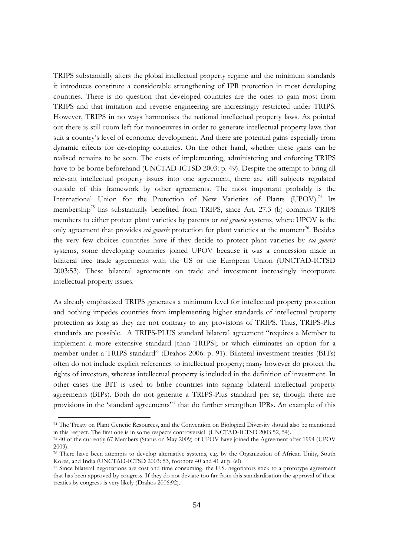TRIPS substantially alters the global intellectual property regime and the minimum standards it introduces constitute a considerable strengthening of IPR protection in most developing countries. There is no question that developed countries are the ones to gain most from TRIPS and that imitation and reverse engineering are increasingly restricted under TRIPS. However, TRIPS in no ways harmonises the national intellectual property laws. As pointed out there is still room left for manoeuvres in order to generate intellectual property laws that suit a country's level of economic development. And there are potential gains especially from dynamic effects for developing countries. On the other hand, whether these gains can be realised remains to be seen. The costs of implementing, administering and enforcing TRIPS have to be borne beforehand (UNCTAD-ICTSD 2003: p. 49). Despite the attempt to bring all relevant intellectual property issues into one agreement, there are still subjects regulated outside of this framework by other agreements. The most important probably is the International Union for the Protection of New Varieties of Plants (UPOV).<sup>74</sup> Its membership<sup>75</sup> has substantially benefited from TRIPS, since Art. 27.3 (b) commits TRIPS members to either protect plant varieties by patents or *sui generis* systems, where UPOV is the only agreement that provides *sui generis* protection for plant varieties at the moment<sup>76</sup>. Besides the very few choices countries have if they decide to protect plant varieties by sui generis systems, some developing countries joined UPOV because it was a concession made in bilateral free trade agreements with the US or the European Union (UNCTAD-ICTSD 2003:53). These bilateral agreements on trade and investment increasingly incorporate intellectual property issues.

As already emphasized TRIPS generates a minimum level for intellectual property protection and nothing impedes countries from implementing higher standards of intellectual property protection as long as they are not contrary to any provisions of TRIPS. Thus, TRIPS-Plus standards are possible. A TRIPS-PLUS standard bilateral agreement "requires a Member to implement a more extensive standard [than TRIPS]; or which eliminates an option for a member under a TRIPS standard" (Drahos 2006: p. 91). Bilateral investment treaties (BITs) often do not include explicit references to intellectual property; many however do protect the rights of investors, whereas intellectual property is included in the definition of investment. In other cases the BIT is used to bribe countries into signing bilateral intellectual property agreements (BIPs). Both do not generate a TRIPS-Plus standard per se, though there are provisions in the 'standard agreements<sup>77</sup> that do further strengthen IPRs. An example of this

<sup>74</sup> The Treaty on Plant Genetic Resources, and the Convention on Biological Diversity should also be mentioned in this respect. The first one is in some respects controversial (UNCTAD-ICTSD 2003:52, 54).

<sup>&</sup>lt;sup>75</sup> 40 of the currently 67 Members (Status on May 2009) of UPOV have joined the Agreement after 1994 (UPOV  $2009$ ).

<sup>76</sup> There have been attempts to develop alternative systems, e.g. by the Organization of African Unity, South Korea, and India (UNCTAD-ICTSD 2003: 53, footnote 40 and 41 at p. 60).

<sup>77</sup> Since bilateral negotiations are cost and time consuming, the U.S. negotiators stick to a prototype agreement that has been approved by congress. If they do not deviate too far from this standardisation the approval of these treaties by congress is very likely (Drahos 2006:92).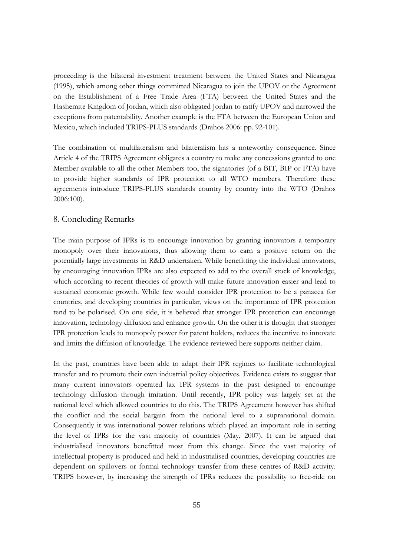proceeding is the bilateral investment treatment between the United States and Nicaragua (1995), which among other things committed Nicaragua to join the UPOV or the Agreement on the Establishment of a Free Trade Area (FTA) between the United States and the Hashemite Kingdom of Jordan, which also obligated Jordan to ratify UPOV and narrowed the exceptions from patentability. Another example is the FTA between the European Union and Mexico, which included TRIPS-PLUS standards (Drahos 2006: pp. 92-101).

The combination of multilateralism and bilateralism has a noteworthy consequence. Since Article 4 of the TRIPS Agreement obligates a country to make any concessions granted to one Member available to all the other Members too, the signatories (of a BIT, BIP or FTA) have to provide higher standards of IPR protection to all WTO members. Therefore these agreements introduce TRIPS-PLUS standards country by country into the WTO (Drahos 2006:100).

## 8. Concluding Remarks

The main purpose of IPRs is to encourage innovation by granting innovators a temporary monopoly over their innovations, thus allowing them to earn a positive return on the potentially large investments in R&D undertaken. While benefitting the individual innovators, by encouraging innovation IPRs are also expected to add to the overall stock of knowledge, which according to recent theories of growth will make future innovation easier and lead to sustained economic growth. While few would consider IPR protection to be a panacea for countries, and developing countries in particular, views on the importance of IPR protection tend to be polarised. On one side, it is believed that stronger IPR protection can encourage innovation, technology diffusion and enhance growth. On the other it is thought that stronger IPR protection leads to monopoly power for patent holders, reduces the incentive to innovate and limits the diffusion of knowledge. The evidence reviewed here supports neither claim.

In the past, countries have been able to adapt their IPR regimes to facilitate technological transfer and to promote their own industrial policy objectives. Evidence exists to suggest that many current innovators operated lax IPR systems in the past designed to encourage technology diffusion through imitation. Until recently, IPR policy was largely set at the national level which allowed countries to do this. The TRIPS Agreement however has shifted the conflict and the social bargain from the national level to a supranational domain. Consequently it was international power relations which played an important role in setting the level of IPRs for the vast majority of countries (May, 2007). It can be argued that industrialised innovators benefitted most from this change. Since the vast majority of intellectual property is produced and held in industrialised countries, developing countries are dependent on spillovers or formal technology transfer from these centres of R&D activity. TRIPS however, by increasing the strength of IPRs reduces the possibility to free-ride on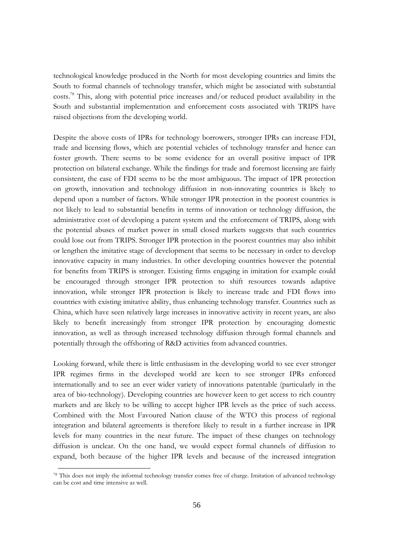technological knowledge produced in the North for most developing countries and limits the South to formal channels of technology transfer, which might be associated with substantial costs.<sup>78</sup> This, along with potential price increases and/or reduced product availability in the South and substantial implementation and enforcement costs associated with TRIPS have raised objections from the developing world.

Despite the above costs of IPRs for technology borrowers, stronger IPRs can increase FDI, trade and licensing flows, which are potential vehicles of technology transfer and hence can foster growth. There seems to be some evidence for an overall positive impact of IPR protection on bilateral exchange. While the findings for trade and foremost licensing are fairly consistent, the case of FDI seems to be the most ambiguous. The impact of IPR protection on growth, innovation and technology diffusion in non-innovating countries is likely to depend upon a number of factors. While stronger IPR protection in the poorest countries is not likely to lead to substantial benefits in terms of innovation or technology diffusion, the administrative cost of developing a patent system and the enforcement of TRIPS, along with the potential abuses of market power in small closed markets suggests that such countries could lose out from TRIPS. Stronger IPR protection in the poorest countries may also inhibit or lengthen the imitative stage of development that seems to be necessary in order to develop innovative capacity in many industries. In other developing countries however the potential for benefits from TRIPS is stronger. Existing firms engaging in imitation for example could be encouraged through stronger IPR protection to shift resources towards adaptive innovation, while stronger IPR protection is likely to increase trade and FDI flows into countries with existing imitative ability, thus enhancing technology transfer. Countries such as China, which have seen relatively large increases in innovative activity in recent years, are also likely to benefit increasingly from stronger IPR protection by encouraging domestic innovation, as well as through increased technology diffusion through formal channels and potentially through the offshoring of R&D activities from advanced countries.

Looking forward, while there is little enthusiasm in the developing world to see ever stronger IPR regimes firms in the developed world are keen to see stronger IPRs enforced internationally and to see an ever wider variety of innovations patentable (particularly in the area of bio-technology). Developing countries are however keen to get access to rich country markets and are likely to be willing to accept higher IPR levels as the price of such access. Combined with the Most Favoured Nation clause of the WTO this process of regional integration and bilateral agreements is therefore likely to result in a further increase in IPR levels for many countries in the near future. The impact of these changes on technology diffusion is unclear. On the one hand, we would expect formal channels of diffusion to expand, both because of the higher IPR levels and because of the increased integration

<sup>&</sup>lt;sup>78</sup> This does not imply the informal technology transfer comes free of charge. Imitation of advanced technology can be cost and time intensive as well.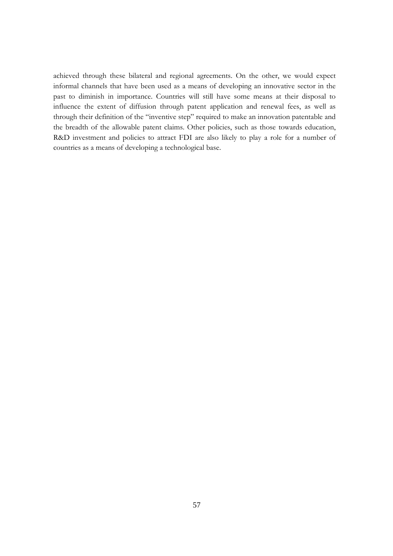achieved through these bilateral and regional agreements. On the other, we would expect informal channels that have been used as a means of developing an innovative sector in the past to diminish in importance. Countries will still have some means at their disposal to influence the extent of diffusion through patent application and renewal fees, as well as through their definition of the "inventive step" required to make an innovation patentable and the breadth of the allowable patent claims. Other policies, such as those towards education, R&D investment and policies to attract FDI are also likely to play a role for a number of countries as a means of developing a technological base.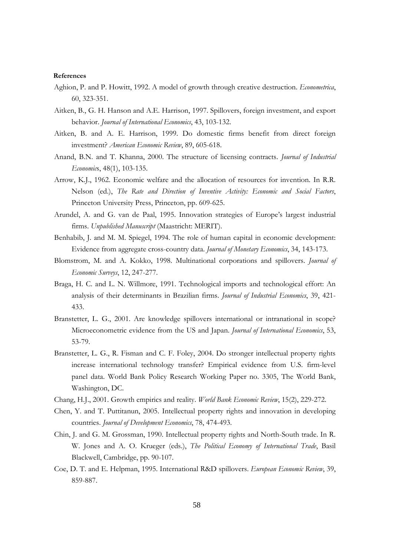#### References

- Aghion, P. and P. Howitt, 1992. A model of growth through creative destruction. *Econometrica*, 60, 323-351.
- Aitken, B., G. H. Hanson and A.E. Harrison, 1997. Spillovers, foreign investment, and export behavior. Journal of International Economics, 43, 103-132.
- Aitken, B. and A. E. Harrison, 1999. Do domestic firms benefit from direct foreign investment? American Economic Review, 89, 605-618.
- Anand, B.N. and T. Khanna, 2000. The structure of licensing contracts. *Journal of Industrial Economics*, 48(1), 103-135.
- Arrow, K.J., 1962. Economic welfare and the allocation of resources for invention. In R.R. Nelson (ed.), The Rate and Direction of Inventive Activity: Economic and Social Factors, Princeton University Press, Princeton, pp. 609-625.
- Arundel, A. and G. van de Paal, 1995. Innovation strategies of Europe's largest industrial firms. Unpublished Manuscript (Maastricht: MERIT).
- Benhabib, J. and M. M. Spiegel, 1994. The role of human capital in economic development: Evidence from aggregate cross-country data. Journal of Monetary Economics, 34, 143-173.
- Blomstrom, M. and A. Kokko, 1998. Multinational corporations and spillovers. Journal of Economic Surveys, 12, 247-277.
- Braga, H. C. and L. N. Willmore, 1991. Technological imports and technological effort: An analysis of their determinants in Brazilian firms. Journal of Industrial Economics, 39, 421-433.
- Branstetter, L. G., 2001. Are knowledge spillovers international or intranational in scope? Microeconometric evidence from the US and Japan. Journal of International Economics, 53, 53-79.
- Branstetter, L. G., R. Fisman and C. F. Foley, 2004. Do stronger intellectual property rights increase international technology transfer? Empirical evidence from U.S. firm-level panel data. World Bank Policy Research Working Paper no. 3305, The World Bank, Washington, DC.
- Chang, H.J., 2001. Growth empirics and reality. World Bank Economic Review, 15(2), 229-272.
- Chen, Y. and T. Puttitanun, 2005. Intellectual property rights and innovation in developing countries. Journal of Development Economics, 78, 474-493.
- Chin, J. and G. M. Grossman, 1990. Intellectual property rights and North-South trade. In R. W. Jones and A. O. Krueger (eds.), The Political Economy of International Trade, Basil Blackwell, Cambridge, pp. 90-107.
- Coe, D. T. and E. Helpman, 1995. International R&D spillovers. European Economic Review, 39, 859-887.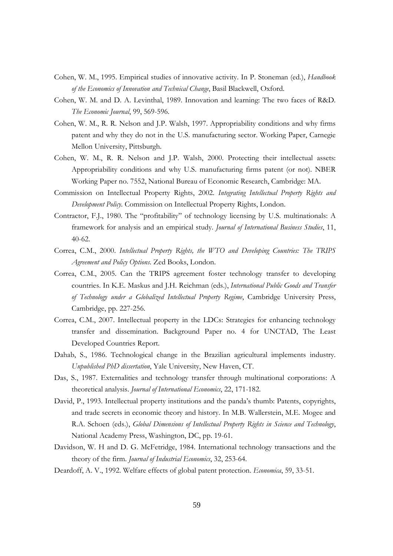- Cohen, W. M., 1995. Empirical studies of innovative activity. In P. Stoneman (ed.), *Handbook* of the Economics of Innovation and Technical Change, Basil Blackwell, Oxford.
- Cohen, W. M. and D. A. Levinthal, 1989. Innovation and learning: The two faces of R&D. The Economic Journal, 99, 569-596.
- Cohen, W. M., R. R. Nelson and J.P. Walsh, 1997. Appropriability conditions and why firms patent and why they do not in the U.S. manufacturing sector. Working Paper, Carnegie Mellon University, Pittsburgh.
- Cohen, W. M., R. R. Nelson and J.P. Walsh, 2000. Protecting their intellectual assets: Appropriability conditions and why U.S. manufacturing firms patent (or not). NBER Working Paper no. 7552, National Bureau of Economic Research, Cambridge: MA.
- Commission on Intellectual Property Rights, 2002. Integrating Intellectual Property Rights and Development Policy. Commission on Intellectual Property Rights, London.
- Contractor, F.J., 1980. The "profitability" of technology licensing by U.S. multinationals: A framework for analysis and an empirical study. Journal of International Business Studies, 11,  $40 - 62.$
- Correa, C.M., 2000. Intellectual Property Rights, the WTO and Developing Countries: The TRIPS Agreement and Policy Options. Zed Books, London.
- Correa, C.M., 2005. Can the TRIPS agreement foster technology transfer to developing countries. In K.E. Maskus and J.H. Reichman (eds.), International Public Goods and Transfer of Technology under a Globalized Intellectual Property Regime, Cambridge University Press, Cambridge, pp. 227-256.
- Correa, C.M., 2007. Intellectual property in the LDCs: Strategies for enhancing technology transfer and dissemination. Background Paper no. 4 for UNCTAD, The Least Developed Countries Report.
- Dahab, S., 1986. Technological change in the Brazilian agricultural implements industry. Unpublished PhD dissertation, Yale University, New Haven, CT.
- Das, S., 1987. Externalities and technology transfer through multinational corporations: A theoretical analysis. Journal of International Economics, 22, 171-182.
- David, P., 1993. Intellectual property institutions and the panda's thumb: Patents, copyrights, and trade secrets in economic theory and history. In M.B. Wallerstein, M.E. Mogee and R.A. Schoen (eds.), Global Dimensions of Intellectual Property Rights in Science and Technology, National Academy Press, Washington, DC, pp. 19-61.
- Davidson, W. H and D. G. McFetridge, 1984. International technology transactions and the theory of the firm. Journal of Industrial Economics, 32, 253-64.
- Deardoff, A. V., 1992. Welfare effects of global patent protection. *Economica*, 59, 33-51.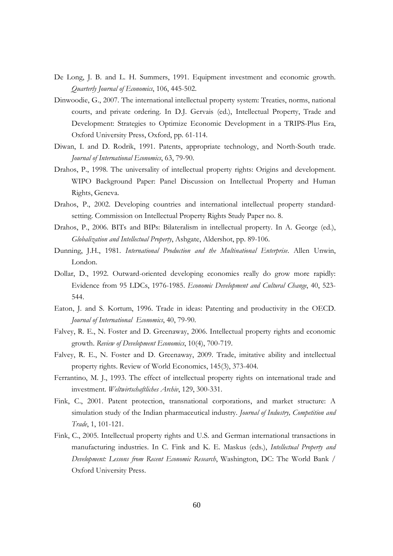- De Long, J. B. and L. H. Summers, 1991. Equipment investment and economic growth. Quarterly Journal of Economics, 106, 445-502.
- Dinwoodie, G., 2007. The international intellectual property system: Treaties, norms, national courts, and private ordering. In D.J. Gervais (ed.), Intellectual Property, Trade and Development: Strategies to Optimize Economic Development in a TRIPS-Plus Era, Oxford University Press, Oxford, pp. 61-114.
- Diwan, I. and D. Rodrik, 1991. Patents, appropriate technology, and North-South trade. Journal of International Economics, 63, 79-90.
- Drahos, P., 1998. The universality of intellectual property rights: Origins and development. WIPO Background Paper: Panel Discussion on Intellectual Property and Human Rights, Geneva.
- Drahos, P., 2002. Developing countries and international intellectual property standardsetting. Commission on Intellectual Property Rights Study Paper no. 8.
- Drahos, P., 2006. BITs and BIPs: Bilateralism in intellectual property. In A. George (ed.), Globalization and Intellectual Property, Ashgate, Aldershot, pp. 89-106.
- Dunning, J.H., 1981. International Production and the Multinational Enterprise. Allen Unwin, London.
- Dollar, D., 1992. Outward-oriented developing economies really do grow more rapidly: Evidence from 95 LDCs, 1976-1985. Economic Development and Cultural Change, 40, 523-544.
- Eaton, J. and S. Kortum, 1996. Trade in ideas: Patenting and productivity in the OECD. Journal of International Economics, 40, 79-90.
- Falvey, R. E., N. Foster and D. Greenaway, 2006. Intellectual property rights and economic growth. Review of Development Economics, 10(4), 700-719.
- Falvey, R. E., N. Foster and D. Greenaway, 2009. Trade, imitative ability and intellectual property rights. Review of World Economics, 145(3), 373-404.
- Ferrantino, M. J., 1993. The effect of intellectual property rights on international trade and investment. Weltwirtschaftliches Archiv, 129, 300-331.
- Fink, C., 2001. Patent protection, transnational corporations, and market structure: A simulation study of the Indian pharmaceutical industry. Journal of Industry, Competition and Trade, 1, 101-121.
- Fink, C., 2005. Intellectual property rights and U.S. and German international transactions in manufacturing industries. In C. Fink and K. E. Maskus (eds.), Intellectual Property and Development: Lessons from Recent Economic Research, Washington, DC: The World Bank / Oxford University Press.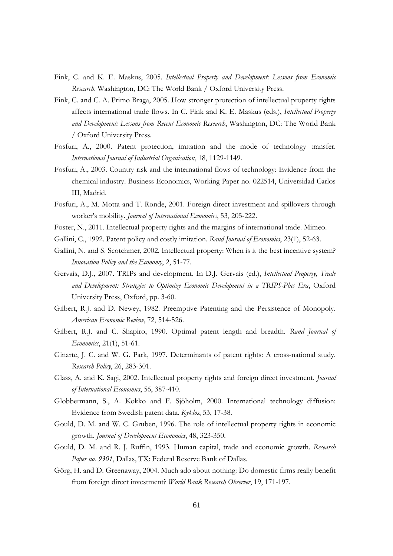- Fink, C. and K. E. Maskus, 2005. Intellectual Property and Development: Lessons from Economic Research. Washington, DC: The World Bank / Oxford University Press.
- Fink, C. and C. A. Primo Braga, 2005. How stronger protection of intellectual property rights affects international trade flows. In C. Fink and K. E. Maskus (eds.), Intellectual Property and Development: Lessons from Recent Economic Research, Washington, DC: The World Bank / Oxford University Press.
- Fosfuri, A., 2000. Patent protection, imitation and the mode of technology transfer. International Journal of Industrial Organisation, 18, 1129-1149.
- Fosfuri, A., 2003. Country risk and the international flows of technology: Evidence from the chemical industry. Business Economics, Working Paper no. 022514, Universidad Carlos III, Madrid.
- Fosfuri, A., M. Motta and T. Ronde, 2001. Foreign direct investment and spillovers through worker's mobility. Journal of International Economics, 53, 205-222.
- Foster, N., 2011. Intellectual property rights and the margins of international trade. Mimeo.
- Gallini, C., 1992. Patent policy and costly imitation. Rand Journal of Economics, 23(1), 52-63.
- Gallini, N. and S. Scotchmer, 2002. Intellectual property: When is it the best incentive system? Innovation Policy and the Economy, 2, 51-77.
- Gervais, D.J., 2007. TRIPs and development. In D.J. Gervais (ed.), Intellectual Property, Trade and Development: Strategies to Optimize Economic Development in a TRIPS-Plus Era, Oxford University Press, Oxford, pp. 3-60.
- Gilbert, R.J. and D. Newey, 1982. Preemptive Patenting and the Persistence of Monopoly. American Economic Review, 72, 514-526.
- Gilbert, R.J. and C. Shapiro, 1990. Optimal patent length and breadth. Rand Journal of Economics, 21(1), 51-61.
- Ginarte, J. C. and W. G. Park, 1997. Determinants of patent rights: A cross-national study. Research Policy, 26, 283-301.
- Glass, A. and K. Sagi, 2002. Intellectual property rights and foreign direct investment. Journal of International Economics, 56, 387-410.
- Globbermann, S., A. Kokko and F. Sjöholm, 2000. International technology diffusion: Evidence from Swedish patent data. Kyklos, 53, 17-38.
- Gould, D. M. and W. C. Gruben, 1996. The role of intellectual property rights in economic growth. Journal of Development Economics, 48, 323-350.
- Gould, D. M. and R. J. Ruffin, 1993. Human capital, trade and economic growth. Research Paper no. 9301, Dallas, TX: Federal Reserve Bank of Dallas.
- Görg, H. and D. Greenaway, 2004. Much ado about nothing: Do domestic firms really benefit from foreign direct investment? World Bank Research Observer, 19, 171-197.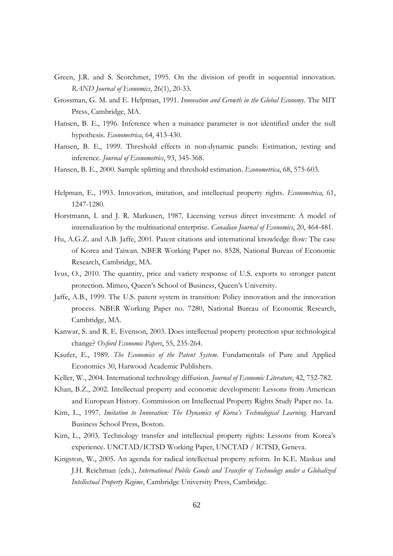- Green, J.R. and S. Scotchmer, 1995. On the division of profit in sequential innovation. RAND Journal of Economics, 26(1), 20-33.
- Grossman, G. M. and E. Helpman, 1991. Innovation and Growth in the Global Economy. The MIT Press, Cambridge, MA.
- Hansen, B. E., 1996. Inference when a nuisance parameter is not identified under the null hypothesis. Econometrica, 64, 413-430.
- Hansen, B. E., 1999. Threshold effects in non-dynamic panels: Estimation, testing and inference. Journal of Econometrics, 93, 345-368.
- Hansen, B. E., 2000. Sample splitting and threshold estimation. Econometrica, 68, 575-603.
- Helpman, E., 1993. Innovation, imitation, and intellectual property rights. Econometrica, 61, 1247-1280.
- Horstmann, I. and J. R. Markusen, 1987. Licensing versus direct investment: A model of internalization by the multinational enterprise. *Canadian Journal of Economics*, 20, 464-481.
- Hu, A.G.Z. and A.B. Jaffe, 2001. Patent citations and international knowledge flow: The case of Korea and Taiwan. NBER Working Paper no. 8528, National Bureau of Economic Research, Cambridge, MA.
- Ivus, O., 2010. The quantity, price and variety response of U.S. exports to stronger patent protection. Mimeo, Queen's School of Business, Queen's University.
- Jaffe, A.B., 1999. The U.S. patent system in transition: Policy innovation and the innovation process. NBER Working Paper no. 7280, National Bureau of Economic Research, Cambridge, MA.
- Kanwar, S. and R. E. Evenson, 2003. Does intellectual property protection spur technological change? Oxford Economic Papers, 55, 235-264.
- Kaufer, E., 1989. The Economics of the Patent System. Fundamentals of Pure and Applied Economics 30, Harwood Academic Publishers.
- Keller, W., 2004. International technology diffusion. Journal of Economic Literature, 42, 752-782.
- Khan, B.Z., 2002. Intellectual property and economic development: Lessons from American and European History. Commission on Intellectual Property Rights Study Paper no. 1a.
- Kim, L., 1997. Imitation to Innovation: The Dynamics of Korea's Technological Learning. Harvard Business School Press, Boston.
- Kim, L., 2003. Technology transfer and intellectual property rights: Lessons from Korea's experience. UNCTAD/ICTSD Working Paper, UNCTAD / ICTSD, Geneva.
- Kingston, W., 2005. An agenda for radical intellectual property reform. In K.E. Maskus and J.H. Reichman (eds.), International Public Goods and Transfer of Technology under a Globalized Intellectual Property Regime, Cambridge University Press, Cambridge.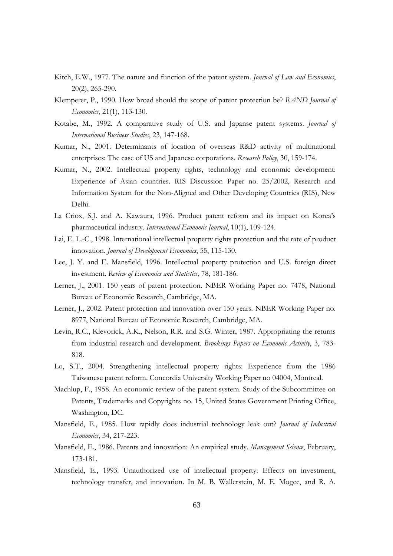- Kitch, E.W., 1977. The nature and function of the patent system. *Journal of Law and Economics*,  $20(2)$ , 265-290.
- Klemperer, P., 1990. How broad should the scope of patent protection be? RAND Journal of Economics, 21(1), 113-130.
- Kotabe, M., 1992. A comparative study of U.S. and Japanse patent systems. Journal of International Business Studies, 23, 147-168.
- Kumar, N., 2001. Determinants of location of overseas R&D activity of multinational enterprises: The case of US and Japanese corporations. Research Policy, 30, 159-174.
- Kumar, N., 2002. Intellectual property rights, technology and economic development: Experience of Asian countries. RIS Discussion Paper no. 25/2002, Research and Information System for the Non-Aligned and Other Developing Countries (RIS), New Delhi.
- La Criox, S.J. and A. Kawaura, 1996. Product patent reform and its impact on Korea's pharmaceutical industry. International Economic Journal, 10(1), 109-124.
- Lai, E. L.-C., 1998. International intellectual property rights protection and the rate of product innovation. Journal of Development Economics, 55, 115-130.
- Lee, J. Y. and E. Mansfield, 1996. Intellectual property protection and U.S. foreign direct investment. Review of Economics and Statistics, 78, 181-186.
- Lerner, J., 2001. 150 years of patent protection. NBER Working Paper no. 7478, National Bureau of Economic Research, Cambridge, MA.
- Lerner, J., 2002. Patent protection and innovation over 150 years. NBER Working Paper no. 8977, National Bureau of Economic Research, Cambridge, MA.
- Levin, R.C., Klevorick, A.K., Nelson, R.R. and S.G. Winter, 1987. Appropriating the returns from industrial research and development. Brookings Papers on Economic Activity, 3, 783-818.
- Lo, S.T., 2004. Strengthening intellectual property rights: Experience from the 1986 Taiwanese patent reform. Concordia University Working Paper no 04004, Montreal.
- Machlup, F., 1958. An economic review of the patent system. Study of the Subcommittee on Patents, Trademarks and Copyrights no. 15, United States Government Printing Office, Washington, DC.
- Mansfield, E., 1985. How rapidly does industrial technology leak out? Journal of Industrial Economics, 34, 217-223.
- Mansfield, E., 1986. Patents and innovation: An empirical study. Management Science, February, 173-181.
- Mansfield, E., 1993. Unauthorized use of intellectual property: Effects on investment, technology transfer, and innovation. In M. B. Wallerstein, M. E. Mogee, and R. A.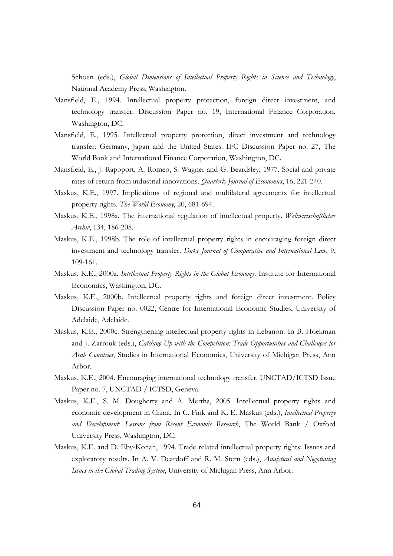Schoen (eds.), Global Dimensions of Intellectual Property Rights in Science and Technology, National Academy Press, Washington.

- Mansfield, E., 1994. Intellectual property protection, foreign direct investment, and technology transfer. Discussion Paper no. 19, International Finance Corporation, Washington, DC.
- Mansfield, E., 1995. Intellectual property protection, direct investment and technology transfer: Germany, Japan and the United States. IFC Discussion Paper no. 27, The World Bank and International Finance Corporation, Washington, DC.
- Mansfield, E., J. Rapoport, A. Romeo, S. Wagner and G. Beardsley, 1977. Social and private rates of return from industrial innovations. Quarterly Journal of Economics, 16, 221-240.
- Maskus, K.E., 1997. Implications of regional and multilateral agreements for intellectual property rights. The World Economy, 20, 681-694.
- Maskus, K.E., 1998a. The international regulation of intellectual property. Weltwirtschaftliches Archiv, 134, 186-208.
- Maskus, K.E., 1998b. The role of intellectual property rights in encouraging foreign direct investment and technology transfer. Duke Journal of Comparative and International Law, 9, 109-161.
- Maskus, K.E., 2000a. Intellectual Property Rights in the Global Economy. Institute for International Economics, Washington, DC.
- Maskus, K.E., 2000b. Intellectual property rights and foreign direct investment. Policy Discussion Paper no. 0022, Centre for International Economic Studies, University of Adelaide, Adelaide.
- Maskus, K.E., 2000c. Strengthening intellectual property rights in Lebanon. In B. Hoekman and J. Zarrouk (eds.), Catching Up with the Competition: Trade Opportunities and Challenges for Arab Countries, Studies in International Economics, University of Michigan Press, Ann Arbor.
- Maskus, K.E., 2004. Encouraging international technology transfer. UNCTAD/ICTSD Issue Paper no. 7, UNCTAD / ICTSD, Geneva.
- Maskus, K.E., S. M. Dougherty and A. Mertha, 2005. Intellectual property rights and economic development in China. In C. Fink and K. E. Maskus (eds.), *Intellectual Property* and Development: Lessons from Recent Economic Research, The World Bank / Oxford University Press, Washington, DC.
- Maskus, K.E. and D. Eby-Konan, 1994. Trade related intellectual property rights: Issues and exploratory results. In A. V. Deardoff and R. M. Stern (eds.), Analytical and Negotiating Issues in the Global Trading System, University of Michigan Press, Ann Arbor.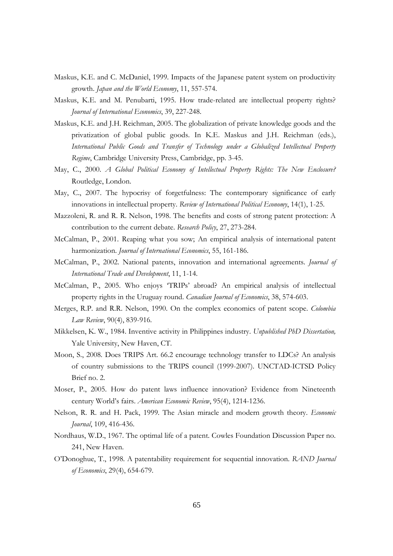- Maskus, K.E. and C. McDaniel, 1999. Impacts of the Japanese patent system on productivity growth. *Japan and the World Economy*, 11, 557-574.
- Maskus, K.E. and M. Penubarti, 1995. How trade-related are intellectual property rights? Journal of International Economics, 39, 227-248.
- Maskus, K.E. and J.H. Reichman, 2005. The globalization of private knowledge goods and the privatization of global public goods. In K.E. Maskus and J.H. Reichman (eds.), International Public Goods and Transfer of Technology under a Globalized Intellectual Property Regime, Cambridge University Press, Cambridge, pp. 3-45.
- May, C., 2000. A Global Political Economy of Intellectual Property Rights: The New Enclosure? Routledge, London.
- May, C., 2007. The hypocrisy of forgetfulness: The contemporary significance of early innovations in intellectual property. Review of International Political Economy, 14(1), 1-25.
- Mazzoleni, R. and R. R. Nelson, 1998. The benefits and costs of strong patent protection: A contribution to the current debate. Research Policy, 27, 273-284.
- McCalman, P., 2001. Reaping what you sow; An empirical analysis of international patent harmonization. Journal of International Economics, 55, 161-186.
- McCalman, P., 2002. National patents, innovation and international agreements. Journal of International Trade and Development, 11, 1-14.
- McCalman, P., 2005. Who enjoys 'TRIPs' abroad? An empirical analysis of intellectual property rights in the Uruguay round. Canadian Journal of Economics, 38, 574-603.
- Merges, R.P. and R.R. Nelson, 1990. On the complex economics of patent scope. Colombia Law Review, 90(4), 839-916.
- Mikkelsen, K. W., 1984. Inventive activity in Philippines industry. Unpublished PhD Dissertation, Yale University, New Haven, CT.
- Moon, S., 2008. Does TRIPS Art. 66.2 encourage technology transfer to LDCs? An analysis of country submissions to the TRIPS council (1999-2007). UNCTAD-ICTSD Policy Brief no. 2.
- Moser, P., 2005. How do patent laws influence innovation? Evidence from Nineteenth century World's fairs. American Economic Review, 95(4), 1214-1236.
- Nelson, R. R. and H. Pack, 1999. The Asian miracle and modern growth theory. *Economic* Journal, 109, 416-436.
- Nordhaus, W.D., 1967. The optimal life of a patent. Cowles Foundation Discussion Paper no. 241, New Haven.
- O'Donoghue, T., 1998. A patentability requirement for sequential innovation. RAND Journal of Economics, 29(4), 654-679.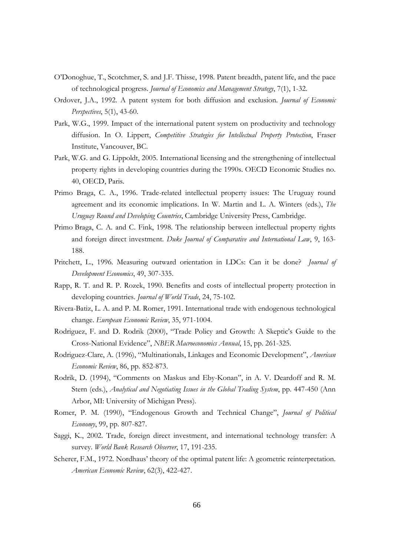- O'Donoghue, T., Scotchmer, S. and J.F. Thisse, 1998. Patent breadth, patent life, and the pace of technological progress. Journal of Economics and Management Strategy, 7(1), 1-32.
- Ordover, J.A., 1992. A patent system for both diffusion and exclusion. *Journal of Economic* Perspectives, 5(1), 43-60.
- Park, W.G., 1999. Impact of the international patent system on productivity and technology diffusion. In O. Lippert, Competitive Strategies for Intellectual Property Protection, Fraser Institute, Vancouver, BC.
- Park, W.G. and G. Lippoldt, 2005. International licensing and the strengthening of intellectual property rights in developing countries during the 1990s. OECD Economic Studies no. 40, OECD, Paris.
- Primo Braga, C. A., 1996. Trade-related intellectual property issues: The Uruguay round agreement and its economic implications. In W. Martin and L. A. Winters (eds.), The Uruguay Round and Developing Countries, Cambridge University Press, Cambridge.
- Primo Braga, C. A. and C. Fink, 1998. The relationship between intellectual property rights and foreign direct investment. Duke Journal of Comparative and International Law, 9, 163-188.
- Pritchett, L., 1996. Measuring outward orientation in LDCs: Can it be done? Journal of Development Economics, 49, 307-335.
- Rapp, R. T. and R. P. Rozek, 1990. Benefits and costs of intellectual property protection in developing countries. Journal of World Trade, 24, 75-102.
- Rivera-Batiz, L. A. and P. M. Romer, 1991. International trade with endogenous technological change. European Economic Review, 35, 971-1004.
- Rodriguez, F. and D. Rodrik (2000), "Trade Policy and Growth: A Skeptic's Guide to the Cross-National Evidence", NBER Macroeconomics Annual, 15, pp. 261-325.
- Rodriguez-Clare, A. (1996), "Multinationals, Linkages and Economic Development", American Economic Review, 86, pp. 852-873.
- Rodrik, D. (1994), "Comments on Maskus and Eby-Konan", in A. V. Deardoff and R. M. Stern (eds.), Analytical and Negotiating Issues in the Global Trading System, pp. 447-450 (Ann Arbor, MI: University of Michigan Press).
- Romer, P. M. (1990), "Endogenous Growth and Technical Change", Journal of Political Economy, 99, pp. 807-827.
- Saggi, K., 2002. Trade, foreign direct investment, and international technology transfer: A survey. World Bank Research Observer, 17, 191-235.
- Scherer, F.M., 1972. Nordhaus' theory of the optimal patent life: A geometric reinterpretation. American Economic Review, 62(3), 422-427.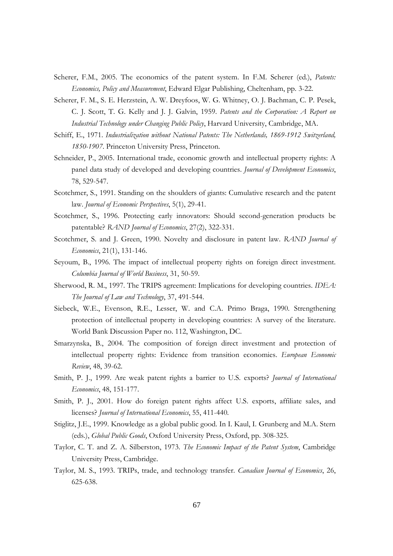- Scherer, F.M., 2005. The economics of the patent system. In F.M. Scherer (ed.), Patents: *Economics, Policy and Measurement*, Edward Elgar Publishing, Cheltenham, pp. 3-22.
- Scherer, F. M., S. E. Herzstein, A. W. Dreyfoos, W. G. Whitney, O. J. Bachman, C. P. Pesek, C. J. Scott, T. G. Kelly and J. J. Galvin, 1959. Patents and the Corporation: A Report on Industrial Technology under Changing Public Policy, Harvard University, Cambridge, MA.
- Schiff, E., 1971. Industrialization without National Patents: The Netherlands, 1869-1912 Switzerland, 1850-1907. Princeton University Press, Princeton.
- Schneider, P., 2005. International trade, economic growth and intellectual property rights: A panel data study of developed and developing countries. Journal of Development Economics, 78, 529-547.
- Scotchmer, S., 1991. Standing on the shoulders of giants: Cumulative research and the patent law. Journal of Economic Perspectives, 5(1), 29-41.
- Scotchmer, S., 1996. Protecting early innovators: Should second-generation products be patentable? RAND Journal of Economics, 27(2), 322-331.
- Scotchmer, S. and J. Green, 1990. Novelty and disclosure in patent law. RAND Journal of Economics, 21(1), 131-146.
- Seyoum, B., 1996. The impact of intellectual property rights on foreign direct investment. Columbia Journal of World Business, 31, 50-59.
- Sherwood, R. M., 1997. The TRIPS agreement: Implications for developing countries. IDEA: The Journal of Law and Technology, 37, 491-544.
- Siebeck, W.E., Evenson, R.E., Lesser, W. and C.A. Primo Braga, 1990. Strengthening protection of intellectual property in developing countries: A survey of the literature. World Bank Discussion Paper no. 112, Washington, DC.
- Smarzynska, B., 2004. The composition of foreign direct investment and protection of intellectual property rights: Evidence from transition economies. European Economic Review, 48, 39-62.
- Smith, P. J., 1999. Are weak patent rights a barrier to U.S. exports? Journal of International Economics, 48, 151-177.
- Smith, P. J., 2001. How do foreign patent rights affect U.S. exports, affiliate sales, and licenses? Journal of International Economics, 55, 411-440.
- Stiglitz, J.E., 1999. Knowledge as a global public good. In I. Kaul, I. Grunberg and M.A. Stern (eds.), Global Public Goods, Oxford University Press, Oxford, pp. 308-325.
- Taylor, C. T. and Z. A. Silberston, 1973. The Economic Impact of the Patent System, Cambridge University Press, Cambridge.
- Taylor, M. S., 1993. TRIPs, trade, and technology transfer. Canadian Journal of Economics, 26, 625-638.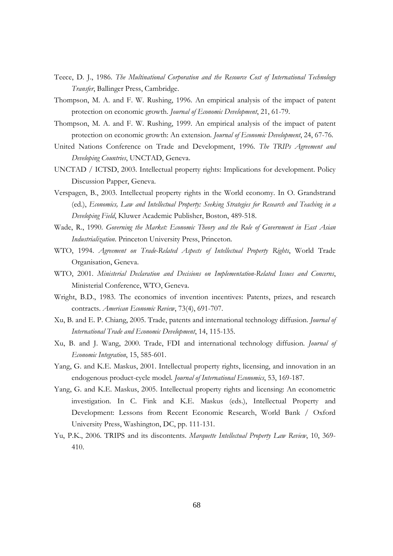- Teece, D. J., 1986. The Multinational Corporation and the Resource Cost of International Technology *Transfer*, Ballinger Press, Cambridge.
- Thompson, M. A. and F. W. Rushing, 1996. An empirical analysis of the impact of patent protection on economic growth. Journal of Economic Development, 21, 61-79.
- Thompson, M. A. and F. W. Rushing, 1999. An empirical analysis of the impact of patent protection on economic growth: An extension. *Journal of Economic Development*, 24, 67-76.
- United Nations Conference on Trade and Development, 1996. The TRIPs Agreement and Developing Countries, UNCTAD, Geneva.
- UNCTAD / ICTSD, 2003. Intellectual property rights: Implications for development. Policy Discussion Papper, Geneva.
- Verspagen, B., 2003. Intellectual property rights in the World economy. In O. Grandstrand (ed.), Economics, Law and Intellectual Property: Seeking Strategies for Research and Teaching in a Developing Field, Kluwer Academic Publisher, Boston, 489-518.
- Wade, R., 1990. Governing the Market: Economic Theory and the Role of Government in East Asian Industrialization. Princeton University Press, Princeton.
- WTO, 1994. Agreement on Trade-Related Aspects of Intellectual Property Rights, World Trade Organisation, Geneva.
- WTO, 2001. Ministerial Declaration and Decisions on Implementation-Related Issues and Concerns, Ministerial Conference, WTO, Geneva.
- Wright, B.D., 1983. The economics of invention incentives: Patents, prizes, and research contracts. American Economic Review, 73(4), 691-707.
- Xu, B. and E. P. Chiang, 2005. Trade, patents and international technology diffusion. *Journal of* International Trade and Economic Development, 14, 115-135.
- Xu, B. and J. Wang, 2000. Trade, FDI and international technology diffusion. Journal of Economic Integration, 15, 585-601.
- Yang, G. and K.E. Maskus, 2001. Intellectual property rights, licensing, and innovation in an endogenous product-cycle model. Journal of International Economics, 53, 169-187.
- Yang, G. and K.E. Maskus, 2005. Intellectual property rights and licensing: An econometric investigation. In C. Fink and K.E. Maskus (eds.), Intellectual Property and Development: Lessons from Recent Economic Research, World Bank / Oxford University Press, Washington, DC, pp. 111-131.
- Yu, P.K., 2006. TRIPS and its discontents. Marquette Intellectual Property Law Review, 10, 369-410.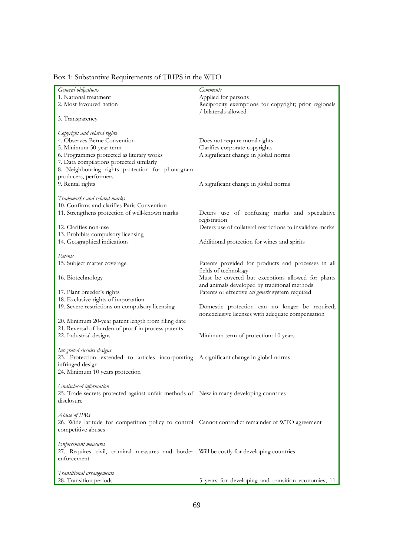| General obligations                                                                              | <b>Comments</b>                                           |
|--------------------------------------------------------------------------------------------------|-----------------------------------------------------------|
| 1. National treatment                                                                            | Applied for persons                                       |
| 2. Most favoured nation                                                                          | Reciprocity exemptions for copyright; prior regionals     |
|                                                                                                  | / bilaterals allowed                                      |
| 3. Transparency                                                                                  |                                                           |
|                                                                                                  |                                                           |
| Copyright and related rights                                                                     |                                                           |
| 4. Observes Berne Convention                                                                     | Does not require moral rights                             |
| 5. Minimum 50-year term                                                                          | Clarifies corporate copyrights                            |
|                                                                                                  |                                                           |
| 6. Programmes protected as literary works                                                        | A significant change in global norms                      |
| 7. Data compilations protected similarly                                                         |                                                           |
| 8. Neighbouring rights protection for phonogram                                                  |                                                           |
| producers, performers                                                                            |                                                           |
| 9. Rental rights                                                                                 | A significant change in global norms                      |
|                                                                                                  |                                                           |
| Trademarks and related marks                                                                     |                                                           |
| 10. Confirms and clarifies Paris Convention                                                      |                                                           |
| 11. Strengthens protection of well-known marks                                                   | Deters use of confusing marks and speculative             |
|                                                                                                  | registration                                              |
| 12. Clarifies non-use                                                                            | Deters use of collateral restrictions to invalidate marks |
| 13. Prohibits compulsory licensing                                                               |                                                           |
| 14. Geographical indications                                                                     | Additional protection for wines and spirits               |
|                                                                                                  |                                                           |
| Patents                                                                                          |                                                           |
| 15. Subject matter coverage                                                                      | Patents provided for products and processes in all        |
|                                                                                                  | fields of technology                                      |
| 16. Biotechnology                                                                                | Must be covered but exceptions allowed for plants         |
|                                                                                                  | and animals developed by traditional methods              |
| 17. Plant breeder's rights                                                                       | Patents or effective sui generis system required          |
| 18. Exclusive rights of importation                                                              |                                                           |
| 19. Severe restrictions on compulsory licensing                                                  | Domestic protection can no longer be required;            |
|                                                                                                  | nonexclusive licenses with adequate compensation          |
| 20. Minimum 20-year patent length from filing date                                               |                                                           |
|                                                                                                  |                                                           |
| 21. Reversal of burden of proof in process patents                                               |                                                           |
| 22. Industrial designs                                                                           | Minimum term of protection: 10 years                      |
|                                                                                                  |                                                           |
| Integrated circuits designs                                                                      |                                                           |
| 23. Protection extended to articles incorporating A significant change in global norms           |                                                           |
| infringed design                                                                                 |                                                           |
| 24. Minimum 10 years protection                                                                  |                                                           |
|                                                                                                  |                                                           |
| Undisclosed information                                                                          |                                                           |
| 25. Trade secrets protected against unfair methods of New in many developing countries           |                                                           |
| disclosure                                                                                       |                                                           |
|                                                                                                  |                                                           |
| Abuse of IPRs                                                                                    |                                                           |
| 26. Wide latitude for competition policy to control Cannot contradict remainder of WTO agreement |                                                           |
| competitive abuses                                                                               |                                                           |
|                                                                                                  |                                                           |
| Enforcement measures                                                                             |                                                           |
| 27. Requires civil, criminal measures and border Will be costly for developing countries         |                                                           |
| enforcement                                                                                      |                                                           |
|                                                                                                  |                                                           |
| Transitional arrangements                                                                        |                                                           |
| 28. Transition periods                                                                           | 5 years for developing and transition economies; 11       |

# Box 1: Substantive Requirements of TRIPS in the WTO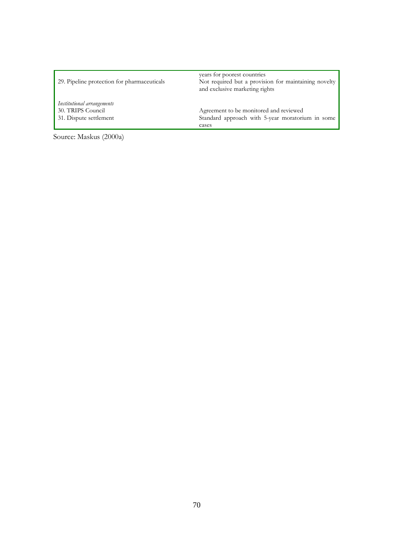| 29. Pipeline protection for pharmaceuticals                               | years for poorest countries<br>Not required but a provision for maintaining novelty<br>and exclusive marketing rights |
|---------------------------------------------------------------------------|-----------------------------------------------------------------------------------------------------------------------|
| Institutional arrangements<br>30. TRIPS Council<br>31. Dispute settlement | Agreement to be monitored and reviewed<br>Standard approach with 5-year moratorium in some                            |
|                                                                           | cases                                                                                                                 |

Source: Maskus (2000a)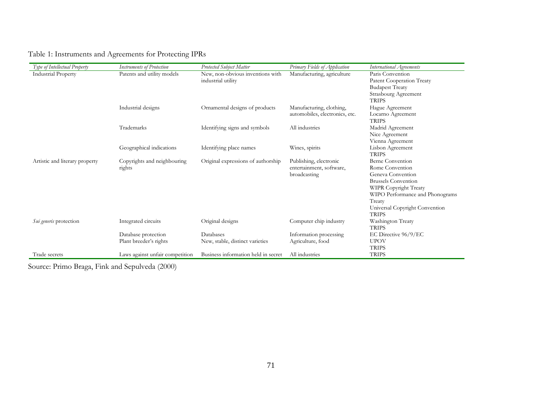| Type of Intellectual Property  | <b>Instruments of Protection</b>              | Protected Subject Matter                               | Primary Fields of Application                                      | International Agreements                                                                                                                                                                                              |
|--------------------------------|-----------------------------------------------|--------------------------------------------------------|--------------------------------------------------------------------|-----------------------------------------------------------------------------------------------------------------------------------------------------------------------------------------------------------------------|
| <b>Industrial Property</b>     | Patents and utility models                    | New, non-obvious inventions with<br>industrial utility | Manufacturing, agriculture                                         | Paris Convention<br>Patent Cooperation Treaty<br><b>Budapest Treaty</b><br>Strasbourg Agreement                                                                                                                       |
|                                | Industrial designs                            | Ornamental designs of products                         | Manufacturing, clothing,<br>automobiles, electronics, etc.         | <b>TRIPS</b><br>Hague Agreement<br>Locarno Agreement<br><b>TRIPS</b>                                                                                                                                                  |
|                                | Trademarks                                    | Identifying signs and symbols                          | All industries                                                     | Madrid Agreement<br>Nice Agreement<br>Vienna Agreement                                                                                                                                                                |
|                                | Geographical indications                      | Identifying place names                                | Wines, spirits                                                     | Lisbon Agreement<br><b>TRIPS</b>                                                                                                                                                                                      |
| Artistic and literary property | Copyrights and neighbouring<br>rights         | Original expressions of authorship                     | Publishing, electronic<br>entertainment, software,<br>broadcasting | <b>Berne Convention</b><br>Rome Convention<br>Geneva Convention<br><b>Brussels Convention</b><br>WIPR Copyright Treaty<br>WIPO Performance and Phonograms<br>Treaty<br>Universal Copyright Convention<br><b>TRIPS</b> |
| Sui generis protection         | Integrated circuits                           | Original designs                                       | Computer chip industry                                             | Washington Treaty<br><b>TRIPS</b>                                                                                                                                                                                     |
|                                | Database protection<br>Plant breeder's rights | Databases<br>New, stable, distinct varieties           | Information processing<br>Agriculture, food                        | EC Directive 96/9/EC<br><b>UPOV</b><br><b>TRIPS</b>                                                                                                                                                                   |
| Trade secrets                  | Laws against unfair competition               | Business information held in secret                    | All industries                                                     | <b>TRIPS</b>                                                                                                                                                                                                          |

Source: Primo Braga, Fink and Sepulveda (2000)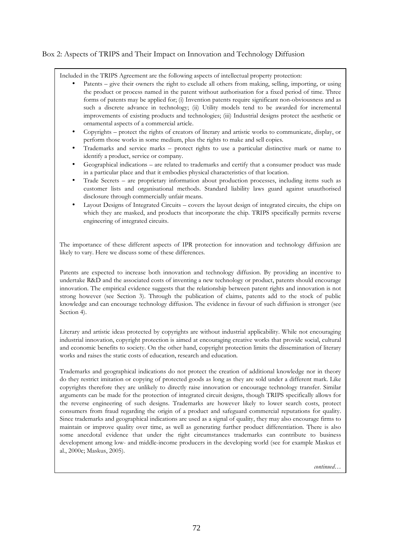## Box 2: Aspects of TRIPS and Their Impact on Innovation and Technology Diffusion

Included in the TRIPS Agreement are the following aspects of intellectual property protection:

- Patents give their owners the right to exclude all others from making, selling, importing, or using the product or process named in the patent without authorisation for a fixed period of time. Three forms of patents may be applied for; (i) Invention patents require significant non-obviousness and as such a discrete advance in technology; (ii) Utility models tend to be awarded for incremental improvements of existing products and technologies; (iii) Industrial designs protect the aesthetic or ornamental aspects of a commercial article.
- Copyrights protect the rights of creators of literary and artistic works to communicate, display, or perform those works in some medium, plus the rights to make and sell copies.
- Trademarks and service marks protect rights to use a particular distinctive mark or name to identify a product, service or company.
- Geographical indications are related to trademarks and certify that a consumer product was made in a particular place and that it embodies physical characteristics of that location.
- Trade Secrets are proprietary information about production processes, including items such as customer lists and organisational methods. Standard liability laws guard against unauthorised disclosure through commercially unfair means.
- Layout Designs of Integrated Circuits covers the layout design of integrated circuits, the chips on which they are masked, and products that incorporate the chip. TRIPS specifically permits reverse engineering of integrated circuits.

The importance of these different aspects of IPR protection for innovation and technology diffusion are likely to vary. Here we discuss some of these differences.

Patents are expected to increase both innovation and technology diffusion. By providing an incentive to undertake R&D and the associated costs of inventing a new technology or product, patents should encourage innovation. The empirical evidence suggests that the relationship between patent rights and innovation is not strong however (see Section 3). Through the publication of claims, patents add to the stock of public knowledge and can encourage technology diffusion. The evidence in favour of such diffusion is stronger (see Section 4).

Literary and artistic ideas protected by copyrights are without industrial applicability. While not encouraging industrial innovation, copyright protection is aimed at encouraging creative works that provide social, cultural and economic benefits to society. On the other hand, copyright protection limits the dissemination of literary works and raises the static costs of education, research and education.

Trademarks and geographical indications do not protect the creation of additional knowledge nor in theory do they restrict imitation or copying of protected goods as long as they are sold under a different mark. Like copyrights therefore they are unlikely to directly raise innovation or encourage technology transfer. Similar arguments can be made for the protection of integrated circuit designs, though TRIPS specifically allows for the reverse engineering of such designs. Trademarks are however likely to lower search costs, protect consumers from fraud regarding the origin of a product and safeguard commercial reputations for quality. Since trademarks and geographical indications are used as a signal of quality, they may also encourage firms to maintain or improve quality over time, as well as generating further product differentiation. There is also some anecdotal evidence that under the right circumstances trademarks can contribute to business development among low- and middle-income producers in the developing world (see for example Maskus et al., 2000c; Maskus, 2005).

continued...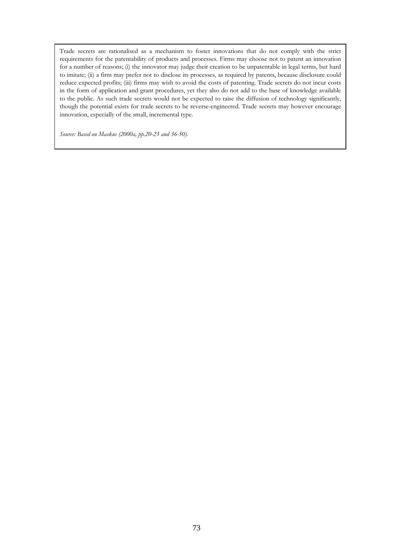Trade secrets are rationalised as a mechanism to foster innovations that do not comply with the strict requirements for the patentability of products and processes. Firms may choose not to patent an innovation for a number of reasons; (i) the innovator may judge their creation to be unpatentable in legal terms, but hard to imitate; (ii) a firm may prefer not to disclose its processes, as required by patents, because disclosure could reduce expected profits; (iii) firms may wish to avoid the costs of patenting. Trade secrets do not incur costs in the form of application and grant procedures, yet they also do not add to the base of knowledge available to the public. As such trade secrets would not be expected to raise the diffusion of technology significantly, though the potential exists for trade secrets to be reverse-engineered. Trade secrets may however encourage innovation, especially of the small, incremental type.

Source: Based on Maskus (2000a, pp.20-23 and 36-50).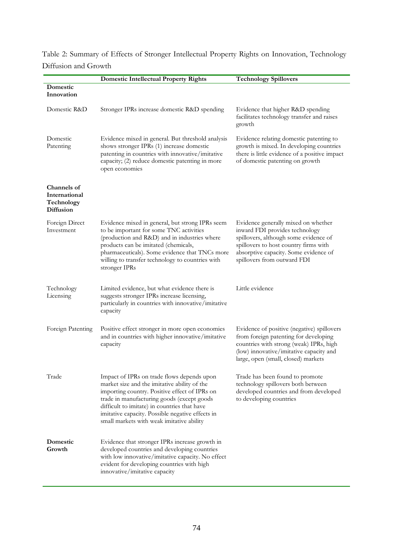| Table 2: Summary of Effects of Stronger Intellectual Property Rights on Innovation, Technology |  |
|------------------------------------------------------------------------------------------------|--|
| Diffusion and Growth                                                                           |  |

|                                                                | <b>Domestic Intellectual Property Rights</b>                                                                                                                                                                                                                                                                                               | <b>Technology Spillovers</b>                                                                                                                                                                                                    |  |  |
|----------------------------------------------------------------|--------------------------------------------------------------------------------------------------------------------------------------------------------------------------------------------------------------------------------------------------------------------------------------------------------------------------------------------|---------------------------------------------------------------------------------------------------------------------------------------------------------------------------------------------------------------------------------|--|--|
| Domestic<br>Innovation                                         |                                                                                                                                                                                                                                                                                                                                            |                                                                                                                                                                                                                                 |  |  |
| Domestic R&D                                                   | Stronger IPRs increase domestic R&D spending                                                                                                                                                                                                                                                                                               | Evidence that higher R&D spending<br>facilitates technology transfer and raises<br>growth                                                                                                                                       |  |  |
| Domestic<br>Patenting                                          | Evidence mixed in general. But threshold analysis<br>shows stronger IPRs (1) increase domestic<br>patenting in countries with innovative/imitative<br>capacity; (2) reduce domestic patenting in more<br>open economies                                                                                                                    | Evidence relating domestic patenting to<br>growth is mixed. In developing countries<br>there is little evidence of a positive impact<br>of domestic patenting on growth                                                         |  |  |
| Channels of<br>International<br>Technology<br><b>Diffusion</b> |                                                                                                                                                                                                                                                                                                                                            |                                                                                                                                                                                                                                 |  |  |
| Foreign Direct<br>Investment                                   | Evidence mixed in general, but strong IPRs seem<br>to be important for some TNC activities<br>(production and R&D) and in industries where<br>products can be imitated (chemicals,<br>pharmaceuticals). Some evidence that TNCs more<br>willing to transfer technology to countries with<br>stronger IPRs                                  | Evidence generally mixed on whether<br>inward FDI provides technology<br>spillovers, although some evidence of<br>spillovers to host country firms with<br>absorptive capacity. Some evidence of<br>spillovers from outward FDI |  |  |
| Technology<br>Licensing                                        | Limited evidence, but what evidence there is<br>suggests stronger IPRs increase licensing,<br>particularly in countries with innovative/imitative<br>capacity                                                                                                                                                                              | Little evidence                                                                                                                                                                                                                 |  |  |
| Foreign Patenting                                              | Positive effect stronger in more open economies<br>and in countries with higher innovative/imitative<br>capacity                                                                                                                                                                                                                           | Evidence of positive (negative) spillovers<br>from foreign patenting for developing<br>countries with strong (weak) IPRs, high<br>(low) innovative/imitative capacity and<br>large, open (small, closed) markets                |  |  |
| Trade                                                          | Impact of IPRs on trade flows depends upon<br>market size and the imitative ability of the<br>importing country. Positive effect of IPRs on<br>trade in manufacturing goods (except goods<br>difficult to imitate) in countries that have<br>imitative capacity. Possible negative effects in<br>small markets with weak imitative ability | Trade has been found to promote<br>technology spillovers both between<br>developed countries and from developed<br>to developing countries                                                                                      |  |  |
| Domestic<br>Growth                                             | Evidence that stronger IPRs increase growth in<br>developed countries and developing countries<br>with low innovative/imitative capacity. No effect<br>evident for developing countries with high<br>innovative/imitative capacity                                                                                                         |                                                                                                                                                                                                                                 |  |  |